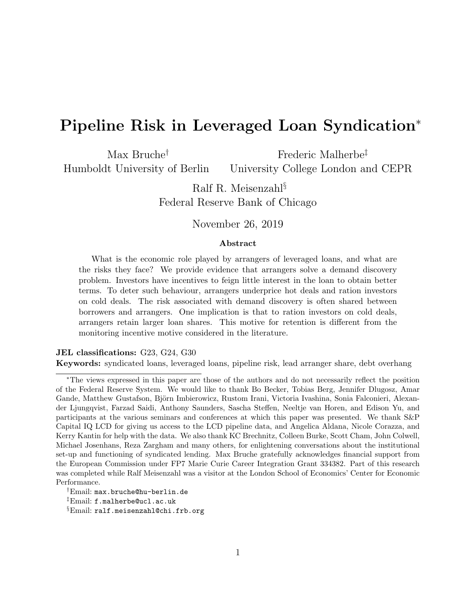# Pipeline Risk in Leveraged Loan Syndication<sup>∗</sup>

Max Bruche† Humboldt University of Berlin Frederic Malherbe‡ University College London and CEPR

> Ralf R. Meisenzahl§ Federal Reserve Bank of Chicago

### November 26, 2019

#### Abstract

What is the economic role played by arrangers of leveraged loans, and what are the risks they face? We provide evidence that arrangers solve a demand discovery problem. Investors have incentives to feign little interest in the loan to obtain better terms. To deter such behaviour, arrangers underprice hot deals and ration investors on cold deals. The risk associated with demand discovery is often shared between borrowers and arrangers. One implication is that to ration investors on cold deals, arrangers retain larger loan shares. This motive for retention is different from the monitoring incentive motive considered in the literature.

#### JEL classifications: G23, G24, G30

Keywords: syndicated loans, leveraged loans, pipeline risk, lead arranger share, debt overhang

<sup>∗</sup>The views expressed in this paper are those of the authors and do not necessarily reflect the position of the Federal Reserve System. We would like to thank Bo Becker, Tobias Berg, Jennifer Dlugosz, Amar Gande, Matthew Gustafson, Björn Imbierowicz, Rustom Irani, Victoria Ivashina, Sonia Falconieri, Alexander Ljungqvist, Farzad Saidi, Anthony Saunders, Sascha Steffen, Neeltje van Horen, and Edison Yu, and participants at the various seminars and conferences at which this paper was presented. We thank S&P Capital IQ LCD for giving us access to the LCD pipeline data, and Angelica Aldana, Nicole Corazza, and Kerry Kantin for help with the data. We also thank KC Brechnitz, Colleen Burke, Scott Cham, John Colwell, Michael Josenhans, Reza Zargham and many others, for enlightening conversations about the institutional set-up and functioning of syndicated lending. Max Bruche gratefully acknowledges financial support from the European Commission under FP7 Marie Curie Career Integration Grant 334382. Part of this research was completed while Ralf Meisenzahl was a visitor at the London School of Economics' Center for Economic Performance.

<sup>†</sup>Email: max.bruche@hu-berlin.de

<sup>‡</sup>Email: f.malherbe@ucl.ac.uk

<sup>§</sup>Email: ralf.meisenzahl@chi.frb.org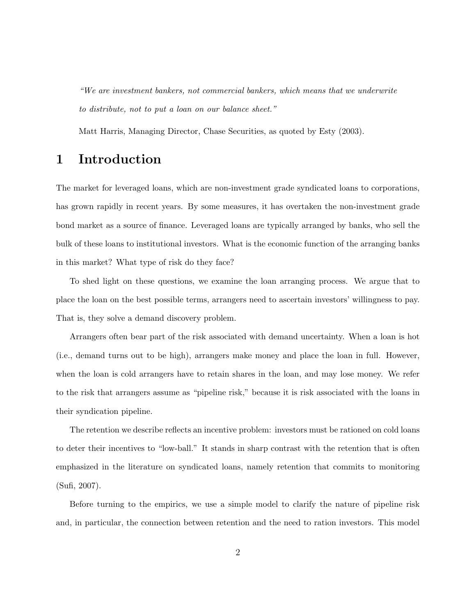"We are investment bankers, not commercial bankers, which means that we underwrite to distribute, not to put a loan on our balance sheet."

Matt Harris, Managing Director, Chase Securities, as quoted by Esty (2003).

## 1 Introduction

The market for leveraged loans, which are non-investment grade syndicated loans to corporations, has grown rapidly in recent years. By some measures, it has overtaken the non-investment grade bond market as a source of finance. Leveraged loans are typically arranged by banks, who sell the bulk of these loans to institutional investors. What is the economic function of the arranging banks in this market? What type of risk do they face?

To shed light on these questions, we examine the loan arranging process. We argue that to place the loan on the best possible terms, arrangers need to ascertain investors' willingness to pay. That is, they solve a demand discovery problem.

Arrangers often bear part of the risk associated with demand uncertainty. When a loan is hot (i.e., demand turns out to be high), arrangers make money and place the loan in full. However, when the loan is cold arrangers have to retain shares in the loan, and may lose money. We refer to the risk that arrangers assume as "pipeline risk," because it is risk associated with the loans in their syndication pipeline.

The retention we describe reflects an incentive problem: investors must be rationed on cold loans to deter their incentives to "low-ball." It stands in sharp contrast with the retention that is often emphasized in the literature on syndicated loans, namely retention that commits to monitoring (Sufi, 2007).

Before turning to the empirics, we use a simple model to clarify the nature of pipeline risk and, in particular, the connection between retention and the need to ration investors. This model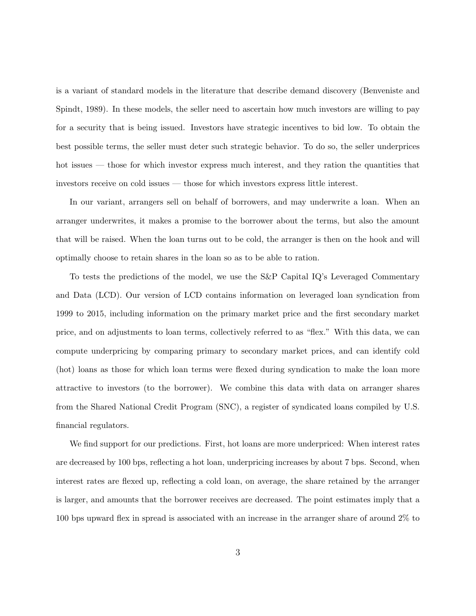is a variant of standard models in the literature that describe demand discovery (Benveniste and Spindt, 1989). In these models, the seller need to ascertain how much investors are willing to pay for a security that is being issued. Investors have strategic incentives to bid low. To obtain the best possible terms, the seller must deter such strategic behavior. To do so, the seller underprices hot issues — those for which investor express much interest, and they ration the quantities that investors receive on cold issues — those for which investors express little interest.

In our variant, arrangers sell on behalf of borrowers, and may underwrite a loan. When an arranger underwrites, it makes a promise to the borrower about the terms, but also the amount that will be raised. When the loan turns out to be cold, the arranger is then on the hook and will optimally choose to retain shares in the loan so as to be able to ration.

To tests the predictions of the model, we use the S&P Capital IQ's Leveraged Commentary and Data (LCD). Our version of LCD contains information on leveraged loan syndication from 1999 to 2015, including information on the primary market price and the first secondary market price, and on adjustments to loan terms, collectively referred to as "flex." With this data, we can compute underpricing by comparing primary to secondary market prices, and can identify cold (hot) loans as those for which loan terms were flexed during syndication to make the loan more attractive to investors (to the borrower). We combine this data with data on arranger shares from the Shared National Credit Program (SNC), a register of syndicated loans compiled by U.S. financial regulators.

We find support for our predictions. First, hot loans are more underpriced: When interest rates are decreased by 100 bps, reflecting a hot loan, underpricing increases by about 7 bps. Second, when interest rates are flexed up, reflecting a cold loan, on average, the share retained by the arranger is larger, and amounts that the borrower receives are decreased. The point estimates imply that a 100 bps upward flex in spread is associated with an increase in the arranger share of around 2% to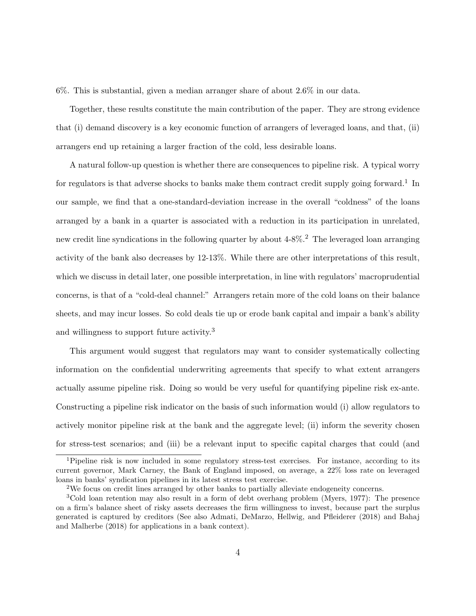6%. This is substantial, given a median arranger share of about 2.6% in our data.

Together, these results constitute the main contribution of the paper. They are strong evidence that (i) demand discovery is a key economic function of arrangers of leveraged loans, and that, (ii) arrangers end up retaining a larger fraction of the cold, less desirable loans.

A natural follow-up question is whether there are consequences to pipeline risk. A typical worry for regulators is that adverse shocks to banks make them contract credit supply going forward.<sup>1</sup> In our sample, we find that a one-standard-deviation increase in the overall "coldness" of the loans arranged by a bank in a quarter is associated with a reduction in its participation in unrelated, new credit line syndications in the following quarter by about  $4-8\%$ .<sup>2</sup> The leveraged loan arranging activity of the bank also decreases by 12-13%. While there are other interpretations of this result, which we discuss in detail later, one possible interpretation, in line with regulators' macroprudential concerns, is that of a "cold-deal channel:" Arrangers retain more of the cold loans on their balance sheets, and may incur losses. So cold deals tie up or erode bank capital and impair a bank's ability and willingness to support future activity.<sup>3</sup>

This argument would suggest that regulators may want to consider systematically collecting information on the confidential underwriting agreements that specify to what extent arrangers actually assume pipeline risk. Doing so would be very useful for quantifying pipeline risk ex-ante. Constructing a pipeline risk indicator on the basis of such information would (i) allow regulators to actively monitor pipeline risk at the bank and the aggregate level; (ii) inform the severity chosen for stress-test scenarios; and (iii) be a relevant input to specific capital charges that could (and

<sup>1</sup>Pipeline risk is now included in some regulatory stress-test exercises. For instance, according to its current governor, Mark Carney, the Bank of England imposed, on average, a 22% loss rate on leveraged loans in banks' syndication pipelines in its latest stress test exercise.

<sup>2</sup>We focus on credit lines arranged by other banks to partially alleviate endogeneity concerns.

<sup>3</sup>Cold loan retention may also result in a form of debt overhang problem (Myers, 1977): The presence on a firm's balance sheet of risky assets decreases the firm willingness to invest, because part the surplus generated is captured by creditors (See also Admati, DeMarzo, Hellwig, and Pfleiderer (2018) and Bahaj and Malherbe (2018) for applications in a bank context).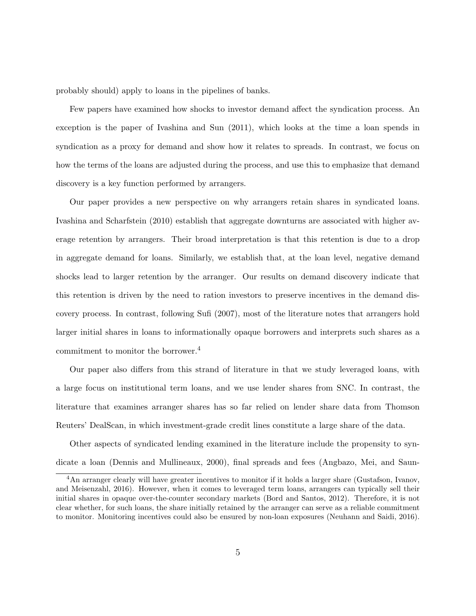probably should) apply to loans in the pipelines of banks.

Few papers have examined how shocks to investor demand affect the syndication process. An exception is the paper of Ivashina and Sun (2011), which looks at the time a loan spends in syndication as a proxy for demand and show how it relates to spreads. In contrast, we focus on how the terms of the loans are adjusted during the process, and use this to emphasize that demand discovery is a key function performed by arrangers.

Our paper provides a new perspective on why arrangers retain shares in syndicated loans. Ivashina and Scharfstein (2010) establish that aggregate downturns are associated with higher average retention by arrangers. Their broad interpretation is that this retention is due to a drop in aggregate demand for loans. Similarly, we establish that, at the loan level, negative demand shocks lead to larger retention by the arranger. Our results on demand discovery indicate that this retention is driven by the need to ration investors to preserve incentives in the demand discovery process. In contrast, following Sufi (2007), most of the literature notes that arrangers hold larger initial shares in loans to informationally opaque borrowers and interprets such shares as a commitment to monitor the borrower.<sup>4</sup>

Our paper also differs from this strand of literature in that we study leveraged loans, with a large focus on institutional term loans, and we use lender shares from SNC. In contrast, the literature that examines arranger shares has so far relied on lender share data from Thomson Reuters' DealScan, in which investment-grade credit lines constitute a large share of the data.

Other aspects of syndicated lending examined in the literature include the propensity to syndicate a loan (Dennis and Mullineaux, 2000), final spreads and fees (Angbazo, Mei, and Saun-

<sup>&</sup>lt;sup>4</sup>An arranger clearly will have greater incentives to monitor if it holds a larger share (Gustafson, Ivanov, and Meisenzahl, 2016). However, when it comes to leveraged term loans, arrangers can typically sell their initial shares in opaque over-the-counter secondary markets (Bord and Santos, 2012). Therefore, it is not clear whether, for such loans, the share initially retained by the arranger can serve as a reliable commitment to monitor. Monitoring incentives could also be ensured by non-loan exposures (Neuhann and Saidi, 2016).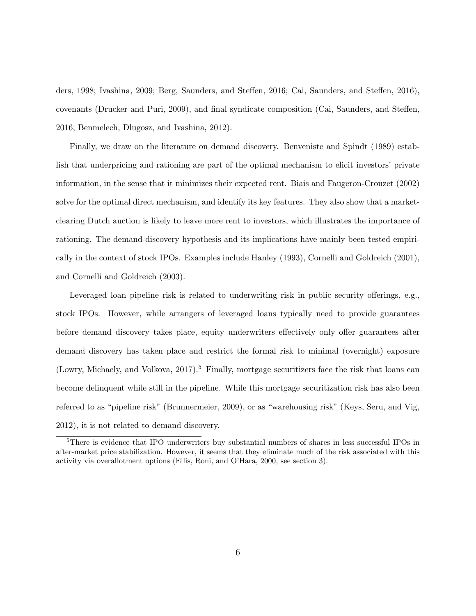ders, 1998; Ivashina, 2009; Berg, Saunders, and Steffen, 2016; Cai, Saunders, and Steffen, 2016), covenants (Drucker and Puri, 2009), and final syndicate composition (Cai, Saunders, and Steffen, 2016; Benmelech, Dlugosz, and Ivashina, 2012).

Finally, we draw on the literature on demand discovery. Benveniste and Spindt (1989) establish that underpricing and rationing are part of the optimal mechanism to elicit investors' private information, in the sense that it minimizes their expected rent. Biais and Faugeron-Crouzet (2002) solve for the optimal direct mechanism, and identify its key features. They also show that a marketclearing Dutch auction is likely to leave more rent to investors, which illustrates the importance of rationing. The demand-discovery hypothesis and its implications have mainly been tested empirically in the context of stock IPOs. Examples include Hanley (1993), Cornelli and Goldreich (2001), and Cornelli and Goldreich (2003).

Leveraged loan pipeline risk is related to underwriting risk in public security offerings, e.g., stock IPOs. However, while arrangers of leveraged loans typically need to provide guarantees before demand discovery takes place, equity underwriters effectively only offer guarantees after demand discovery has taken place and restrict the formal risk to minimal (overnight) exposure (Lowry, Michaely, and Volkova,  $2017$ ).<sup>5</sup> Finally, mortgage securitizers face the risk that loans can become delinquent while still in the pipeline. While this mortgage securitization risk has also been referred to as "pipeline risk" (Brunnermeier, 2009), or as "warehousing risk" (Keys, Seru, and Vig, 2012), it is not related to demand discovery.

<sup>5</sup>There is evidence that IPO underwriters buy substantial numbers of shares in less successful IPOs in after-market price stabilization. However, it seems that they eliminate much of the risk associated with this activity via overallotment options (Ellis, Roni, and O'Hara, 2000, see section 3).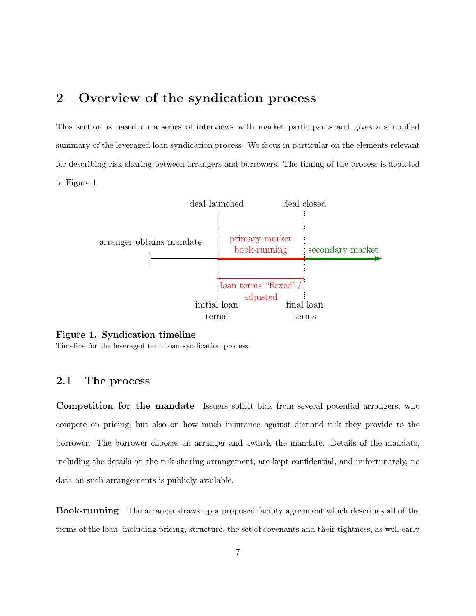## 2 Overview of the syndication process

This section is based on a series of interviews with market participants and gives a simplified summary of the leveraged loan syndication process. We focus in particular on the elements relevant for describing risk-sharing between arrangers and borrowers. The timing of the process is depicted in Figure 1.



#### Figure 1. Syndication timeline

Timeline for the leveraged term loan syndication process.

### 2.1 The process

Competition for the mandate Issuers solicit bids from several potential arrangers, who compete on pricing, but also on how much insurance against demand risk they provide to the borrower. The borrower chooses an arranger and awards the mandate. Details of the mandate, including the details on the risk-sharing arrangement, are kept confidential, and unfortunately, no data on such arrangements is publicly available.

Book-running The arranger draws up a proposed facility agreement which describes all of the terms of the loan, including pricing, structure, the set of covenants and their tightness, as well early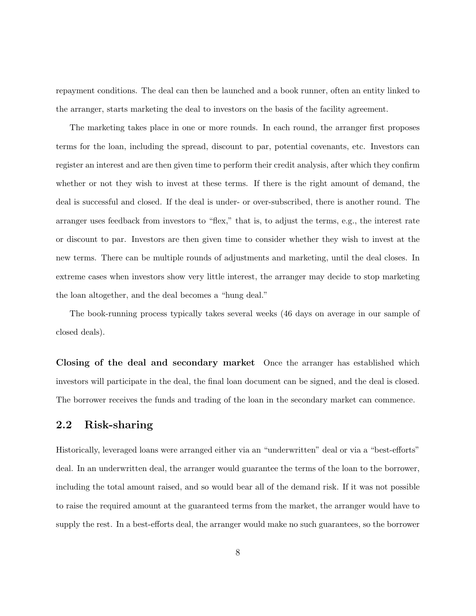repayment conditions. The deal can then be launched and a book runner, often an entity linked to the arranger, starts marketing the deal to investors on the basis of the facility agreement.

The marketing takes place in one or more rounds. In each round, the arranger first proposes terms for the loan, including the spread, discount to par, potential covenants, etc. Investors can register an interest and are then given time to perform their credit analysis, after which they confirm whether or not they wish to invest at these terms. If there is the right amount of demand, the deal is successful and closed. If the deal is under- or over-subscribed, there is another round. The arranger uses feedback from investors to "flex," that is, to adjust the terms, e.g., the interest rate or discount to par. Investors are then given time to consider whether they wish to invest at the new terms. There can be multiple rounds of adjustments and marketing, until the deal closes. In extreme cases when investors show very little interest, the arranger may decide to stop marketing the loan altogether, and the deal becomes a "hung deal."

The book-running process typically takes several weeks (46 days on average in our sample of closed deals).

Closing of the deal and secondary market Once the arranger has established which investors will participate in the deal, the final loan document can be signed, and the deal is closed. The borrower receives the funds and trading of the loan in the secondary market can commence.

## 2.2 Risk-sharing

Historically, leveraged loans were arranged either via an "underwritten" deal or via a "best-efforts" deal. In an underwritten deal, the arranger would guarantee the terms of the loan to the borrower, including the total amount raised, and so would bear all of the demand risk. If it was not possible to raise the required amount at the guaranteed terms from the market, the arranger would have to supply the rest. In a best-efforts deal, the arranger would make no such guarantees, so the borrower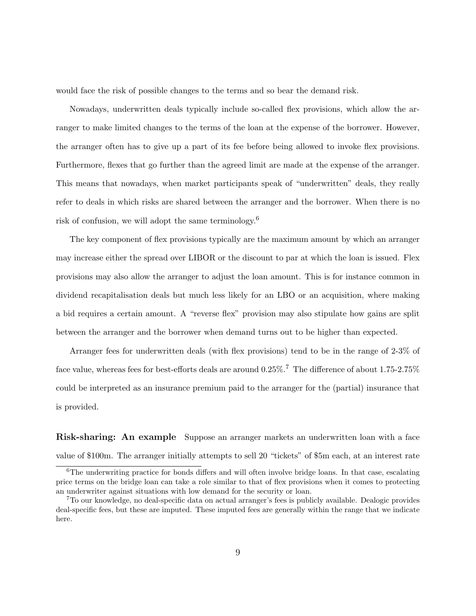would face the risk of possible changes to the terms and so bear the demand risk.

Nowadays, underwritten deals typically include so-called flex provisions, which allow the arranger to make limited changes to the terms of the loan at the expense of the borrower. However, the arranger often has to give up a part of its fee before being allowed to invoke flex provisions. Furthermore, flexes that go further than the agreed limit are made at the expense of the arranger. This means that nowadays, when market participants speak of "underwritten" deals, they really refer to deals in which risks are shared between the arranger and the borrower. When there is no risk of confusion, we will adopt the same terminology.<sup>6</sup>

The key component of flex provisions typically are the maximum amount by which an arranger may increase either the spread over LIBOR or the discount to par at which the loan is issued. Flex provisions may also allow the arranger to adjust the loan amount. This is for instance common in dividend recapitalisation deals but much less likely for an LBO or an acquisition, where making a bid requires a certain amount. A "reverse flex" provision may also stipulate how gains are split between the arranger and the borrower when demand turns out to be higher than expected.

Arranger fees for underwritten deals (with flex provisions) tend to be in the range of 2-3% of face value, whereas fees for best-efforts deals are around  $0.25\%$ .<sup>7</sup> The difference of about 1.75-2.75% could be interpreted as an insurance premium paid to the arranger for the (partial) insurance that is provided.

Risk-sharing: An example Suppose an arranger markets an underwritten loan with a face value of \$100m. The arranger initially attempts to sell 20 "tickets" of \$5m each, at an interest rate

 $6$ The underwriting practice for bonds differs and will often involve bridge loans. In that case, escalating price terms on the bridge loan can take a role similar to that of flex provisions when it comes to protecting an underwriter against situations with low demand for the security or loan.

<sup>7</sup>To our knowledge, no deal-specific data on actual arranger's fees is publicly available. Dealogic provides deal-specific fees, but these are imputed. These imputed fees are generally within the range that we indicate here.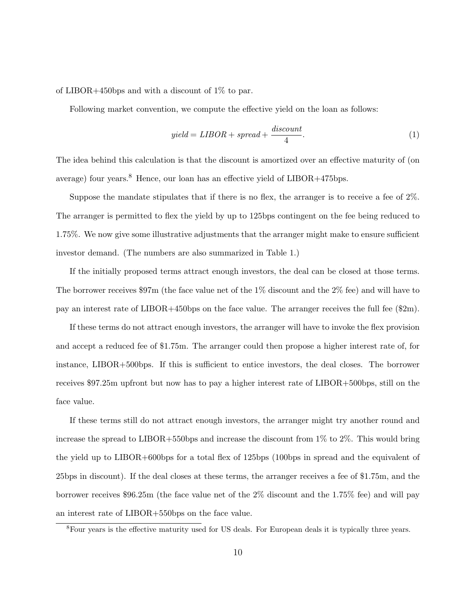of LIBOR+450bps and with a discount of 1% to par.

Following market convention, we compute the effective yield on the loan as follows:

$$
yield = LIBOR + spread + \frac{discount}{4}.\tag{1}
$$

The idea behind this calculation is that the discount is amortized over an effective maturity of (on average) four years.<sup>8</sup> Hence, our loan has an effective yield of LIBOR+475bps.

Suppose the mandate stipulates that if there is no flex, the arranger is to receive a fee of 2%. The arranger is permitted to flex the yield by up to 125bps contingent on the fee being reduced to 1.75%. We now give some illustrative adjustments that the arranger might make to ensure sufficient investor demand. (The numbers are also summarized in Table 1.)

If the initially proposed terms attract enough investors, the deal can be closed at those terms. The borrower receives \$97m (the face value net of the 1% discount and the 2% fee) and will have to pay an interest rate of LIBOR+450bps on the face value. The arranger receives the full fee (\$2m).

If these terms do not attract enough investors, the arranger will have to invoke the flex provision and accept a reduced fee of \$1.75m. The arranger could then propose a higher interest rate of, for instance, LIBOR+500bps. If this is sufficient to entice investors, the deal closes. The borrower receives \$97.25m upfront but now has to pay a higher interest rate of LIBOR+500bps, still on the face value.

If these terms still do not attract enough investors, the arranger might try another round and increase the spread to LIBOR+550bps and increase the discount from 1% to 2%. This would bring the yield up to LIBOR+600bps for a total flex of 125bps (100bps in spread and the equivalent of 25bps in discount). If the deal closes at these terms, the arranger receives a fee of \$1.75m, and the borrower receives \$96.25m (the face value net of the 2% discount and the 1.75% fee) and will pay an interest rate of LIBOR+550bps on the face value.

<sup>&</sup>lt;sup>8</sup>Four years is the effective maturity used for US deals. For European deals it is typically three years.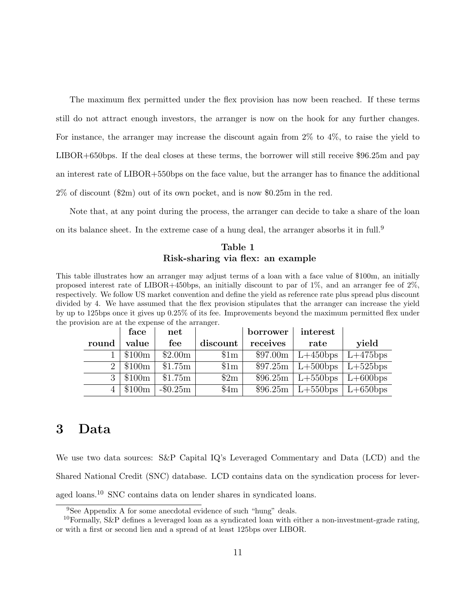The maximum flex permitted under the flex provision has now been reached. If these terms still do not attract enough investors, the arranger is now on the hook for any further changes. For instance, the arranger may increase the discount again from 2% to 4%, to raise the yield to LIBOR+650bps. If the deal closes at these terms, the borrower will still receive \$96.25m and pay an interest rate of LIBOR+550bps on the face value, but the arranger has to finance the additional 2% of discount (\$2m) out of its own pocket, and is now \$0.25m in the red.

Note that, at any point during the process, the arranger can decide to take a share of the loan on its balance sheet. In the extreme case of a hung deal, the arranger absorbs it in full.<sup>9</sup>

### Table 1 Risk-sharing via flex: an example

This table illustrates how an arranger may adjust terms of a loan with a face value of \$100m, an initially proposed interest rate of LIBOR+450bps, an initially discount to par of  $1\%$ , and an arranger fee of  $2\%$ . respectively. We follow US market convention and define the yield as reference rate plus spread plus discount divided by 4. We have assumed that the flex provision stipulates that the arranger can increase the yield by up to 125bps once it gives up 0.25% of its fee. Improvements beyond the maximum permitted flex under the provision are at the expense of the arranger.

|       | face   | $_{\rm net}$ |                 | borrower | interest                        |             |
|-------|--------|--------------|-----------------|----------|---------------------------------|-------------|
| round | value  | fee          | discount        | receives | rate                            | yield       |
|       | \$100m | \$2.00m      | $\$\mathrm{1m}$ | \$97.00m | $\lfloor L+450bps \rfloor$      | $L+475$ bps |
|       | \$100m | \$1.75m      | $\$\mathrm{1m}$ |          | $$97.25m$   L+500bps   L+525bps |             |
| 3     | \$100m | \$1.75m      | 2m              |          | $$96.25m$   L+550bps            | $L+600$ bps |
| 4     | \$100m | $-\$0.25m$   | \$4m            | \$96.25m | $\lfloor L+550bps \rfloor$      | $L+650$ bps |

## 3 Data

We use two data sources: S&P Capital IQ's Leveraged Commentary and Data (LCD) and the Shared National Credit (SNC) database. LCD contains data on the syndication process for leveraged loans.<sup>10</sup> SNC contains data on lender shares in syndicated loans.

<sup>9</sup>See Appendix A for some anecdotal evidence of such "hung" deals.

<sup>&</sup>lt;sup>10</sup>Formally, S&P defines a leveraged loan as a syndicated loan with either a non-investment-grade rating, or with a first or second lien and a spread of at least 125bps over LIBOR.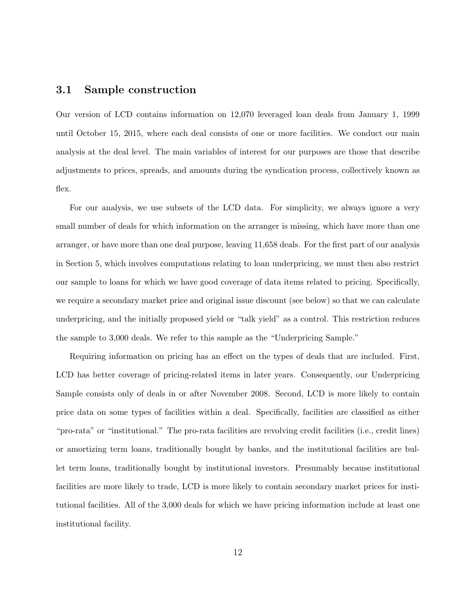### 3.1 Sample construction

Our version of LCD contains information on 12,070 leveraged loan deals from January 1, 1999 until October 15, 2015, where each deal consists of one or more facilities. We conduct our main analysis at the deal level. The main variables of interest for our purposes are those that describe adjustments to prices, spreads, and amounts during the syndication process, collectively known as flex.

For our analysis, we use subsets of the LCD data. For simplicity, we always ignore a very small number of deals for which information on the arranger is missing, which have more than one arranger, or have more than one deal purpose, leaving 11,658 deals. For the first part of our analysis in Section 5, which involves computations relating to loan underpricing, we must then also restrict our sample to loans for which we have good coverage of data items related to pricing. Specifically, we require a secondary market price and original issue discount (see below) so that we can calculate underpricing, and the initially proposed yield or "talk yield" as a control. This restriction reduces the sample to 3,000 deals. We refer to this sample as the "Underpricing Sample."

Requiring information on pricing has an effect on the types of deals that are included. First, LCD has better coverage of pricing-related items in later years. Consequently, our Underpricing Sample consists only of deals in or after November 2008. Second, LCD is more likely to contain price data on some types of facilities within a deal. Specifically, facilities are classified as either "pro-rata" or "institutional." The pro-rata facilities are revolving credit facilities (i.e., credit lines) or amortizing term loans, traditionally bought by banks, and the institutional facilities are bullet term loans, traditionally bought by institutional investors. Presumably because institutional facilities are more likely to trade, LCD is more likely to contain secondary market prices for institutional facilities. All of the 3,000 deals for which we have pricing information include at least one institutional facility.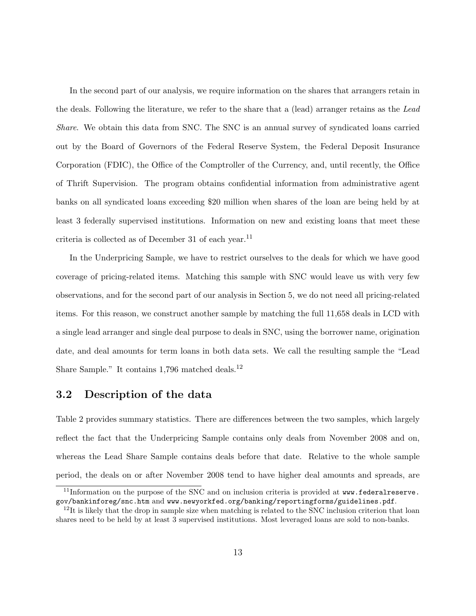In the second part of our analysis, we require information on the shares that arrangers retain in the deals. Following the literature, we refer to the share that a (lead) arranger retains as the Lead Share. We obtain this data from SNC. The SNC is an annual survey of syndicated loans carried out by the Board of Governors of the Federal Reserve System, the Federal Deposit Insurance Corporation (FDIC), the Office of the Comptroller of the Currency, and, until recently, the Office of Thrift Supervision. The program obtains confidential information from administrative agent banks on all syndicated loans exceeding \$20 million when shares of the loan are being held by at least 3 federally supervised institutions. Information on new and existing loans that meet these criteria is collected as of December 31 of each year. $^{11}$ 

In the Underpricing Sample, we have to restrict ourselves to the deals for which we have good coverage of pricing-related items. Matching this sample with SNC would leave us with very few observations, and for the second part of our analysis in Section 5, we do not need all pricing-related items. For this reason, we construct another sample by matching the full 11,658 deals in LCD with a single lead arranger and single deal purpose to deals in SNC, using the borrower name, origination date, and deal amounts for term loans in both data sets. We call the resulting sample the "Lead Share Sample." It contains 1,796 matched deals.<sup>12</sup>

## 3.2 Description of the data

Table 2 provides summary statistics. There are differences between the two samples, which largely reflect the fact that the Underpricing Sample contains only deals from November 2008 and on, whereas the Lead Share Sample contains deals before that date. Relative to the whole sample period, the deals on or after November 2008 tend to have higher deal amounts and spreads, are

<sup>&</sup>lt;sup>11</sup>Information on the purpose of the SNC and on inclusion criteria is provided at www.federalreserve. gov/bankinforeg/snc.htm and www.newyorkfed.org/banking/reportingforms/guidelines.pdf.

 $12$ It is likely that the drop in sample size when matching is related to the SNC inclusion criterion that loan shares need to be held by at least 3 supervised institutions. Most leveraged loans are sold to non-banks.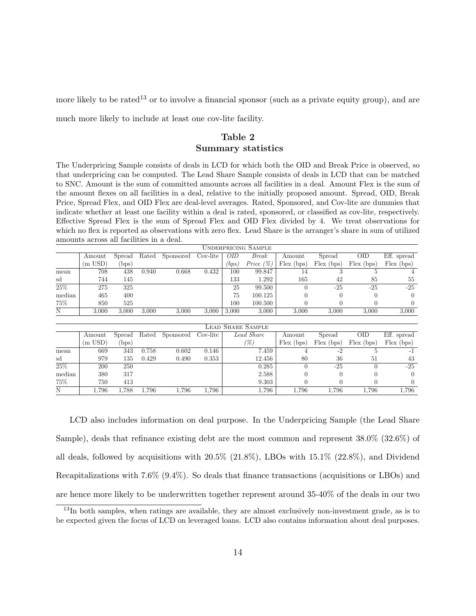more likely to be rated<sup>13</sup> or to involve a financial sponsor (such as a private equity group), and are

much more likely to include at least one cov-lite facility.

#### Table 2

#### Summary statistics

The Underpricing Sample consists of deals in LCD for which both the OID and Break Price is observed, so that underpricing can be computed. The Lead Share Sample consists of deals in LCD that can be matched to SNC. Amount is the sum of committed amounts across all facilities in a deal. Amount Flex is the sum of the amount flexes on all facilities in a deal, relative to the initially proposed amount. Spread, OID, Break Price, Spread Flex, and OID Flex are deal-level averages. Rated, Sponsored, and Cov-lite are dummies that indicate whether at least one facility within a deal is rated, sponsored, or classified as cov-lite, respectively. Effective Spread Flex is the sum of Spread Flex and OID Flex divided by 4. We treat observations for which no flex is reported as observations with zero flex. Lead Share is the arranger's share in sum of utilized amounts across all facilities in a deal.

|                   | amoums across an nacimics in a ucai. |                |       |           |          |            |                          |              |              |              |                  |
|-------------------|--------------------------------------|----------------|-------|-----------|----------|------------|--------------------------|--------------|--------------|--------------|------------------|
|                   | <b>UNDERPRICING SAMPLE</b>           |                |       |           |          |            |                          |              |              |              |                  |
|                   | Amount                               | Spread         | Rated | Sponsored | Cov-lite | <i>OID</i> | Break                    | Amount       | Spread       | <b>OID</b>   | Eff. spread      |
|                   | $(m$ USD)                            | (bps)          |       |           |          | $_{bps)}$  | Price $(\%)$             | $Flex$ (bps) | $Flex$ (bps) | $Flex$ (bps) | Flex (bps)       |
| mean              | 708                                  | 438            | 0.940 | 0.668     | 0.432    | 100        | 99.847                   | 14           | 3            | 5            |                  |
| sd                | 744                                  | 145            |       |           |          | 133        | 1.292                    | 165          | 42           | 85           | 55               |
| 25%               | 275                                  | 325            |       |           |          | 25         | 99.500                   | $\Omega$     | $-25$        | $-25$        | $-25$            |
| median            | 465                                  | 400            |       |           |          | 75         | 100.125                  |              |              | $\mathbf{0}$ | $\left( \right)$ |
| 75%               | 850                                  | 525            |       |           |          | 100        | 100.500                  |              |              | 0            | $\left( \right)$ |
| N                 | 3.000                                | 3.000          | 3.000 | 3,000     | 3.000    | 3,000      | 3,000                    | 3.000        | 3,000        | 3.000        | 3,000            |
|                   |                                      |                |       |           |          |            |                          |              |              |              |                  |
|                   |                                      |                |       |           |          |            | <b>LEAD SHARE SAMPLE</b> |              |              |              |                  |
|                   | Amount                               | Spread         | Rated | Sponsored | Cov-lite |            | Lead Share               | Amount       | Spread       | <b>OID</b>   | Eff. spread      |
|                   | (m USD)                              | $_{\rm (bps)}$ |       |           |          |            | (%)                      | $Flex$ (bps) | $Flex$ (bps) | Flex (bps)   | Flex (bps)       |
| mean              | 669                                  | 343            | 0.758 | 0.602     | 0.146    |            | 7.459                    |              | $-2$         | 5            | $-1$             |
| sd                | 979                                  | 135            | 0.429 | 0.490     | 0.353    |            | 12.456                   | 80           | 36           | 51           | 43               |
| $\overline{25\%}$ | 200                                  | 250            |       |           |          |            | 0.285                    | $\Omega$     | $-25$        | 0            | $-25$            |
| median            | 380                                  | 317            |       |           |          |            | 2.588                    |              |              | 0            | $\Omega$         |
| 75%               | 750                                  | 413            |       |           |          |            | 9.303                    |              |              |              | 0                |
| N                 | 1.796                                | 1,788          | 1,796 | 1.796     | 1.796    |            | 1,796                    | 1,796        | 1.796        | 1.796        | 1.796            |

LCD also includes information on deal purpose. In the Underpricing Sample (the Lead Share Sample), deals that refinance existing debt are the most common and represent 38.0% (32.6%) of all deals, followed by acquisitions with 20.5% (21.8%), LBOs with 15.1% (22.8%), and Dividend Recapitalizations with 7.6% (9.4%). So deals that finance transactions (acquisitions or LBOs) and are hence more likely to be underwritten together represent around 35-40% of the deals in our two

 $13$ In both samples, when ratings are available, they are almost exclusively non-investment grade, as is to be expected given the focus of LCD on leveraged loans. LCD also contains information about deal purposes.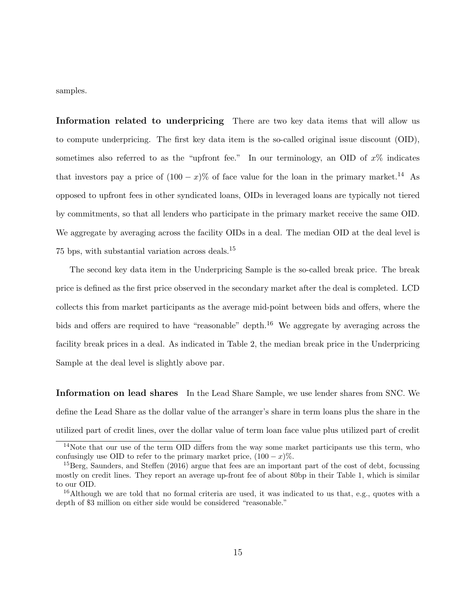samples.

Information related to underpricing There are two key data items that will allow us to compute underpricing. The first key data item is the so-called original issue discount (OID), sometimes also referred to as the "upfront fee." In our terminology, an OID of  $x\%$  indicates that investors pay a price of  $(100 - x)\%$  of face value for the loan in the primary market.<sup>14</sup> As opposed to upfront fees in other syndicated loans, OIDs in leveraged loans are typically not tiered by commitments, so that all lenders who participate in the primary market receive the same OID. We aggregate by averaging across the facility OIDs in a deal. The median OID at the deal level is 75 bps, with substantial variation across deals.<sup>15</sup>

The second key data item in the Underpricing Sample is the so-called break price. The break price is defined as the first price observed in the secondary market after the deal is completed. LCD collects this from market participants as the average mid-point between bids and offers, where the bids and offers are required to have "reasonable" depth.<sup>16</sup> We aggregate by averaging across the facility break prices in a deal. As indicated in Table 2, the median break price in the Underpricing Sample at the deal level is slightly above par.

Information on lead shares In the Lead Share Sample, we use lender shares from SNC. We define the Lead Share as the dollar value of the arranger's share in term loans plus the share in the utilized part of credit lines, over the dollar value of term loan face value plus utilized part of credit

<sup>&</sup>lt;sup>14</sup>Note that our use of the term OID differs from the way some market participants use this term, who confusingly use OID to refer to the primary market price,  $(100 - x)\%$ .

 $^{15}$ Berg, Saunders, and Steffen (2016) argue that fees are an important part of the cost of debt, focussing mostly on credit lines. They report an average up-front fee of about 80bp in their Table 1, which is similar to our OID.

<sup>16</sup>Although we are told that no formal criteria are used, it was indicated to us that, e.g., quotes with a depth of \$3 million on either side would be considered "reasonable."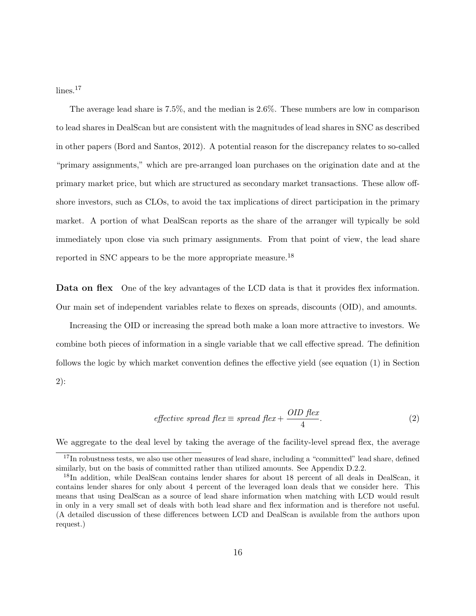$lines.<sup>17</sup>$ 

The average lead share is 7.5%, and the median is 2.6%. These numbers are low in comparison to lead shares in DealScan but are consistent with the magnitudes of lead shares in SNC as described in other papers (Bord and Santos, 2012). A potential reason for the discrepancy relates to so-called "primary assignments," which are pre-arranged loan purchases on the origination date and at the primary market price, but which are structured as secondary market transactions. These allow offshore investors, such as CLOs, to avoid the tax implications of direct participation in the primary market. A portion of what DealScan reports as the share of the arranger will typically be sold immediately upon close via such primary assignments. From that point of view, the lead share reported in SNC appears to be the more appropriate measure.<sup>18</sup>

Data on flex One of the key advantages of the LCD data is that it provides flex information. Our main set of independent variables relate to flexes on spreads, discounts (OID), and amounts.

Increasing the OID or increasing the spread both make a loan more attractive to investors. We combine both pieces of information in a single variable that we call effective spread. The definition follows the logic by which market convention defines the effective yield (see equation (1) in Section 2):

$$
effective\ spread\ flex \equiv spread\ flex + \frac{OID\ flex}{4}.\tag{2}
$$

We aggregate to the deal level by taking the average of the facility-level spread flex, the average

<sup>&</sup>lt;sup>17</sup>In robustness tests, we also use other measures of lead share, including a "committed" lead share, defined similarly, but on the basis of committed rather than utilized amounts. See Appendix D.2.2.

<sup>18</sup>In addition, while DealScan contains lender shares for about 18 percent of all deals in DealScan, it contains lender shares for only about 4 percent of the leveraged loan deals that we consider here. This means that using DealScan as a source of lead share information when matching with LCD would result in only in a very small set of deals with both lead share and flex information and is therefore not useful. (A detailed discussion of these differences between LCD and DealScan is available from the authors upon request.)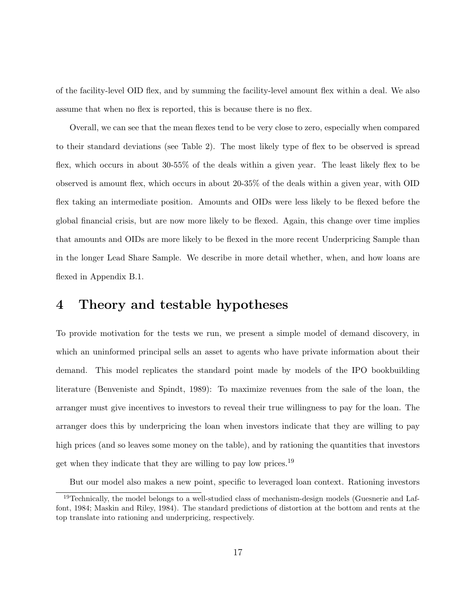of the facility-level OID flex, and by summing the facility-level amount flex within a deal. We also assume that when no flex is reported, this is because there is no flex.

Overall, we can see that the mean flexes tend to be very close to zero, especially when compared to their standard deviations (see Table 2). The most likely type of flex to be observed is spread flex, which occurs in about 30-55% of the deals within a given year. The least likely flex to be observed is amount flex, which occurs in about 20-35% of the deals within a given year, with OID flex taking an intermediate position. Amounts and OIDs were less likely to be flexed before the global financial crisis, but are now more likely to be flexed. Again, this change over time implies that amounts and OIDs are more likely to be flexed in the more recent Underpricing Sample than in the longer Lead Share Sample. We describe in more detail whether, when, and how loans are flexed in Appendix B.1.

## 4 Theory and testable hypotheses

To provide motivation for the tests we run, we present a simple model of demand discovery, in which an uninformed principal sells an asset to agents who have private information about their demand. This model replicates the standard point made by models of the IPO bookbuilding literature (Benveniste and Spindt, 1989): To maximize revenues from the sale of the loan, the arranger must give incentives to investors to reveal their true willingness to pay for the loan. The arranger does this by underpricing the loan when investors indicate that they are willing to pay high prices (and so leaves some money on the table), and by rationing the quantities that investors get when they indicate that they are willing to pay low prices.<sup>19</sup>

But our model also makes a new point, specific to leveraged loan context. Rationing investors

<sup>&</sup>lt;sup>19</sup>Technically, the model belongs to a well-studied class of mechanism-design models (Guesnerie and Laffont, 1984; Maskin and Riley, 1984). The standard predictions of distortion at the bottom and rents at the top translate into rationing and underpricing, respectively.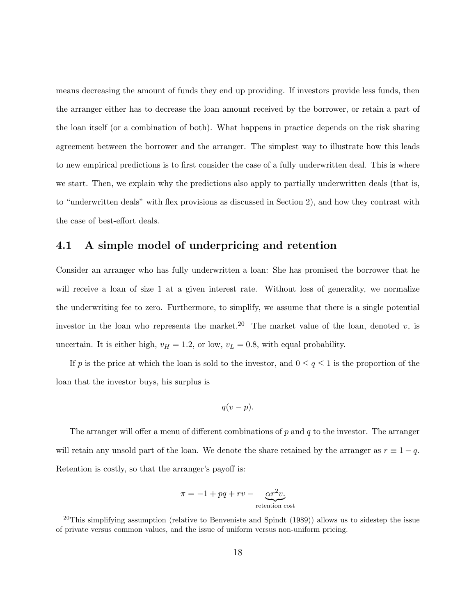means decreasing the amount of funds they end up providing. If investors provide less funds, then the arranger either has to decrease the loan amount received by the borrower, or retain a part of the loan itself (or a combination of both). What happens in practice depends on the risk sharing agreement between the borrower and the arranger. The simplest way to illustrate how this leads to new empirical predictions is to first consider the case of a fully underwritten deal. This is where we start. Then, we explain why the predictions also apply to partially underwritten deals (that is, to "underwritten deals" with flex provisions as discussed in Section 2), and how they contrast with the case of best-effort deals.

## 4.1 A simple model of underpricing and retention

Consider an arranger who has fully underwritten a loan: She has promised the borrower that he will receive a loan of size 1 at a given interest rate. Without loss of generality, we normalize the underwriting fee to zero. Furthermore, to simplify, we assume that there is a single potential investor in the loan who represents the market.<sup>20</sup> The market value of the loan, denoted v, is uncertain. It is either high,  $v_H = 1.2$ , or low,  $v_L = 0.8$ , with equal probability.

If p is the price at which the loan is sold to the investor, and  $0 \le q \le 1$  is the proportion of the loan that the investor buys, his surplus is

$$
q(v-p).
$$

The arranger will offer a menu of different combinations of  $p$  and  $q$  to the investor. The arranger will retain any unsold part of the loan. We denote the share retained by the arranger as  $r \equiv 1 - q$ . Retention is costly, so that the arranger's payoff is:

$$
\pi = -1 + pq + rv - \underbrace{\alpha r^2 v}_{\text{retention cost}}
$$

<sup>&</sup>lt;sup>20</sup>This simplifying assumption (relative to Benveniste and Spindt  $(1989)$ ) allows us to sidestep the issue of private versus common values, and the issue of uniform versus non-uniform pricing.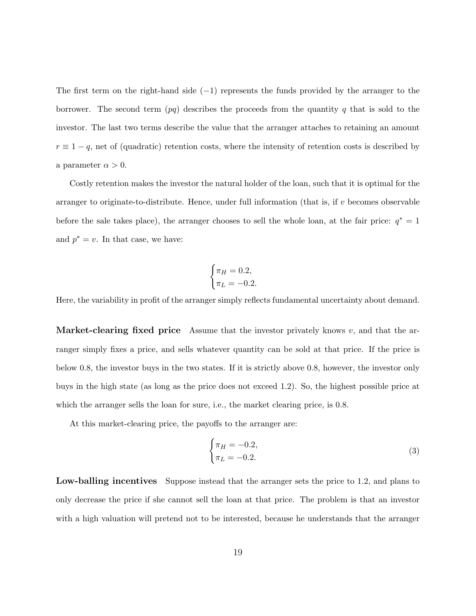The first term on the right-hand side  $(-1)$  represents the funds provided by the arranger to the borrower. The second term  $(pq)$  describes the proceeds from the quantity q that is sold to the investor. The last two terms describe the value that the arranger attaches to retaining an amount  $r \equiv 1 - q$ , net of (quadratic) retention costs, where the intensity of retention costs is described by a parameter  $\alpha > 0$ .

Costly retention makes the investor the natural holder of the loan, such that it is optimal for the arranger to originate-to-distribute. Hence, under full information (that is, if  $v$  becomes observable before the sale takes place), the arranger chooses to sell the whole loan, at the fair price:  $q^* = 1$ and  $p^* = v$ . In that case, we have:

$$
\begin{cases} \pi_H = 0.2, \\ \pi_L = -0.2. \end{cases}
$$

Here, the variability in profit of the arranger simply reflects fundamental uncertainty about demand.

**Market-clearing fixed price** Assume that the investor privately knows v, and that the arranger simply fixes a price, and sells whatever quantity can be sold at that price. If the price is below 0.8, the investor buys in the two states. If it is strictly above 0.8, however, the investor only buys in the high state (as long as the price does not exceed 1.2). So, the highest possible price at which the arranger sells the loan for sure, i.e., the market clearing price, is 0.8.

At this market-clearing price, the payoffs to the arranger are:

$$
\begin{cases} \pi_H = -0.2, \\ \pi_L = -0.2. \end{cases} \tag{3}
$$

Low-balling incentives Suppose instead that the arranger sets the price to 1.2, and plans to only decrease the price if she cannot sell the loan at that price. The problem is that an investor with a high valuation will pretend not to be interested, because he understands that the arranger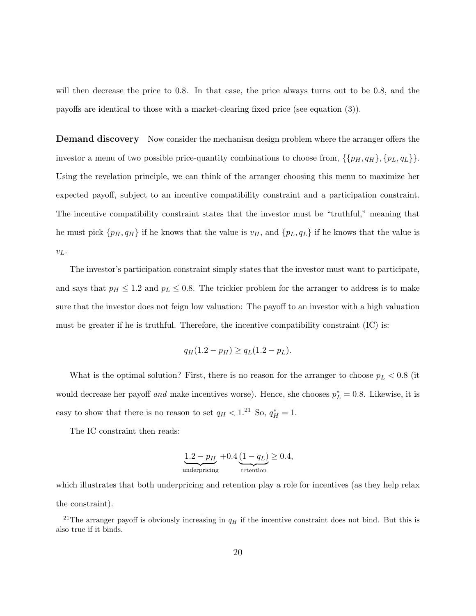will then decrease the price to 0.8. In that case, the price always turns out to be 0.8, and the payoffs are identical to those with a market-clearing fixed price (see equation (3)).

**Demand discovery** Now consider the mechanism design problem where the arranger offers the investor a menu of two possible price-quantity combinations to choose from,  $\{\{p_H, q_H\}, \{p_L, q_L\}\}.$ Using the revelation principle, we can think of the arranger choosing this menu to maximize her expected payoff, subject to an incentive compatibility constraint and a participation constraint. The incentive compatibility constraint states that the investor must be "truthful," meaning that he must pick  $\{p_H, q_H\}$  if he knows that the value is  $v_H$ , and  $\{p_L, q_L\}$  if he knows that the value is  $v_L$ .

The investor's participation constraint simply states that the investor must want to participate, and says that  $p_H \leq 1.2$  and  $p_L \leq 0.8$ . The trickier problem for the arranger to address is to make sure that the investor does not feign low valuation: The payoff to an investor with a high valuation must be greater if he is truthful. Therefore, the incentive compatibility constraint (IC) is:

$$
q_H(1.2 - p_H) \ge q_L(1.2 - p_L).
$$

What is the optimal solution? First, there is no reason for the arranger to choose  $p<sub>L</sub> < 0.8$  (it would decrease her payoff and make incentives worse). Hence, she chooses  $p_L^* = 0.8$ . Likewise, it is easy to show that there is no reason to set  $q_H < 1.^{21}$  So,  $q_H^* = 1$ .

The IC constraint then reads:

$$
\underbrace{1.2 - p_H}_{\text{underpricing}} + 0.4 \underbrace{(1 - q_L)}_{\text{retention}} \ge 0.4,
$$

which illustrates that both underpricing and retention play a role for incentives (as they help relax the constraint).

<sup>&</sup>lt;sup>21</sup>The arranger payoff is obviously increasing in  $q_H$  if the incentive constraint does not bind. But this is also true if it binds.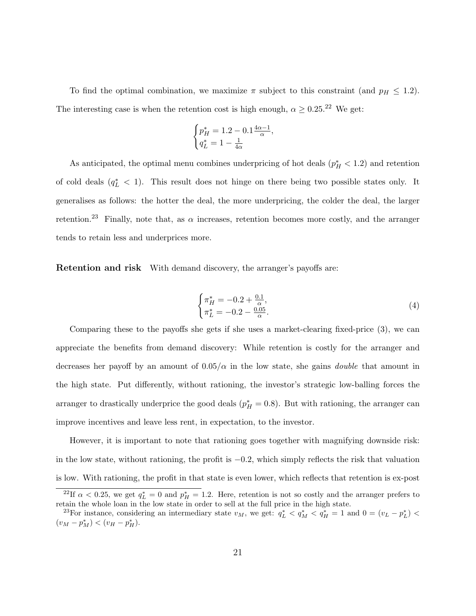To find the optimal combination, we maximize  $\pi$  subject to this constraint (and  $p_H \leq 1.2$ ). The interesting case is when the retention cost is high enough,  $\alpha \geq 0.25$ .<sup>22</sup> We get:

,

$$
\begin{cases} p_H^* = 1.2 - 0.1 \frac{4\alpha - 1}{\alpha} \\ q_L^* = 1 - \frac{1}{4\alpha} \end{cases}
$$

As anticipated, the optimal menu combines underpricing of hot deals  $(p_H^* < 1.2)$  and retention of cold deals  $(q_L^* < 1)$ . This result does not hinge on there being two possible states only. It generalises as follows: the hotter the deal, the more underpricing, the colder the deal, the larger retention.<sup>23</sup> Finally, note that, as  $\alpha$  increases, retention becomes more costly, and the arranger tends to retain less and underprices more.

**Retention and risk** With demand discovery, the arranger's payoffs are:

$$
\begin{cases} \pi_H^* = -0.2 + \frac{0.1}{\alpha}, \\ \pi_L^* = -0.2 - \frac{0.05}{\alpha}. \end{cases}
$$
 (4)

Comparing these to the payoffs she gets if she uses a market-clearing fixed-price (3), we can appreciate the benefits from demand discovery: While retention is costly for the arranger and decreases her payoff by an amount of  $0.05/\alpha$  in the low state, she gains *double* that amount in the high state. Put differently, without rationing, the investor's strategic low-balling forces the arranger to drastically underprice the good deals  $(p_H^* = 0.8)$ . But with rationing, the arranger can improve incentives and leave less rent, in expectation, to the investor.

However, it is important to note that rationing goes together with magnifying downside risk: in the low state, without rationing, the profit is  $-0.2$ , which simply reflects the risk that valuation is low. With rationing, the profit in that state is even lower, which reflects that retention is ex-post

<sup>&</sup>lt;sup>22</sup>If  $\alpha$  < 0.25, we get  $q_L^* = 0$  and  $p_H^* = 1.2$ . Here, retention is not so costly and the arranger prefers to retain the whole loan in the low state in order to sell at the full price in the high state.

<sup>&</sup>lt;sup>23</sup>For instance, considering an intermediary state  $v_M$ , we get:  $q_L^* < q_M^* < q_H^* = 1$  and  $0 = (v_L - p_L^*) <$  $(v_M - p_M^*) < (v_H - p_H^*).$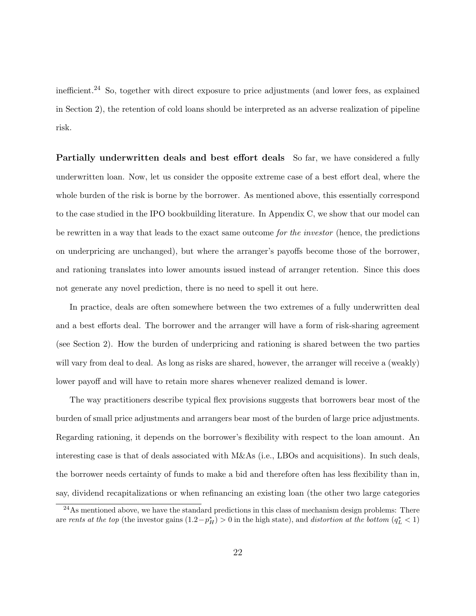inefficient.<sup>24</sup> So, together with direct exposure to price adjustments (and lower fees, as explained in Section 2), the retention of cold loans should be interpreted as an adverse realization of pipeline risk.

Partially underwritten deals and best effort deals So far, we have considered a fully underwritten loan. Now, let us consider the opposite extreme case of a best effort deal, where the whole burden of the risk is borne by the borrower. As mentioned above, this essentially correspond to the case studied in the IPO bookbuilding literature. In Appendix C, we show that our model can be rewritten in a way that leads to the exact same outcome for the investor (hence, the predictions on underpricing are unchanged), but where the arranger's payoffs become those of the borrower, and rationing translates into lower amounts issued instead of arranger retention. Since this does not generate any novel prediction, there is no need to spell it out here.

In practice, deals are often somewhere between the two extremes of a fully underwritten deal and a best efforts deal. The borrower and the arranger will have a form of risk-sharing agreement (see Section 2). How the burden of underpricing and rationing is shared between the two parties will vary from deal to deal. As long as risks are shared, however, the arranger will receive a (weakly) lower payoff and will have to retain more shares whenever realized demand is lower.

The way practitioners describe typical flex provisions suggests that borrowers bear most of the burden of small price adjustments and arrangers bear most of the burden of large price adjustments. Regarding rationing, it depends on the borrower's flexibility with respect to the loan amount. An interesting case is that of deals associated with M&As (i.e., LBOs and acquisitions). In such deals, the borrower needs certainty of funds to make a bid and therefore often has less flexibility than in, say, dividend recapitalizations or when refinancing an existing loan (the other two large categories

<sup>&</sup>lt;sup>24</sup>As mentioned above, we have the standard predictions in this class of mechanism design problems: There are rents at the top (the investor gains  $(1.2-p_H^*)>0$  in the high state), and distortion at the bottom  $(q_L^* < 1)$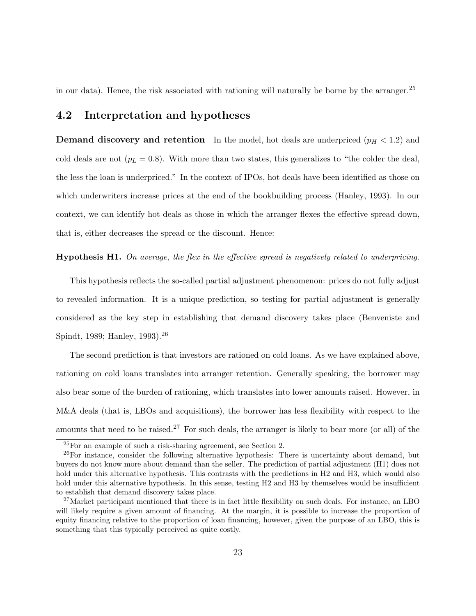in our data). Hence, the risk associated with rationing will naturally be borne by the arranger.<sup>25</sup>

### 4.2 Interpretation and hypotheses

**Demand discovery and retention** In the model, hot deals are underpriced  $(p_H < 1.2)$  and cold deals are not  $(p_L = 0.8)$ . With more than two states, this generalizes to "the colder the deal, the less the loan is underpriced." In the context of IPOs, hot deals have been identified as those on which underwriters increase prices at the end of the bookbuilding process (Hanley, 1993). In our context, we can identify hot deals as those in which the arranger flexes the effective spread down, that is, either decreases the spread or the discount. Hence:

#### Hypothesis H1. On average, the flex in the effective spread is negatively related to underpricing.

This hypothesis reflects the so-called partial adjustment phenomenon: prices do not fully adjust to revealed information. It is a unique prediction, so testing for partial adjustment is generally considered as the key step in establishing that demand discovery takes place (Benveniste and Spindt, 1989; Hanley, 1993).<sup>26</sup>

The second prediction is that investors are rationed on cold loans. As we have explained above, rationing on cold loans translates into arranger retention. Generally speaking, the borrower may also bear some of the burden of rationing, which translates into lower amounts raised. However, in M&A deals (that is, LBOs and acquisitions), the borrower has less flexibility with respect to the amounts that need to be raised.<sup>27</sup> For such deals, the arranger is likely to bear more (or all) of the

<sup>25</sup>For an example of such a risk-sharing agreement, see Section 2.

 $26$ For instance, consider the following alternative hypothesis: There is uncertainty about demand, but buyers do not know more about demand than the seller. The prediction of partial adjustment (H1) does not hold under this alternative hypothesis. This contrasts with the predictions in H2 and H3, which would also hold under this alternative hypothesis. In this sense, testing H2 and H3 by themselves would be insufficient to establish that demand discovery takes place.

<sup>27</sup>Market participant mentioned that there is in fact little flexibility on such deals. For instance, an LBO will likely require a given amount of financing. At the margin, it is possible to increase the proportion of equity financing relative to the proportion of loan financing, however, given the purpose of an LBO, this is something that this typically perceived as quite costly.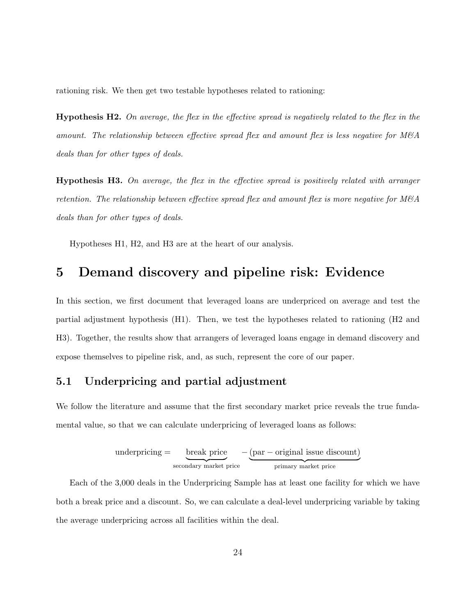rationing risk. We then get two testable hypotheses related to rationing:

**Hypothesis H2.** On average, the flex in the effective spread is negatively related to the flex in the amount. The relationship between effective spread flex and amount flex is less negative for  $M\&A$ deals than for other types of deals.

Hypothesis H3. On average, the flex in the effective spread is positively related with arranger retention. The relationship between effective spread flex and amount flex is more negative for  $M\&A$ deals than for other types of deals.

Hypotheses H1, H2, and H3 are at the heart of our analysis.

## 5 Demand discovery and pipeline risk: Evidence

In this section, we first document that leveraged loans are underpriced on average and test the partial adjustment hypothesis (H1). Then, we test the hypotheses related to rationing (H2 and H3). Together, the results show that arrangers of leveraged loans engage in demand discovery and expose themselves to pipeline risk, and, as such, represent the core of our paper.

## 5.1 Underpricing and partial adjustment

We follow the literature and assume that the first secondary market price reveals the true fundamental value, so that we can calculate underpricing of leveraged loans as follows:

under pricing = 
$$
\underbrace{\text{break price}}_{\text{secondary market price}} - \underbrace{\text{(par - original issue discount)}}_{\text{primary market price}}
$$

Each of the 3,000 deals in the Underpricing Sample has at least one facility for which we have both a break price and a discount. So, we can calculate a deal-level underpricing variable by taking the average underpricing across all facilities within the deal.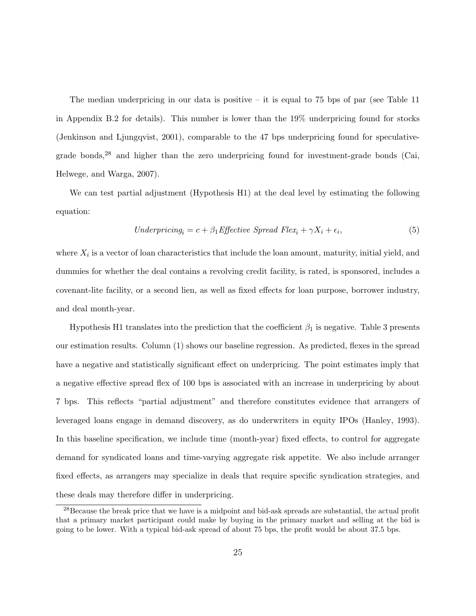The median underpricing in our data is positive – it is equal to 75 bps of par (see Table 11) in Appendix B.2 for details). This number is lower than the 19% underpricing found for stocks (Jenkinson and Ljungqvist, 2001), comparable to the 47 bps underpricing found for speculativegrade bonds, $28$  and higher than the zero underpricing found for investment-grade bonds (Cai, Helwege, and Warga, 2007).

We can test partial adjustment (Hypothesis H1) at the deal level by estimating the following equation:

$$
Under pricing_i = c + \beta_1 Effective\; Spread\; Flex_i + \gamma X_i + \epsilon_i,
$$
\n
$$
(5)
$$

where  $X_i$  is a vector of loan characteristics that include the loan amount, maturity, initial yield, and dummies for whether the deal contains a revolving credit facility, is rated, is sponsored, includes a covenant-lite facility, or a second lien, as well as fixed effects for loan purpose, borrower industry, and deal month-year.

Hypothesis H1 translates into the prediction that the coefficient  $\beta_1$  is negative. Table 3 presents our estimation results. Column (1) shows our baseline regression. As predicted, flexes in the spread have a negative and statistically significant effect on underpricing. The point estimates imply that a negative effective spread flex of 100 bps is associated with an increase in underpricing by about 7 bps. This reflects "partial adjustment" and therefore constitutes evidence that arrangers of leveraged loans engage in demand discovery, as do underwriters in equity IPOs (Hanley, 1993). In this baseline specification, we include time (month-year) fixed effects, to control for aggregate demand for syndicated loans and time-varying aggregate risk appetite. We also include arranger fixed effects, as arrangers may specialize in deals that require specific syndication strategies, and these deals may therefore differ in underpricing.

<sup>&</sup>lt;sup>28</sup>Because the break price that we have is a midpoint and bid-ask spreads are substantial, the actual profit that a primary market participant could make by buying in the primary market and selling at the bid is going to be lower. With a typical bid-ask spread of about 75 bps, the profit would be about 37.5 bps.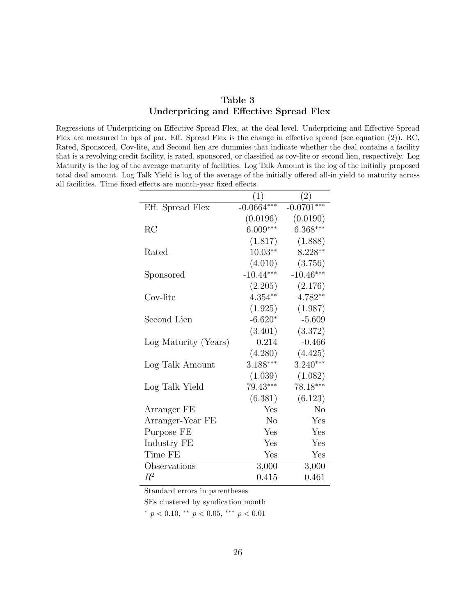| Table 3                                |  |  |  |  |  |  |
|----------------------------------------|--|--|--|--|--|--|
| Underpricing and Effective Spread Flex |  |  |  |  |  |  |

Regressions of Underpricing on Effective Spread Flex, at the deal level. Underpricing and Effective Spread Flex are measured in bps of par. Eff. Spread Flex is the change in effective spread (see equation (2)). RC, Rated, Sponsored, Cov-lite, and Second lien are dummies that indicate whether the deal contains a facility that is a revolving credit facility, is rated, sponsored, or classified as cov-lite or second lien, respectively. Log Maturity is the log of the average maturity of facilities. Log Talk Amount is the log of the initially proposed total deal amount. Log Talk Yield is log of the average of the initially offered all-in yield to maturity across all facilities. Time fixed effects are month-year fixed effects.

|                      | $\left( 1\right)$ | (2)          |
|----------------------|-------------------|--------------|
| Eff. Spread Flex     | $-0.0664***$      | $-0.0701***$ |
|                      | (0.0196)          | (0.0190)     |
| RC                   | $6.009***$        | $6.368***$   |
|                      | (1.817)           | (1.888)      |
| Rated                | $10.03**$         | $8.228**$    |
|                      | (4.010)           | (3.756)      |
| Sponsored            | $-10.44***$       | $-10.46***$  |
|                      | (2.205)           | (2.176)      |
| Cov-lite             | $4.354**$         | 4.782**      |
|                      | (1.925)           | (1.987)      |
| Second Lien          | $-6.620*$         | $-5.609$     |
|                      | (3.401)           | (3.372)      |
| Log Maturity (Years) | 0.214             | $-0.466$     |
|                      | (4.280)           | (4.425)      |
| Log Talk Amount      | 3.188***          | $3.240***$   |
|                      | (1.039)           | (1.082)      |
| Log Talk Yield       | 79.43***          | 78.18***     |
|                      | (6.381)           | (6.123)      |
| Arranger FE          | Yes               | No           |
| Arranger-Year FE     | N <sub>o</sub>    | Yes          |
| Purpose FE           | Yes               | Yes          |
| Industry FE          | Yes               | Yes          |
| Time FE              | Yes               | Yes          |
| Observations         | 3,000             | 3,000        |
| $\,R^2$              | 0.415             | 0.461        |

Standard errors in parentheses

SEs clustered by syndication month

 $*$  p < 0.10,  $*$  p < 0.05,  $*$   $*$  p < 0.01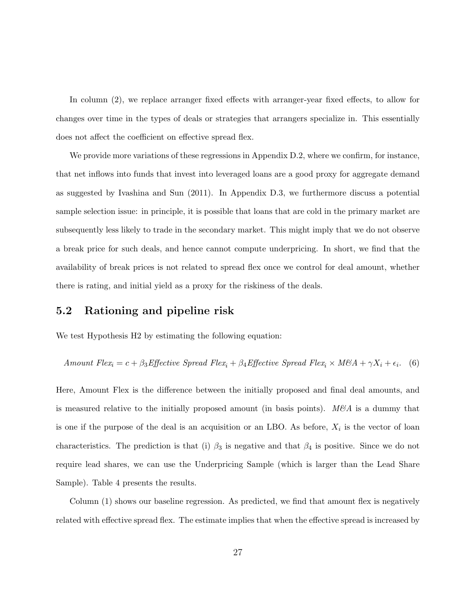In column (2), we replace arranger fixed effects with arranger-year fixed effects, to allow for changes over time in the types of deals or strategies that arrangers specialize in. This essentially does not affect the coefficient on effective spread flex.

We provide more variations of these regressions in Appendix D.2, where we confirm, for instance, that net inflows into funds that invest into leveraged loans are a good proxy for aggregate demand as suggested by Ivashina and Sun (2011). In Appendix D.3, we furthermore discuss a potential sample selection issue: in principle, it is possible that loans that are cold in the primary market are subsequently less likely to trade in the secondary market. This might imply that we do not observe a break price for such deals, and hence cannot compute underpricing. In short, we find that the availability of break prices is not related to spread flex once we control for deal amount, whether there is rating, and initial yield as a proxy for the riskiness of the deals.

## 5.2 Rationing and pipeline risk

We test Hypothesis H<sub>2</sub> by estimating the following equation:

Amount Flex<sub>i</sub> = 
$$
c + \beta_3
$$
 Effective Spread Flex<sub>i</sub> +  $\beta_4$ Effective Spread Flex<sub>i</sub> × M&A +  $\gamma X_i + \epsilon_i$ . (6)

Here, Amount Flex is the difference between the initially proposed and final deal amounts, and is measured relative to the initially proposed amount (in basis points).  $M\&A$  is a dummy that is one if the purpose of the deal is an acquisition or an LBO. As before,  $X_i$  is the vector of loan characteristics. The prediction is that (i)  $\beta_3$  is negative and that  $\beta_4$  is positive. Since we do not require lead shares, we can use the Underpricing Sample (which is larger than the Lead Share Sample). Table 4 presents the results.

Column (1) shows our baseline regression. As predicted, we find that amount flex is negatively related with effective spread flex. The estimate implies that when the effective spread is increased by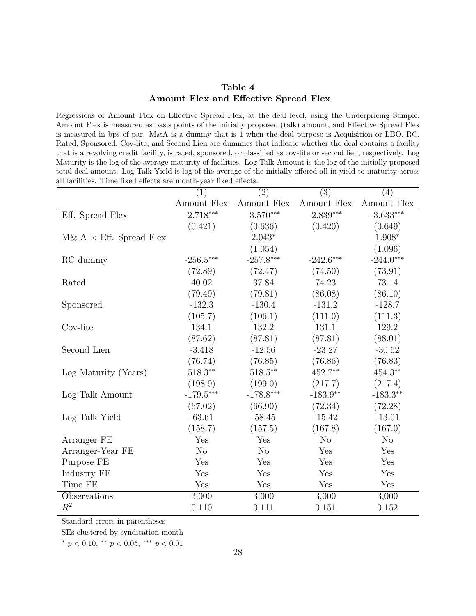| Table 4                               |  |
|---------------------------------------|--|
| Amount Flex and Effective Spread Flex |  |

Regressions of Amount Flex on Effective Spread Flex, at the deal level, using the Underpricing Sample. Amount Flex is measured as basis points of the initially proposed (talk) amount, and Effective Spread Flex is measured in bps of par. M&A is a dummy that is 1 when the deal purpose is Acquisition or LBO. RC, Rated, Sponsored, Cov-lite, and Second Lien are dummies that indicate whether the deal contains a facility that is a revolving credit facility, is rated, sponsored, or classified as cov-lite or second lien, respectively. Log Maturity is the log of the average maturity of facilities. Log Talk Amount is the log of the initially proposed total deal amount. Log Talk Yield is log of the average of the initially offered all-in yield to maturity across all facilities. Time fixed effects are month-year fixed effects.

|                                | (1)            | (2)                 | (3)            | (4)                 |
|--------------------------------|----------------|---------------------|----------------|---------------------|
|                                | Amount Flex    | Amount ${\rm Flex}$ | Amount Flex    | Amount ${\rm Flex}$ |
| Eff. Spread Flex               | $-2.718***$    | $-3.570***$         | $-2.839***$    | $-3.633***$         |
|                                | (0.421)        | (0.636)             | (0.420)        | (0.649)             |
| M& $A \times$ Eff. Spread Flex |                | $2.043*$            |                | $1.908*$            |
|                                |                | (1.054)             |                | (1.096)             |
| RC dummy                       | $-256.5***$    | $-257.8***$         | $-242.6***$    | $-244.0***$         |
|                                | (72.89)        | (72.47)             | (74.50)        | (73.91)             |
| Rated                          | 40.02          | 37.84               | 74.23          | 73.14               |
|                                | (79.49)        | (79.81)             | (86.08)        | (86.10)             |
| Sponsored                      | $-132.3$       | $-130.4$            | $-131.2$       | $-128.7$            |
|                                | (105.7)        | (106.1)             | (111.0)        | (111.3)             |
| Cov-lite                       | 134.1          | 132.2               | 131.1          | 129.2               |
|                                | (87.62)        | (87.81)             | (87.81)        | (88.01)             |
| Second Lien                    | $-3.418$       | $-12.56$            | $-23.27$       | $-30.62$            |
|                                | (76.74)        | (76.85)             | (76.86)        | (76.83)             |
| Log Maturity (Years)           | $518.3**$      | $518.5***$          | 452.7**        | $454.3**$           |
|                                | (198.9)        | (199.0)             | (217.7)        | (217.4)             |
| Log Talk Amount                | $-179.5***$    | $-178.8***$         | $-183.9**$     | $-183.3**$          |
|                                | (67.02)        | (66.90)             | (72.34)        | (72.28)             |
| Log Talk Yield                 | $-63.61$       | $-58.45$            | $-15.42$       | $-13.01$            |
|                                | (158.7)        | (157.5)             | (167.8)        | (167.0)             |
| Arranger FE                    | Yes            | Yes                 | N <sub>o</sub> | N <sub>o</sub>      |
| Arranger-Year FE               | N <sub>o</sub> | N <sub>o</sub>      | Yes            | Yes                 |
| Purpose FE                     | Yes            | Yes                 | Yes            | Yes                 |
| Industry FE                    | Yes            | Yes                 | Yes            | Yes                 |
| Time FE                        | Yes            | Yes                 | Yes            | Yes                 |
| Observations                   | 3,000          | 3,000               | 3,000          | 3,000               |
| $R^2$                          | 0.110          | 0.111               | 0.151          | 0.152               |

Standard errors in parentheses

SEs clustered by syndication month

<sup>∗</sup> p < 0.10, ∗∗ p < 0.05, ∗∗∗ p < 0.01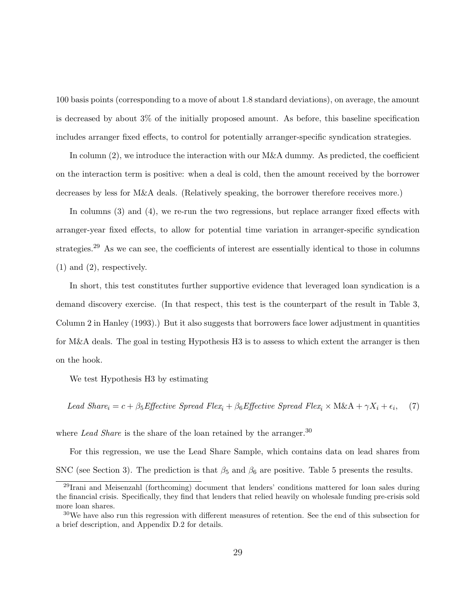100 basis points (corresponding to a move of about 1.8 standard deviations), on average, the amount is decreased by about 3% of the initially proposed amount. As before, this baseline specification includes arranger fixed effects, to control for potentially arranger-specific syndication strategies.

In column (2), we introduce the interaction with our M&A dummy. As predicted, the coefficient on the interaction term is positive: when a deal is cold, then the amount received by the borrower decreases by less for M&A deals. (Relatively speaking, the borrower therefore receives more.)

In columns (3) and (4), we re-run the two regressions, but replace arranger fixed effects with arranger-year fixed effects, to allow for potential time variation in arranger-specific syndication strategies.<sup>29</sup> As we can see, the coefficients of interest are essentially identical to those in columns (1) and (2), respectively.

In short, this test constitutes further supportive evidence that leveraged loan syndication is a demand discovery exercise. (In that respect, this test is the counterpart of the result in Table 3, Column 2 in Hanley (1993).) But it also suggests that borrowers face lower adjustment in quantities for M&A deals. The goal in testing Hypothesis H3 is to assess to which extent the arranger is then on the hook.

We test Hypothesis H3 by estimating

 $\emph{Lead Shar} \label{eq:head Shar} e_i = c + \beta_5 \emph{Effective Spread Flex}_i + \beta_6 \emph{Effective Spread Flex}_i \times \emph{M\&A} + \gamma X_i + \epsilon_i,$ , (7)

where Lead Share is the share of the loan retained by the arranger.<sup>30</sup>

For this regression, we use the Lead Share Sample, which contains data on lead shares from SNC (see Section 3). The prediction is that  $\beta_5$  and  $\beta_6$  are positive. Table 5 presents the results.

<sup>&</sup>lt;sup>29</sup>Irani and Meisenzahl (forthcoming) document that lenders' conditions mattered for loan sales during the financial crisis. Specifically, they find that lenders that relied heavily on wholesale funding pre-crisis sold more loan shares.

<sup>30</sup>We have also run this regression with different measures of retention. See the end of this subsection for a brief description, and Appendix D.2 for details.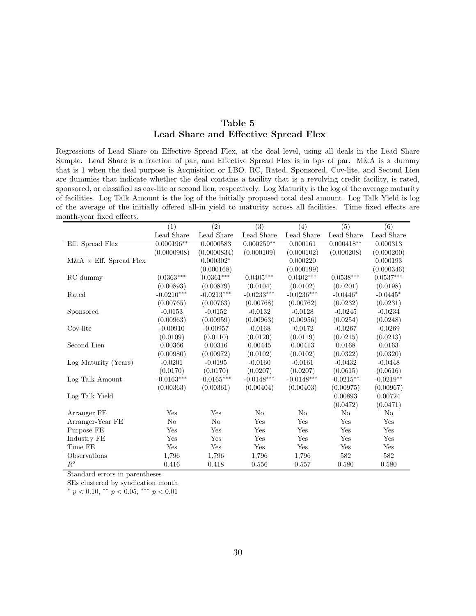## Table 5 Lead Share and Effective Spread Flex

Regressions of Lead Share on Effective Spread Flex, at the deal level, using all deals in the Lead Share Sample. Lead Share is a fraction of par, and Effective Spread Flex is in bps of par. M&A is a dummy that is 1 when the deal purpose is Acquisition or LBO. RC, Rated, Sponsored, Cov-lite, and Second Lien are dummies that indicate whether the deal contains a facility that is a revolving credit facility, is rated, sponsored, or classified as cov-lite or second lien, respectively. Log Maturity is the log of the average maturity of facilities. Log Talk Amount is the log of the initially proposed total deal amount. Log Talk Yield is log of the average of the initially offered all-in yield to maturity across all facilities. Time fixed effects are month-year fixed effects.

|                                | $\overline{(1)}$ | $\overline{(2)}$        | $\overline{(3)}$ | $\overline{(4)}$ | $\overline{(5)}$        | $\overline{(6)}$        |
|--------------------------------|------------------|-------------------------|------------------|------------------|-------------------------|-------------------------|
|                                | Lead Share       | Lead Share              | Lead Share       | Lead Share       | Lead Share              | Lead Share              |
| Eff. Spread Flex               | $0.000196**$     | 0.0000583               | $0.000259**$     | 0.000161         | $0.000418**$            | 0.000313                |
|                                | (0.0000908)      | (0.0000834)             | (0.000109)       | (0.000102)       | (0.000208)              | (0.000200)              |
| $M\&A \times Eff.$ Spread Flex |                  | $0.000302*$             |                  | 0.000220         |                         | 0.000193                |
|                                |                  | (0.000168)              |                  | (0.000199)       |                         | (0.000346)              |
| RC dummy                       | $0.0363***$      | $0.0361^{\ast\ast\ast}$ | $0.0405^{***}\,$ | $0.0402***$      | $0.0538^{\ast\ast\ast}$ | $0.0537^{\ast\ast\ast}$ |
|                                | (0.00893)        | (0.00879)               | (0.0104)         | (0.0102)         | (0.0201)                | (0.0198)                |
| Rated                          | $-0.0210***$     | $-0.0213***$            | $-0.0233***$     | $-0.0236***$     | $-0.0446*$              | $-0.0445*$              |
|                                | (0.00765)        | (0.00763)               | (0.00768)        | (0.00762)        | (0.0232)                | (0.0231)                |
| Sponsored                      | $-0.0153$        | $-0.0152$               | $-0.0132$        | $-0.0128$        | $-0.0245$               | $-0.0234$               |
|                                | (0.00963)        | (0.00959)               | (0.00963)        | (0.00956)        | (0.0254)                | (0.0248)                |
| Cov-lite                       | $-0.00910$       | $-0.00957$              | $-0.0168$        | $-0.0172$        | $-0.0267$               | $-0.0269$               |
|                                | (0.0109)         | (0.0110)                | (0.0120)         | (0.0119)         | (0.0215)                | (0.0213)                |
| Second Lien                    | 0.00366          | 0.00316                 | 0.00445          | 0.00413          | 0.0168                  | 0.0163                  |
|                                | (0.00980)        | (0.00972)               | (0.0102)         | (0.0102)         | (0.0322)                | (0.0320)                |
| Log Maturity (Years)           | $-0.0201$        | $-0.0195$               | $-0.0160$        | $-0.0161$        | $-0.0432$               | $-0.0448$               |
|                                | (0.0170)         | (0.0170)                | (0.0207)         | (0.0207)         | (0.0615)                | (0.0616)                |
| Log Talk Amount                | $-0.0163***$     | $-0.0165***$            | $-0.0148***$     | $-0.0148***$     | $-0.0215**$             | $-0.0219**$             |
|                                | (0.00363)        | (0.00361)               | (0.00404)        | (0.00403)        | (0.00975)               | (0.00967)               |
| Log Talk Yield                 |                  |                         |                  |                  | 0.00893                 | 0.00724                 |
|                                |                  |                         |                  |                  | (0.0472)                | (0.0471)                |
| Arranger FE                    | Yes              | Yes                     | N <sub>o</sub>   | N <sub>o</sub>   | $\rm No$                | $\rm No$                |
| Arranger-Year FE               | $\rm No$         | $\rm No$                | Yes              | Yes              | Yes                     | Yes                     |
| Purpose FE                     | Yes              | Yes                     | Yes              | Yes              | Yes                     | Yes                     |
| Industry FE                    | Yes              | Yes                     | Yes              | Yes              | Yes                     | Yes                     |
| Time FE                        | Yes              | Yes                     | Yes              | Yes              | Yes                     | Yes                     |
| Observations                   | 1,796            | 1,796                   | 1,796            | 1,796            | 582                     | 582                     |
| $R^2$                          | 0.416            | 0.418                   | 0.556            | 0.557            | 0.580                   | 0.580                   |

Standard errors in parentheses

SEs clustered by syndication month

 $*$  p < 0.10,  $*$  p < 0.05,  $*$   $*$  p < 0.01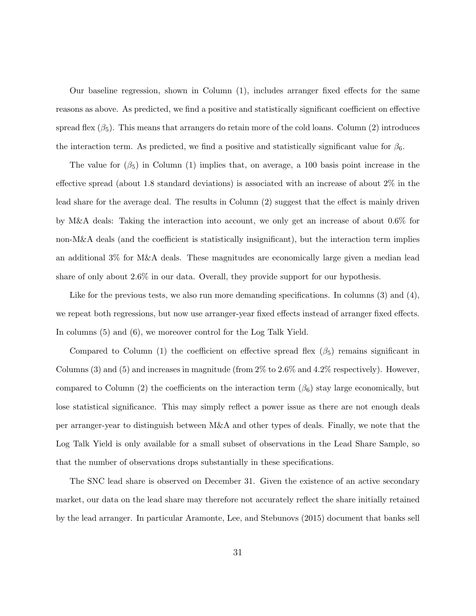Our baseline regression, shown in Column (1), includes arranger fixed effects for the same reasons as above. As predicted, we find a positive and statistically significant coefficient on effective spread flex  $(\beta_5)$ . This means that arrangers do retain more of the cold loans. Column (2) introduces the interaction term. As predicted, we find a positive and statistically significant value for  $\beta_6$ .

The value for  $(\beta_5)$  in Column (1) implies that, on average, a 100 basis point increase in the effective spread (about 1.8 standard deviations) is associated with an increase of about 2% in the lead share for the average deal. The results in Column (2) suggest that the effect is mainly driven by M&A deals: Taking the interaction into account, we only get an increase of about 0.6% for non-M&A deals (and the coefficient is statistically insignificant), but the interaction term implies an additional 3% for M&A deals. These magnitudes are economically large given a median lead share of only about 2.6% in our data. Overall, they provide support for our hypothesis.

Like for the previous tests, we also run more demanding specifications. In columns (3) and (4), we repeat both regressions, but now use arranger-year fixed effects instead of arranger fixed effects. In columns  $(5)$  and  $(6)$ , we moreover control for the Log Talk Yield.

Compared to Column (1) the coefficient on effective spread flex  $(\beta_5)$  remains significant in Columns  $(3)$  and  $(5)$  and increases in magnitude (from  $2\%$  to  $2.6\%$  and  $4.2\%$  respectively). However, compared to Column (2) the coefficients on the interaction term ( $\beta_6$ ) stay large economically, but lose statistical significance. This may simply reflect a power issue as there are not enough deals per arranger-year to distinguish between M&A and other types of deals. Finally, we note that the Log Talk Yield is only available for a small subset of observations in the Lead Share Sample, so that the number of observations drops substantially in these specifications.

The SNC lead share is observed on December 31. Given the existence of an active secondary market, our data on the lead share may therefore not accurately reflect the share initially retained by the lead arranger. In particular Aramonte, Lee, and Stebunovs (2015) document that banks sell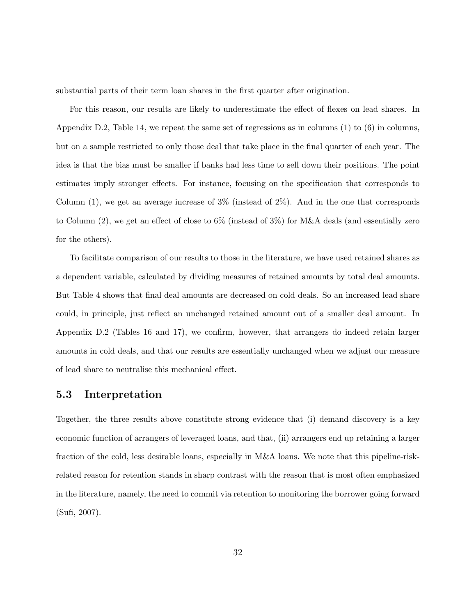substantial parts of their term loan shares in the first quarter after origination.

For this reason, our results are likely to underestimate the effect of flexes on lead shares. In Appendix D.2, Table 14, we repeat the same set of regressions as in columns (1) to (6) in columns, but on a sample restricted to only those deal that take place in the final quarter of each year. The idea is that the bias must be smaller if banks had less time to sell down their positions. The point estimates imply stronger effects. For instance, focusing on the specification that corresponds to Column  $(1)$ , we get an average increase of  $3\%$  (instead of  $2\%$ ). And in the one that corresponds to Column (2), we get an effect of close to 6% (instead of 3%) for M&A deals (and essentially zero for the others).

To facilitate comparison of our results to those in the literature, we have used retained shares as a dependent variable, calculated by dividing measures of retained amounts by total deal amounts. But Table 4 shows that final deal amounts are decreased on cold deals. So an increased lead share could, in principle, just reflect an unchanged retained amount out of a smaller deal amount. In Appendix D.2 (Tables 16 and 17), we confirm, however, that arrangers do indeed retain larger amounts in cold deals, and that our results are essentially unchanged when we adjust our measure of lead share to neutralise this mechanical effect.

### 5.3 Interpretation

Together, the three results above constitute strong evidence that (i) demand discovery is a key economic function of arrangers of leveraged loans, and that, (ii) arrangers end up retaining a larger fraction of the cold, less desirable loans, especially in M&A loans. We note that this pipeline-riskrelated reason for retention stands in sharp contrast with the reason that is most often emphasized in the literature, namely, the need to commit via retention to monitoring the borrower going forward (Sufi, 2007).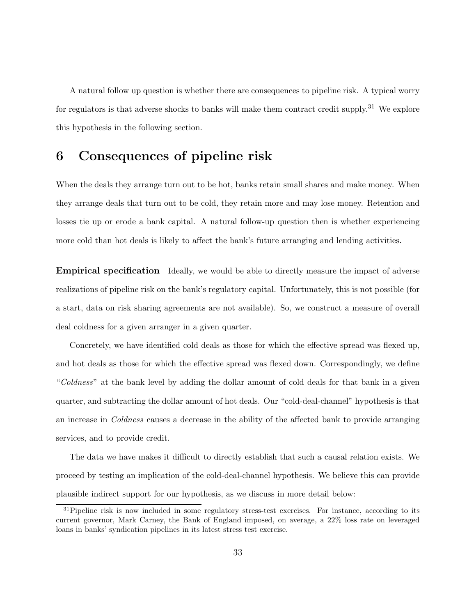A natural follow up question is whether there are consequences to pipeline risk. A typical worry for regulators is that adverse shocks to banks will make them contract credit supply.<sup>31</sup> We explore this hypothesis in the following section.

## 6 Consequences of pipeline risk

When the deals they arrange turn out to be hot, banks retain small shares and make money. When they arrange deals that turn out to be cold, they retain more and may lose money. Retention and losses tie up or erode a bank capital. A natural follow-up question then is whether experiencing more cold than hot deals is likely to affect the bank's future arranging and lending activities.

Empirical specification Ideally, we would be able to directly measure the impact of adverse realizations of pipeline risk on the bank's regulatory capital. Unfortunately, this is not possible (for a start, data on risk sharing agreements are not available). So, we construct a measure of overall deal coldness for a given arranger in a given quarter.

Concretely, we have identified cold deals as those for which the effective spread was flexed up, and hot deals as those for which the effective spread was flexed down. Correspondingly, we define "Coldness" at the bank level by adding the dollar amount of cold deals for that bank in a given quarter, and subtracting the dollar amount of hot deals. Our "cold-deal-channel" hypothesis is that an increase in Coldness causes a decrease in the ability of the affected bank to provide arranging services, and to provide credit.

The data we have makes it difficult to directly establish that such a causal relation exists. We proceed by testing an implication of the cold-deal-channel hypothesis. We believe this can provide plausible indirect support for our hypothesis, as we discuss in more detail below:

<sup>&</sup>lt;sup>31</sup>Pipeline risk is now included in some regulatory stress-test exercises. For instance, according to its current governor, Mark Carney, the Bank of England imposed, on average, a 22% loss rate on leveraged loans in banks' syndication pipelines in its latest stress test exercise.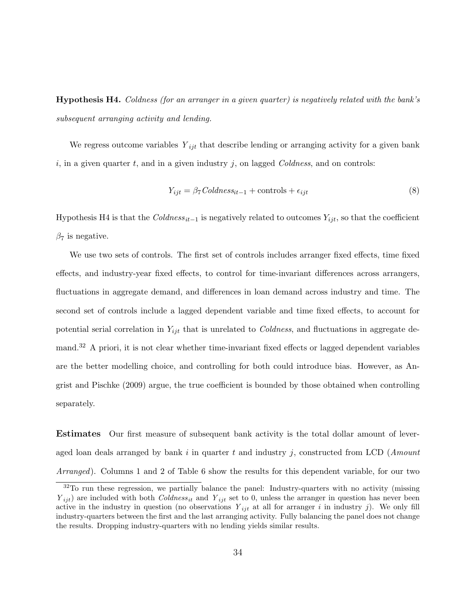Hypothesis H4. Coldness (for an arranger in a given quarter) is negatively related with the bank's subsequent arranging activity and lending.

We regress outcome variables  $Y_{ijt}$  that describe lending or arranging activity for a given bank i, in a given quarter t, and in a given industry j, on lagged  $Collness$ , and on controls:

$$
Y_{ijt} = \beta_7 \, Coldness_{it-1} + controls + \epsilon_{ijt} \tag{8}
$$

Hypothesis H4 is that the  $Collness_{it-1}$  is negatively related to outcomes  $Y_{ijt}$ , so that the coefficient  $\beta_7$  is negative.

We use two sets of controls. The first set of controls includes arranger fixed effects, time fixed effects, and industry-year fixed effects, to control for time-invariant differences across arrangers, fluctuations in aggregate demand, and differences in loan demand across industry and time. The second set of controls include a lagged dependent variable and time fixed effects, to account for potential serial correlation in  $Y_{ijt}$  that is unrelated to *Coldness*, and fluctuations in aggregate demand.<sup>32</sup> A priori, it is not clear whether time-invariant fixed effects or lagged dependent variables are the better modelling choice, and controlling for both could introduce bias. However, as Angrist and Pischke (2009) argue, the true coefficient is bounded by those obtained when controlling separately.

Estimates Our first measure of subsequent bank activity is the total dollar amount of leveraged loan deals arranged by bank i in quarter t and industry j, constructed from LCD (*Amount* Arranged). Columns 1 and 2 of Table 6 show the results for this dependent variable, for our two

<sup>32</sup>To run these regression, we partially balance the panel: Industry-quarters with no activity (missing  $Y_{ijt}$ ) are included with both Coldness<sub>it</sub> and  $Y_{ijt}$  set to 0, unless the arranger in question has never been active in the industry in question (no observations  $Y_{ijt}$  at all for arranger i in industry j). We only fill industry-quarters between the first and the last arranging activity. Fully balancing the panel does not change the results. Dropping industry-quarters with no lending yields similar results.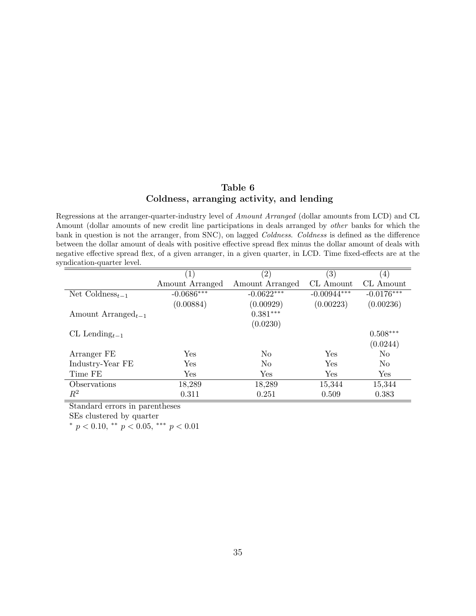## Table 6 Coldness, arranging activity, and lending

Regressions at the arranger-quarter-industry level of Amount Arranged (dollar amounts from LCD) and CL Amount (dollar amounts of new credit line participations in deals arranged by other banks for which the bank in question is not the arranger, from SNC), on lagged Coldness. Coldness is defined as the difference between the dollar amount of deals with positive effective spread flex minus the dollar amount of deals with negative effective spread flex, of a given arranger, in a given quarter, in LCD. Time fixed-effects are at the syndication-quarter level.

|                                          | $\left( 1\right)$ | $\left( 2\right)$ | $\left( 3\right)$ | $\left(4\right)$ |
|------------------------------------------|-------------------|-------------------|-------------------|------------------|
|                                          | Amount Arranged   | Amount Arranged   | CL Amount         | CL Amount        |
| Net Coldness <sub><math>t-1</math></sub> | $-0.0686***$      | $-0.0622***$      | $-0.00944***$     | $-0.0176***$     |
|                                          | (0.00884)         | (0.00929)         | (0.00223)         | (0.00236)        |
| Amount Arranged <sub>t-1</sub>           |                   | $0.381***$        |                   |                  |
|                                          |                   | (0.0230)          |                   |                  |
| CL Lending $_{t-1}$                      |                   |                   |                   | $0.508***$       |
|                                          |                   |                   |                   | (0.0244)         |
| Arranger FE                              | Yes               | No                | Yes               | $\rm No$         |
| Industry-Year FE                         | Yes               | No                | Yes               | N <sub>0</sub>   |
| Time FE                                  | Yes               | Yes               | Yes               | Yes              |
| Observations                             | 18,289            | 18,289            | 15,344            | 15,344           |
| $\,R^2$                                  | 0.311             | 0.251             | 0.509             | 0.383            |

Standard errors in parentheses

SEs clustered by quarter

\*  $p < 0.10$ , \*\*  $p < 0.05$ , \*\*\*  $p < 0.01$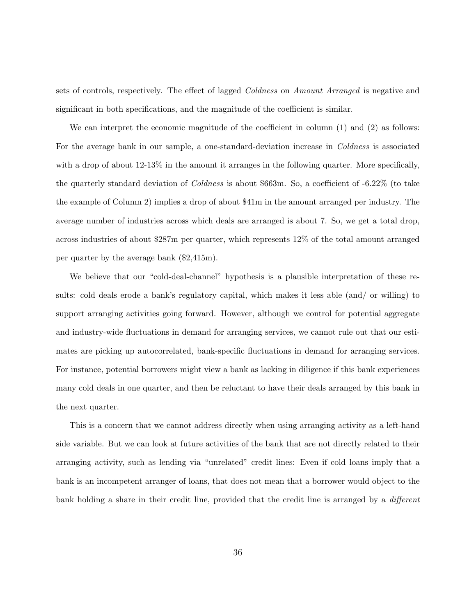sets of controls, respectively. The effect of lagged *Coldness* on *Amount Arranged* is negative and significant in both specifications, and the magnitude of the coefficient is similar.

We can interpret the economic magnitude of the coefficient in column (1) and (2) as follows: For the average bank in our sample, a one-standard-deviation increase in *Coldness* is associated with a drop of about 12-13% in the amount it arranges in the following quarter. More specifically, the quarterly standard deviation of Coldness is about \$663m. So, a coefficient of -6.22% (to take the example of Column 2) implies a drop of about \$41m in the amount arranged per industry. The average number of industries across which deals are arranged is about 7. So, we get a total drop, across industries of about \$287m per quarter, which represents 12% of the total amount arranged per quarter by the average bank (\$2,415m).

We believe that our "cold-deal-channel" hypothesis is a plausible interpretation of these results: cold deals erode a bank's regulatory capital, which makes it less able (and/ or willing) to support arranging activities going forward. However, although we control for potential aggregate and industry-wide fluctuations in demand for arranging services, we cannot rule out that our estimates are picking up autocorrelated, bank-specific fluctuations in demand for arranging services. For instance, potential borrowers might view a bank as lacking in diligence if this bank experiences many cold deals in one quarter, and then be reluctant to have their deals arranged by this bank in the next quarter.

This is a concern that we cannot address directly when using arranging activity as a left-hand side variable. But we can look at future activities of the bank that are not directly related to their arranging activity, such as lending via "unrelated" credit lines: Even if cold loans imply that a bank is an incompetent arranger of loans, that does not mean that a borrower would object to the bank holding a share in their credit line, provided that the credit line is arranged by a *different*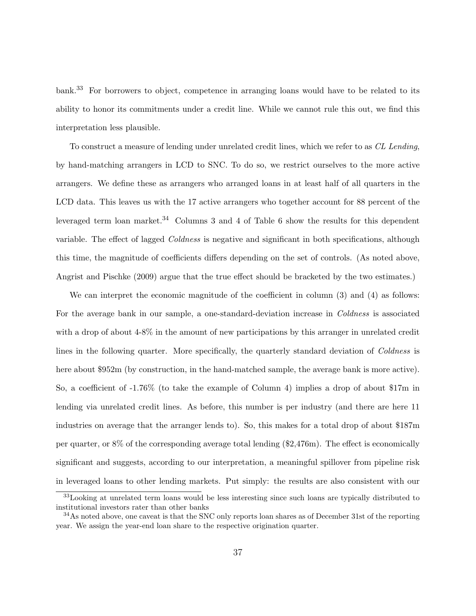bank.<sup>33</sup> For borrowers to object, competence in arranging loans would have to be related to its ability to honor its commitments under a credit line. While we cannot rule this out, we find this interpretation less plausible.

To construct a measure of lending under unrelated credit lines, which we refer to as CL Lending, by hand-matching arrangers in LCD to SNC. To do so, we restrict ourselves to the more active arrangers. We define these as arrangers who arranged loans in at least half of all quarters in the LCD data. This leaves us with the 17 active arrangers who together account for 88 percent of the leveraged term loan market.<sup>34</sup> Columns 3 and 4 of Table 6 show the results for this dependent variable. The effect of lagged *Coldness* is negative and significant in both specifications, although this time, the magnitude of coefficients differs depending on the set of controls. (As noted above, Angrist and Pischke (2009) argue that the true effect should be bracketed by the two estimates.)

We can interpret the economic magnitude of the coefficient in column (3) and (4) as follows: For the average bank in our sample, a one-standard-deviation increase in *Coldness* is associated with a drop of about  $4-8\%$  in the amount of new participations by this arranger in unrelated credit lines in the following quarter. More specifically, the quarterly standard deviation of Coldness is here about \$952m (by construction, in the hand-matched sample, the average bank is more active). So, a coefficient of -1.76% (to take the example of Column 4) implies a drop of about \$17m in lending via unrelated credit lines. As before, this number is per industry (and there are here 11 industries on average that the arranger lends to). So, this makes for a total drop of about \$187m per quarter, or 8% of the corresponding average total lending (\$2,476m). The effect is economically significant and suggests, according to our interpretation, a meaningful spillover from pipeline risk in leveraged loans to other lending markets. Put simply: the results are also consistent with our

<sup>33</sup>Looking at unrelated term loans would be less interesting since such loans are typically distributed to institutional investors rater than other banks

<sup>&</sup>lt;sup>34</sup>As noted above, one caveat is that the SNC only reports loan shares as of December 31st of the reporting year. We assign the year-end loan share to the respective origination quarter.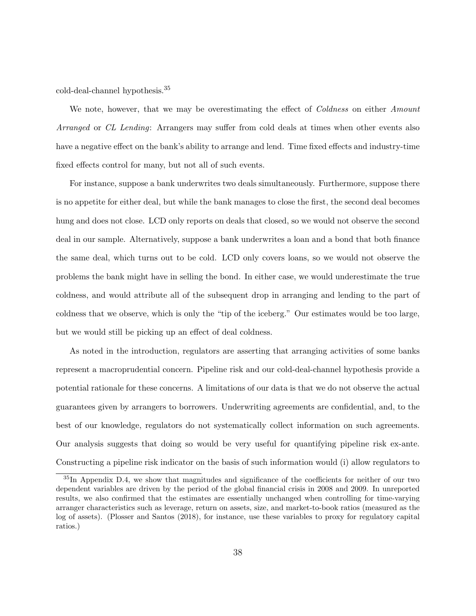cold-deal-channel hypothesis.<sup>35</sup>

We note, however, that we may be overestimating the effect of *Coldness* on either *Amount* Arranged or CL Lending: Arrangers may suffer from cold deals at times when other events also have a negative effect on the bank's ability to arrange and lend. Time fixed effects and industry-time fixed effects control for many, but not all of such events.

For instance, suppose a bank underwrites two deals simultaneously. Furthermore, suppose there is no appetite for either deal, but while the bank manages to close the first, the second deal becomes hung and does not close. LCD only reports on deals that closed, so we would not observe the second deal in our sample. Alternatively, suppose a bank underwrites a loan and a bond that both finance the same deal, which turns out to be cold. LCD only covers loans, so we would not observe the problems the bank might have in selling the bond. In either case, we would underestimate the true coldness, and would attribute all of the subsequent drop in arranging and lending to the part of coldness that we observe, which is only the "tip of the iceberg." Our estimates would be too large, but we would still be picking up an effect of deal coldness.

As noted in the introduction, regulators are asserting that arranging activities of some banks represent a macroprudential concern. Pipeline risk and our cold-deal-channel hypothesis provide a potential rationale for these concerns. A limitations of our data is that we do not observe the actual guarantees given by arrangers to borrowers. Underwriting agreements are confidential, and, to the best of our knowledge, regulators do not systematically collect information on such agreements. Our analysis suggests that doing so would be very useful for quantifying pipeline risk ex-ante. Constructing a pipeline risk indicator on the basis of such information would (i) allow regulators to

<sup>35</sup>In Appendix D.4, we show that magnitudes and significance of the coefficients for neither of our two dependent variables are driven by the period of the global financial crisis in 2008 and 2009. In unreported results, we also confirmed that the estimates are essentially unchanged when controlling for time-varying arranger characteristics such as leverage, return on assets, size, and market-to-book ratios (measured as the log of assets). (Plosser and Santos (2018), for instance, use these variables to proxy for regulatory capital ratios.)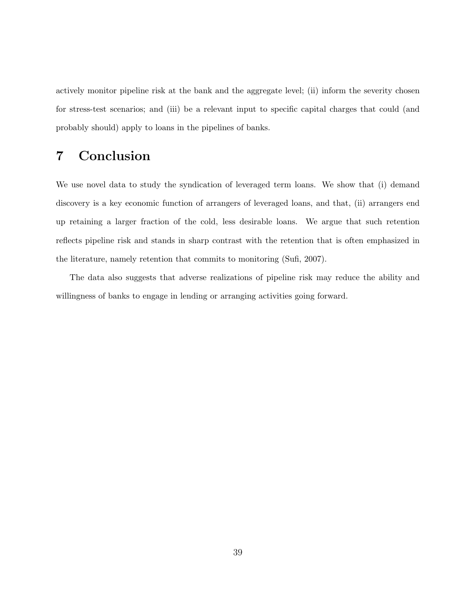actively monitor pipeline risk at the bank and the aggregate level; (ii) inform the severity chosen for stress-test scenarios; and (iii) be a relevant input to specific capital charges that could (and probably should) apply to loans in the pipelines of banks.

# 7 Conclusion

We use novel data to study the syndication of leveraged term loans. We show that (i) demand discovery is a key economic function of arrangers of leveraged loans, and that, (ii) arrangers end up retaining a larger fraction of the cold, less desirable loans. We argue that such retention reflects pipeline risk and stands in sharp contrast with the retention that is often emphasized in the literature, namely retention that commits to monitoring (Sufi, 2007).

The data also suggests that adverse realizations of pipeline risk may reduce the ability and willingness of banks to engage in lending or arranging activities going forward.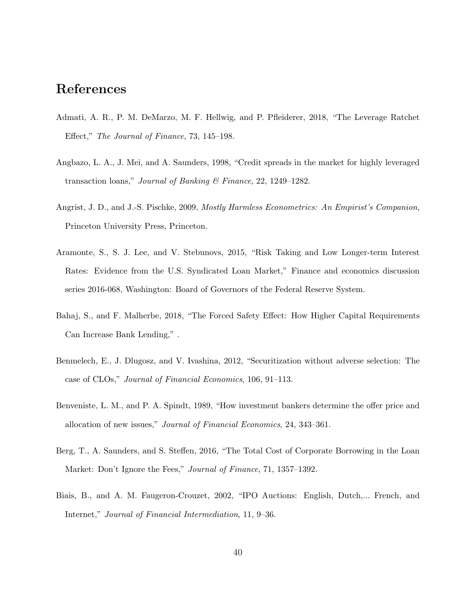## References

- Admati, A. R., P. M. DeMarzo, M. F. Hellwig, and P. Pfleiderer, 2018, "The Leverage Ratchet Effect," The Journal of Finance, 73, 145–198.
- Angbazo, L. A., J. Mei, and A. Saunders, 1998, "Credit spreads in the market for highly leveraged transaction loans," Journal of Banking & Finance, 22, 1249–1282.
- Angrist, J. D., and J.-S. Pischke, 2009, Mostly Harmless Econometrics: An Empirist's Companion, Princeton University Press, Princeton.
- Aramonte, S., S. J. Lee, and V. Stebunovs, 2015, "Risk Taking and Low Longer-term Interest Rates: Evidence from the U.S. Syndicated Loan Market," Finance and economics discussion series 2016-068, Washington: Board of Governors of the Federal Reserve System.
- Bahaj, S., and F. Malherbe, 2018, "The Forced Safety Effect: How Higher Capital Requirements Can Increase Bank Lending," .
- Benmelech, E., J. Dlugosz, and V. Ivashina, 2012, "Securitization without adverse selection: The case of CLOs," Journal of Financial Economics, 106, 91–113.
- Benveniste, L. M., and P. A. Spindt, 1989, "How investment bankers determine the offer price and allocation of new issues," Journal of Financial Economics, 24, 343–361.
- Berg, T., A. Saunders, and S. Steffen, 2016, "The Total Cost of Corporate Borrowing in the Loan Market: Don't Ignore the Fees," Journal of Finance, 71, 1357–1392.
- Biais, B., and A. M. Faugeron-Crouzet, 2002, "IPO Auctions: English, Dutch,... French, and Internet," Journal of Financial Intermediation, 11, 9–36.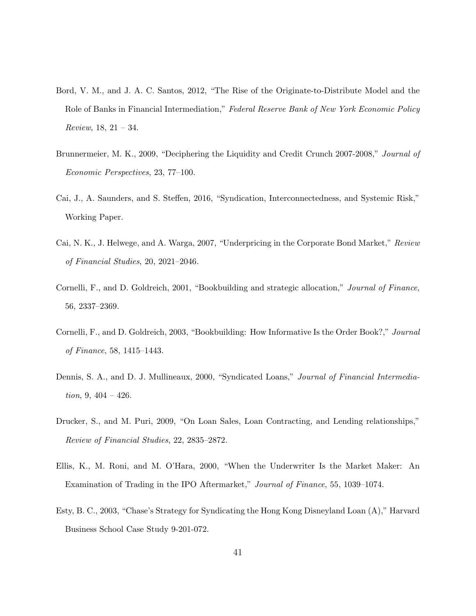- Bord, V. M., and J. A. C. Santos, 2012, "The Rise of the Originate-to-Distribute Model and the Role of Banks in Financial Intermediation," Federal Reserve Bank of New York Economic Policy Review,  $18, 21 - 34.$
- Brunnermeier, M. K., 2009, "Deciphering the Liquidity and Credit Crunch 2007-2008," Journal of Economic Perspectives, 23, 77–100.
- Cai, J., A. Saunders, and S. Steffen, 2016, "Syndication, Interconnectedness, and Systemic Risk," Working Paper.
- Cai, N. K., J. Helwege, and A. Warga, 2007, "Underpricing in the Corporate Bond Market," Review of Financial Studies, 20, 2021–2046.
- Cornelli, F., and D. Goldreich, 2001, "Bookbuilding and strategic allocation," Journal of Finance, 56, 2337–2369.
- Cornelli, F., and D. Goldreich, 2003, "Bookbuilding: How Informative Is the Order Book?," Journal of Finance, 58, 1415–1443.
- Dennis, S. A., and D. J. Mullineaux, 2000, "Syndicated Loans," Journal of Financial Intermedia*tion*,  $9, 404 - 426$ .
- Drucker, S., and M. Puri, 2009, "On Loan Sales, Loan Contracting, and Lending relationships," Review of Financial Studies, 22, 2835–2872.
- Ellis, K., M. Roni, and M. O'Hara, 2000, "When the Underwriter Is the Market Maker: An Examination of Trading in the IPO Aftermarket," Journal of Finance, 55, 1039–1074.
- Esty, B. C., 2003, "Chase's Strategy for Syndicating the Hong Kong Disneyland Loan (A)," Harvard Business School Case Study 9-201-072.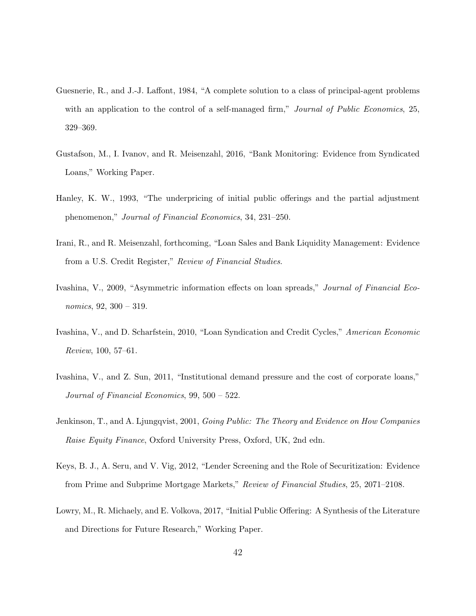- Guesnerie, R., and J.-J. Laffont, 1984, "A complete solution to a class of principal-agent problems with an application to the control of a self-managed firm," Journal of Public Economics, 25, 329–369.
- Gustafson, M., I. Ivanov, and R. Meisenzahl, 2016, "Bank Monitoring: Evidence from Syndicated Loans," Working Paper.
- Hanley, K. W., 1993, "The underpricing of initial public offerings and the partial adjustment phenomenon," Journal of Financial Economics, 34, 231–250.
- Irani, R., and R. Meisenzahl, forthcoming, "Loan Sales and Bank Liquidity Management: Evidence from a U.S. Credit Register," Review of Financial Studies.
- Ivashina, V., 2009, "Asymmetric information effects on loan spreads," Journal of Financial Economics, 92, 300 – 319.
- Ivashina, V., and D. Scharfstein, 2010, "Loan Syndication and Credit Cycles," American Economic Review, 100, 57–61.
- Ivashina, V., and Z. Sun, 2011, "Institutional demand pressure and the cost of corporate loans," Journal of Financial Economics, 99, 500 – 522.
- Jenkinson, T., and A. Ljungqvist, 2001, *Going Public: The Theory and Evidence on How Companies* Raise Equity Finance, Oxford University Press, Oxford, UK, 2nd edn.
- Keys, B. J., A. Seru, and V. Vig, 2012, "Lender Screening and the Role of Securitization: Evidence from Prime and Subprime Mortgage Markets," Review of Financial Studies, 25, 2071–2108.
- Lowry, M., R. Michaely, and E. Volkova, 2017, "Initial Public Offering: A Synthesis of the Literature and Directions for Future Research," Working Paper.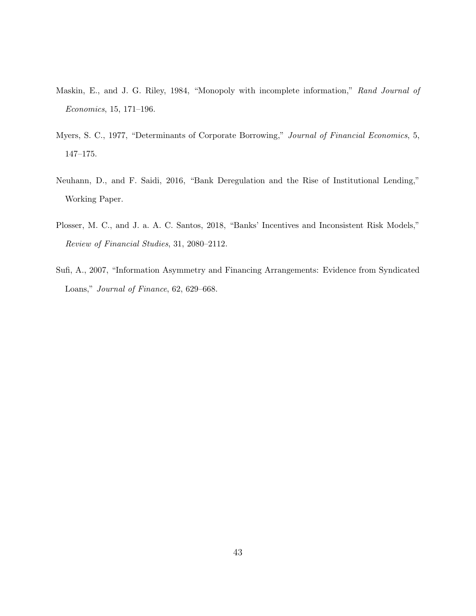- Maskin, E., and J. G. Riley, 1984, "Monopoly with incomplete information," Rand Journal of Economics, 15, 171–196.
- Myers, S. C., 1977, "Determinants of Corporate Borrowing," Journal of Financial Economics, 5, 147–175.
- Neuhann, D., and F. Saidi, 2016, "Bank Deregulation and the Rise of Institutional Lending," Working Paper.
- Plosser, M. C., and J. a. A. C. Santos, 2018, "Banks' Incentives and Inconsistent Risk Models," Review of Financial Studies, 31, 2080–2112.
- Sufi, A., 2007, "Information Asymmetry and Financing Arrangements: Evidence from Syndicated Loans," Journal of Finance, 62, 629–668.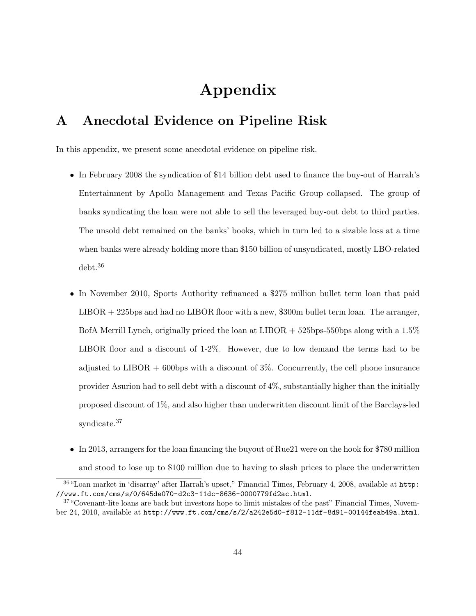# Appendix

## A Anecdotal Evidence on Pipeline Risk

In this appendix, we present some anecdotal evidence on pipeline risk.

- In February 2008 the syndication of \$14 billion debt used to finance the buy-out of Harrah's Entertainment by Apollo Management and Texas Pacific Group collapsed. The group of banks syndicating the loan were not able to sell the leveraged buy-out debt to third parties. The unsold debt remained on the banks' books, which in turn led to a sizable loss at a time when banks were already holding more than \$150 billion of unsyndicated, mostly LBO-related debt.<sup>36</sup>
- In November 2010, Sports Authority refinanced a \$275 million bullet term loan that paid LIBOR + 225bps and had no LIBOR floor with a new, \$300m bullet term loan. The arranger, BofA Merrill Lynch, originally priced the loan at LIBOR  $+$  525bps-550bps along with a 1.5% LIBOR floor and a discount of 1-2%. However, due to low demand the terms had to be adjusted to  $LIBOR + 600bps$  with a discount of  $3\%$ . Concurrently, the cell phone insurance provider Asurion had to sell debt with a discount of 4%, substantially higher than the initially proposed discount of 1%, and also higher than underwritten discount limit of the Barclays-led syndicate.<sup>37</sup>
- In 2013, arrangers for the loan financing the buyout of Rue21 were on the hook for \$780 million and stood to lose up to \$100 million due to having to slash prices to place the underwritten

<sup>36</sup>"Loan market in 'disarray' after Harrah's upset," Financial Times, February 4, 2008, available at http: //www.ft.com/cms/s/0/645de070-d2c3-11dc-8636-0000779fd2ac.html.

<sup>37</sup>"Covenant-lite loans are back but investors hope to limit mistakes of the past" Financial Times, November 24, 2010, available at http://www.ft.com/cms/s/2/a242e5d0-f812-11df-8d91-00144feab49a.html.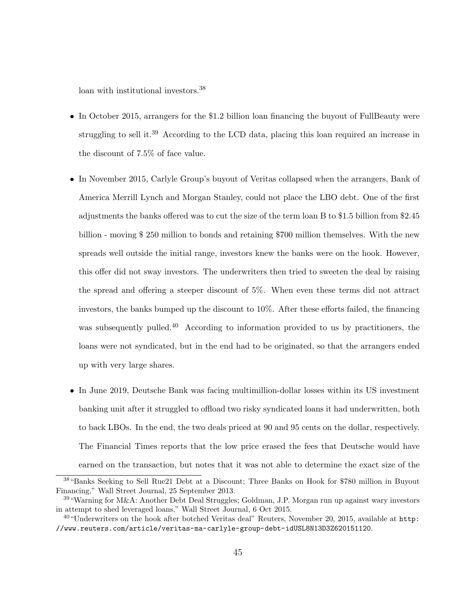loan with institutional investors.<sup>38</sup>

- In October 2015, arrangers for the \$1.2 billion loan financing the buyout of FullBeauty were struggling to sell it.<sup>39</sup> According to the LCD data, placing this loan required an increase in the discount of 7.5% of face value.
- In November 2015, Carlyle Group's buyout of Veritas collapsed when the arrangers, Bank of America Merrill Lynch and Morgan Stanley, could not place the LBO debt. One of the first adjustments the banks offered was to cut the size of the term loan B to \$1.5 billion from \$2.45 billion - moving \$ 250 million to bonds and retaining \$700 million themselves. With the new spreads well outside the initial range, investors knew the banks were on the hook. However, this offer did not sway investors. The underwriters then tried to sweeten the deal by raising the spread and offering a steeper discount of 5%. When even these terms did not attract investors, the banks bumped up the discount to 10%. After these efforts failed, the financing was subsequently pulled.<sup>40</sup> According to information provided to us by practitioners, the loans were not syndicated, but in the end had to be originated, so that the arrangers ended up with very large shares.
- In June 2019, Deutsche Bank was facing multimillion-dollar losses within its US investment banking unit after it struggled to offload two risky syndicated loans it had underwritten, both to back LBOs. In the end, the two deals priced at 90 and 95 cents on the dollar, respectively. The Financial Times reports that the low price erased the fees that Deutsche would have earned on the transaction, but notes that it was not able to determine the exact size of the

<sup>38</sup>"Banks Seeking to Sell Rue21 Debt at a Discount; Three Banks on Hook for \$780 million in Buyout Financing," Wall Street Journal, 25 September 2013.

<sup>39</sup>"Warning for M&A: Another Debt Deal Struggles; Goldman, J.P. Morgan run up against wary investors in attempt to shed leveraged loans," Wall Street Journal, 6 Oct 2015.

 $^{40}$  "Underwriters on the hook after botched Veritas deal" Reuters, November 20, 2015, available at  $\text{http:}$ //www.reuters.com/article/veritas-ma-carlyle-group-debt-idUSL8N13D3Z620151120.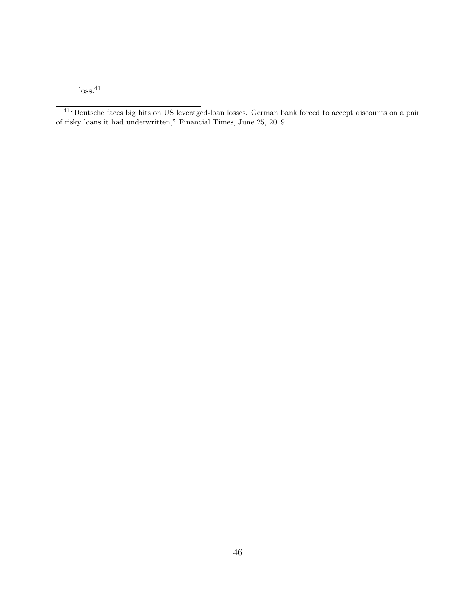$\ensuremath{\operatorname{loss}}\xspace,41$ 

<sup>&</sup>lt;sup>41</sup> "Deutsche faces big hits on US leveraged-loan losses. German bank forced to accept discounts on a pair of risky loans it had underwritten," Financial Times, June 25, 2019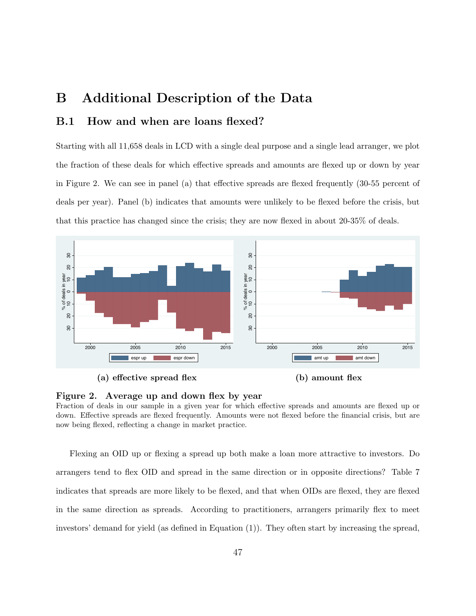# B Additional Description of the Data

### B.1 How and when are loans flexed?

Starting with all 11,658 deals in LCD with a single deal purpose and a single lead arranger, we plot the fraction of these deals for which effective spreads and amounts are flexed up or down by year in Figure 2. We can see in panel (a) that effective spreads are flexed frequently (30-55 percent of deals per year). Panel (b) indicates that amounts were unlikely to be flexed before the crisis, but that this practice has changed since the crisis; they are now flexed in about 20-35% of deals.







### Figure 2. Average up and down flex by year

Fraction of deals in our sample in a given year for which effective spreads and amounts are flexed up or down. Effective spreads are flexed frequently. Amounts were not flexed before the financial crisis, but are now being flexed, reflecting a change in market practice.

Flexing an OID up or flexing a spread up both make a loan more attractive to investors. Do arrangers tend to flex OID and spread in the same direction or in opposite directions? Table 7 indicates that spreads are more likely to be flexed, and that when OIDs are flexed, they are flexed in the same direction as spreads. According to practitioners, arrangers primarily flex to meet investors' demand for yield (as defined in Equation (1)). They often start by increasing the spread,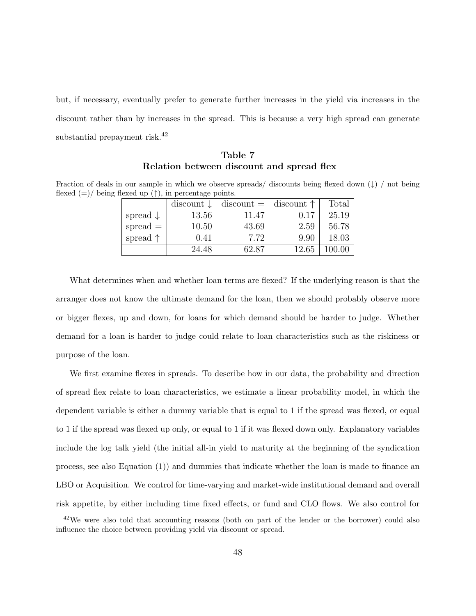but, if necessary, eventually prefer to generate further increases in the yield via increases in the discount rather than by increases in the spread. This is because a very high spread can generate substantial prepayment risk.<sup>42</sup>

### Table 7 Relation between discount and spread flex

Fraction of deals in our sample in which we observe spreads/ discounts being flexed down  $(\downarrow)$  / not being flexed  $(=)/$  being flexed up  $(†)$ , in percentage points.

|                     | $\text{discount} \downarrow$ | $\text{discount} = \text{discount} \uparrow$ |       | Total |
|---------------------|------------------------------|----------------------------------------------|-------|-------|
| spread $\downarrow$ | 13.56                        | 11.47                                        | 0.17  | 25.19 |
| $spread =$          | 10.50                        | 43.69                                        | 2.59  | 56.78 |
| spread $\uparrow$   | 0.41                         | 7.72                                         | 9.90  | 18.03 |
|                     | 24.48                        | 62.87                                        | 12.65 |       |

What determines when and whether loan terms are flexed? If the underlying reason is that the arranger does not know the ultimate demand for the loan, then we should probably observe more or bigger flexes, up and down, for loans for which demand should be harder to judge. Whether demand for a loan is harder to judge could relate to loan characteristics such as the riskiness or purpose of the loan.

We first examine flexes in spreads. To describe how in our data, the probability and direction of spread flex relate to loan characteristics, we estimate a linear probability model, in which the dependent variable is either a dummy variable that is equal to 1 if the spread was flexed, or equal to 1 if the spread was flexed up only, or equal to 1 if it was flexed down only. Explanatory variables include the log talk yield (the initial all-in yield to maturity at the beginning of the syndication process, see also Equation (1)) and dummies that indicate whether the loan is made to finance an LBO or Acquisition. We control for time-varying and market-wide institutional demand and overall risk appetite, by either including time fixed effects, or fund and CLO flows. We also control for

<sup>&</sup>lt;sup>42</sup>We were also told that accounting reasons (both on part of the lender or the borrower) could also influence the choice between providing yield via discount or spread.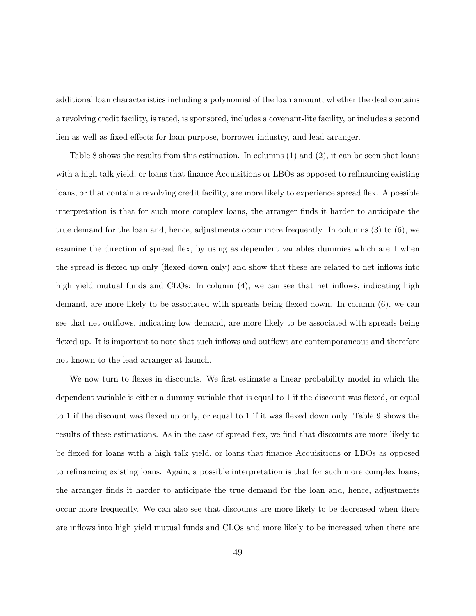additional loan characteristics including a polynomial of the loan amount, whether the deal contains a revolving credit facility, is rated, is sponsored, includes a covenant-lite facility, or includes a second lien as well as fixed effects for loan purpose, borrower industry, and lead arranger.

Table 8 shows the results from this estimation. In columns (1) and (2), it can be seen that loans with a high talk yield, or loans that finance Acquisitions or LBOs as opposed to refinancing existing loans, or that contain a revolving credit facility, are more likely to experience spread flex. A possible interpretation is that for such more complex loans, the arranger finds it harder to anticipate the true demand for the loan and, hence, adjustments occur more frequently. In columns (3) to (6), we examine the direction of spread flex, by using as dependent variables dummies which are 1 when the spread is flexed up only (flexed down only) and show that these are related to net inflows into high yield mutual funds and CLOs: In column  $(4)$ , we can see that net inflows, indicating high demand, are more likely to be associated with spreads being flexed down. In column (6), we can see that net outflows, indicating low demand, are more likely to be associated with spreads being flexed up. It is important to note that such inflows and outflows are contemporaneous and therefore not known to the lead arranger at launch.

We now turn to flexes in discounts. We first estimate a linear probability model in which the dependent variable is either a dummy variable that is equal to 1 if the discount was flexed, or equal to 1 if the discount was flexed up only, or equal to 1 if it was flexed down only. Table 9 shows the results of these estimations. As in the case of spread flex, we find that discounts are more likely to be flexed for loans with a high talk yield, or loans that finance Acquisitions or LBOs as opposed to refinancing existing loans. Again, a possible interpretation is that for such more complex loans, the arranger finds it harder to anticipate the true demand for the loan and, hence, adjustments occur more frequently. We can also see that discounts are more likely to be decreased when there are inflows into high yield mutual funds and CLOs and more likely to be increased when there are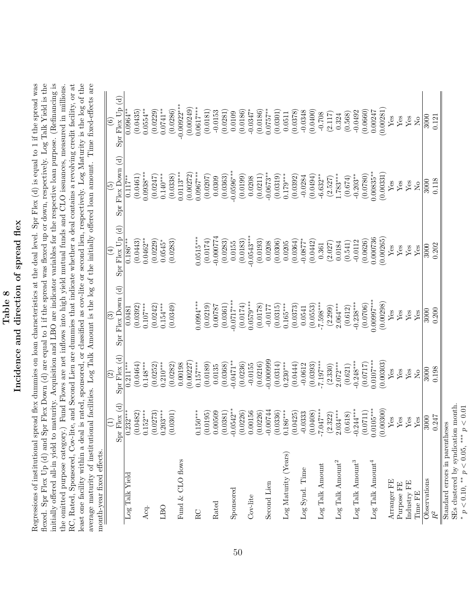# Table 8 Incidence and direction of spread flex Incidence and direction of spread flex

Regressions of institutional spread flex dummies on loan characteristics at the deal level. Spr Flex  $(d)$  is equal to 1 if the spread was flexed. Spr Flex Up (d) and Spr Flex Down (d) are equal to 1 if the spread was flexed up or down, respectively. Log Talk Yield is the initially offered all-in yield to maturity. Acquisition and LBO are indicator variables for the respective loan purpose. (Refinancing is RC, Rated, Sponsored, Cov-lite, and Second Lien are dummies that indicate whether a deal contains a revolving credit facility, or at least one facility within a deal is rated, sponsored, or classified as cov-lite or second lien, respectively. Log Maturity is the log of the initially offered all-in yield to maturity. Acquisition and LBO are indicator variables for the respective loan purpose. (Refinancing is the omitted purpose category.) Fund Flows are net inflows into high yield mutual funds and CLO issuances, measured in millions. average maturity of institutional facilities. Log Talk Amount is the log of the initially offered loan amount. Time fixed-effects are Regressions of institutional spread flex dummies on loan characteristics at the deal level. Spr Flex (d) is equal to 1 if the spread was flexed. Spr Flex Up (d) and Spr Flex Down (d) are equal to 1 if the spread was flexed up or down, respectively. Log Talk Yield is the RC, Rated, Sponsored, Cov-lite, and Second Lien are dummies that indicate whether a deal contains a revolving credit facility, or at least one facility within a deal is rated, sponsored, or classified as cov-lite or second lien, respectively. Log Maturity is the log of the average maturity of institutional facilities. Log Talk Amount is the log of the initially offered loan amount. Time fixed-effects are the omitted purpose category.) Fund Flows are net inflows into high yield mutual funds and CLO issuances, measured in millions. month-year fixed effects. month-year fixed effects.

|                                   | $Spr$ Flex $(d)$<br>$\widehat{\Xi}$ | $S_{\text{DT}}$ Flex $(d)$<br>$\widehat{S}$ | Flex Down (d)<br>$\widehat{\mathbb{G}}$<br>Spr | $S_{\text{DT}}$ Flex $U_{\text{D}}$ (d)<br>$\widehat{A}$ | $\text{Spr}$ Flex Down $(d)$<br>$\widetilde{5}$ | $S_{\text{pr}}$ Flex Up $(d)$<br>$\odot$ |
|-----------------------------------|-------------------------------------|---------------------------------------------|------------------------------------------------|----------------------------------------------------------|-------------------------------------------------|------------------------------------------|
| Log Talk Yield                    | $0.232***$                          | $0.211***$                                  | 0.0481                                         | $0.186***$                                               | $0.117$ *                                       | $0.0964*$                                |
|                                   | (0.0482)                            | (0.0464)                                    | (0.0392)                                       | (0.0443)                                                 | (0.0461)                                        | (0.0435)                                 |
| Acq.                              | $0.152***$                          | $0.148***$                                  | $0.107***$                                     | $0.0462**$                                               | $0.0938***$                                     | $0.0554***$                              |
|                                   | (0.0273)                            | (0.0252)                                    | (0.0242)                                       | (0.0229)                                                 | (0.0247)                                        | (0.0229)                                 |
| LBO                               | $0.203***$                          | $0.210***$                                  | $0.154***$                                     | $0.0545*$                                                | $0.140***$                                      | $0.0741**$                               |
|                                   | (0.0301)                            | (0.0282)                                    | (0.0349)                                       | (0.0283)                                                 | (0.0338)                                        | (0.0286)                                 |
| Fund & CLO flows                  |                                     | 0.00198                                     |                                                |                                                          | $0.0113***$                                     | $-0.00922***$                            |
|                                   |                                     | 0.00227                                     |                                                |                                                          | (0.00272)                                       | (0.00249)                                |
| RC                                | $0.150***$                          | $0.157***$                                  | $0.0994***$                                    | $0.0515***$                                              | $0.0967***$                                     | $0.0617***$                              |
|                                   | 0.0195                              | (0.0189)                                    | (0.0219)                                       | (0.0174)                                                 | (0.0207)                                        | (0.0181)                                 |
| Rated                             | 0.00509                             | 0.0135                                      | 0.00787                                        | $-0.000774$                                              | 0.0309                                          | $-0.0153$                                |
|                                   | (0.0381)                            | (0.0368)                                    | (0.0361)                                       | (0.0283)                                                 | (0.0363)                                        | (0.0281)                                 |
| Sponsored                         | $-0.0542**$                         | $-0.0471**$                                 | $-0.0717***$                                   | 0.0155                                                   | $-0.0596***$                                    | 0.0109                                   |
|                                   | (0.0226)                            | (0.0236)                                    | (0.0174)                                       | (0.0183)                                                 | (0.0199)                                        | (0.0186)                                 |
| Cov-lite                          | 0.00156                             | $-0.0155$                                   | $0.0579***$                                    | $-0.0543***$                                             | 0.0208                                          | $-0.0347$ <sup>*</sup>                   |
|                                   | 0.0226                              | (0.0216)                                    | (0.0178)                                       | (0.0193)                                                 | (0.0211)                                        | (0.0186)                                 |
| Second Lien                       | $-0.00744$                          | $-0.000999$                                 | $-0.0177$                                      | 0.0208                                                   | $-0.0673**$                                     | $0.0757***$                              |
|                                   | 0.0336                              | (0.0314)                                    | (0.0315)                                       | (0.0306)                                                 | (0.0319)                                        | (0.0301)                                 |
| Log Maturity (Years)              | $0.186***$                          | $0.230***$                                  | $0.165***$                                     | 0.0205                                                   | $0.179***$                                      | 0.0511                                   |
|                                   | (0.0425)                            | (0.0444)                                    | (0.0373)                                       | (0.0364)                                                 | (0.0392)                                        | (0.0378)                                 |
| Log Synd. Time                    | $-0.0333$                           | $-0.0612$                                   | 0.0541                                         | $-0.0877$ <sup>*</sup>                                   | $-0.0284$                                       | $-0.0348$                                |
|                                   | (0.0408)                            | (0.0393)                                    | (0.0553)                                       | (0.0442)                                                 | (0.0494)                                        | (0.0400)                                 |
| $\mbox{Log } \mbox{Talk }$ Amount | $-7.047***$                         | $-7.197***$                                 | $-7.598***$                                    | 0.361                                                    | $-6.632**$                                      | $-0.708$                                 |
|                                   | (2.322)                             | (2.330)                                     | (2.299)                                        | (2.027)                                                  | (2.527)                                         | (2.117)                                  |
| $\mbox{Log}$ Talk Amount^2        | $2.034***$                          | $2.072***$                                  | $2.064***$                                     | 0.0184                                                   | $1.783***$                                      | 0.324                                    |
|                                   | (0.618)                             | (0.621)                                     | (0.612)                                        | (0.541)                                                  | (0.674)                                         | (0.568)                                  |
| $\mbox{Log}$ Talk Amount<br>$^3$  | $0.244***$                          | $0.248***$                                  | $-0.238***$                                    | $-0.0112$                                                | $-0.203**$                                      | $-0.0492$                                |
|                                   | (1170.0)                            | (0.0717)                                    | (0.0706)                                       | (0.0626)                                                 | (0.0780)                                        | (0.0660)                                 |
| $\mbox{Log}$ Talk Amount<br>4     | $0.0105***$                         | $0.0107***$                                 | $0.00997***$                                   | 0.000736                                                 | $0.00835***$                                    | 0.00247                                  |
|                                   | 0.00300                             | 0.00303                                     | (0.00298)                                      | (0.00265)                                                | (0.00331)                                       | (0.00281)                                |
| Arranger FE                       | ${\rm Yes}$                         | Yes                                         | Yes                                            | Yes                                                      | ${\rm Yes}$                                     | ${\rm Yes}$                              |
| Purpose FE                        | Yes                                 | Yes                                         | Yes                                            | Yes                                                      | ${\it Yes}$                                     | ${\rm Yes}$                              |
| Industry FE                       | Yes                                 | Yes                                         | Yes                                            | Yes                                                      | Yes                                             | ${\rm Yes}$                              |
| Time FE                           | Yes                                 | $_{\rm No}$                                 | Yes                                            | Yes                                                      | $\overline{N}$                                  | $\overline{N}$                           |
| Observations                      | 3000                                | 3000                                        | 3000                                           | 3000                                                     | 3000                                            | 3000                                     |
| $\mathbb{R}^2$                    | 0.247                               | 0.198                                       | 0.200                                          | 0.202                                                    | 0.118                                           | 0.121                                    |
| Standard errors in parentheses    |                                     |                                             |                                                |                                                          |                                                 |                                          |

SEs clustered by syndication month. \*  $p < 0.10$ , \*\*  $p < 0.05$ , \*\*\*  $p < 0.01$ \*  $p < 0.10$ , \*\*  $p < 0.05$ , \*\*\*  $p < 0.01$ 

SEs clustered by syndication month.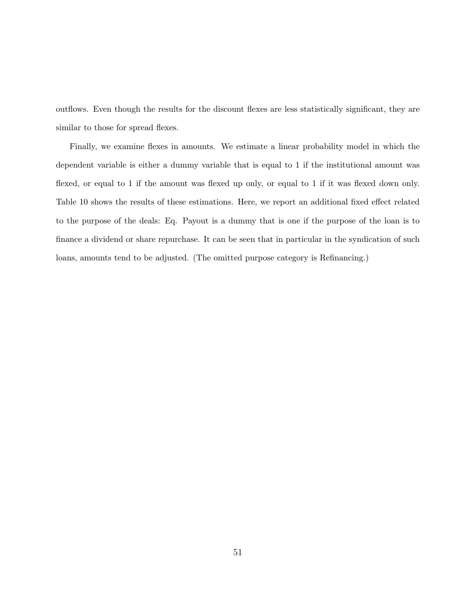outflows. Even though the results for the discount flexes are less statistically significant, they are similar to those for spread flexes.

Finally, we examine flexes in amounts. We estimate a linear probability model in which the dependent variable is either a dummy variable that is equal to 1 if the institutional amount was flexed, or equal to 1 if the amount was flexed up only, or equal to 1 if it was flexed down only. Table 10 shows the results of these estimations. Here, we report an additional fixed effect related to the purpose of the deals: Eq. Payout is a dummy that is one if the purpose of the loan is to finance a dividend or share repurchase. It can be seen that in particular in the syndication of such loans, amounts tend to be adjusted. (The omitted purpose category is Refinancing.)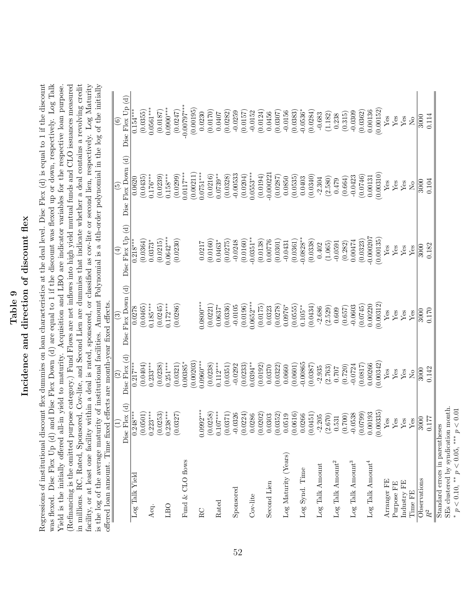# Table 9<br>Incidence and direction of discount flex Incidence and direction of discount flex

in millions. RC, Rated, Sponsored, Cov-lite, and Second Lien are dummies that indicate whether a deal contains a revolving credit Regressions of institutional discount flex dummies on loan characteristics at the deal level. Disc Flex (d) is equal to 1 if the discount was flexed. Disc Flex Up (d) and Disc Flex Down (d) are equal to 1 if the discount was flexed up or down, respectively. Log Talk Yield is the initially offered all-in yield to maturity. Acquisition and LBO are indicator variables for the respective loan purpose. (Refinancing is the omitted purpose category.) Fund Flows are net inflows into high yield mutual funds and CLO issuances measured facility, or at least one facility within a deal is rated, sponsored, or classified as cov-lite or second lien, respectively. Log Maturity is the log of the average maturity of institutional facilities. Amount Polynomial is a 4th-order polynomial in the log of the initially  $\epsilon_{\rm{mean}}$  and  $\epsilon_{\rm{mean}}$  and  $\epsilon_{\rm{mean}}$  and  $\epsilon_{\rm{mean}}$  and  $\epsilon_{\rm{mean}}$  and  $\epsilon_{\rm{mean}}$ Regressions of institutional discount flex dummies on loan characteristics at the deal level. Disc Flex (d) is equal to 1 if the discount was flexed. Disc Flex Up (d) and Disc Flex Down (d) are equal to 1 if the discount was flexed up or down, respectively. Log Talk (Refinancing is the omitted purpose category.) Fund Flows are net inflows into high yield mutual funds and CLO issuances measured in millions. RC, Rated, Sponsored, Cov-lite, and Second Lien are dummies that indicate whether a deal contains a revolving credit facility, or at least one facility within a deal is rated, sponsored, or classified as cov-lite or second lien, respectively. Log Maturity is the log of the average maturity of institutional facilities. Amount Polynomial is a 4th-order polynomial in the log of the initially Yield is the initially offered all-in yield to maturity. Acquisition and LBO are indicator variables for the respective loan purpose. offered loan amount. Time fixed effects are month-year fixed effects.  $\frac{1}{\text{d}t}$ 

| ttered loan amount. Inne                                              |                 | hxed effects are month-year hxed effects. |                    |                   |                    |                          |
|-----------------------------------------------------------------------|-----------------|-------------------------------------------|--------------------|-------------------|--------------------|--------------------------|
|                                                                       | $\widehat{\Xi}$ | $\widehat{c}$                             | $\odot$            | ⊕                 | $\widetilde{5}$    | $\widehat{\mathfrak{s}}$ |
|                                                                       | Disc Flex (d)   | Disc Flex (d)                             | Disc Flex Down (d) | Disc Flex $Up(d)$ | Disc Flex Down (d) | $Disc$ Flex $Up(d)$      |
| Log Talk Yield                                                        | $0.248***$      | $0.217***$                                | 0.0278             | $0.218***$        | 0.0620             | $0.154***$               |
|                                                                       | (0.0501)        | (0.0404)                                  | (0.0465)           | (0.0364)          | (0.0435)           | (0.0355)                 |
| Acq.                                                                  | $0.223***$      | $0.233***$                                | $0.185***$         | $0.0373*$         | $0.176***$         | $0.0561***$              |
|                                                                       | (0.0253)        | (0.0238)                                  | 0.0245             | (0.0215)          | (0.0239)           | (0.0187)                 |
| LBO                                                                   | $0.238***$      | $0.251***$                                | $0.172***$         | $0.0642***$       | $0.158***$         | $0.0900***$              |
|                                                                       | (0.0327)        | (0.0321)                                  | (0.0286)           | (0.0230)          | (0.0299)           | (0.0247)                 |
| Fund & CLO flows                                                      |                 | $0.00385*$                                |                    |                   | $0.0117***$        | $-0.00797***$            |
|                                                                       |                 | (0.00203)                                 |                    |                   | (0.00211)          | (0.00195)                |
| $_{\rm RC}$                                                           | $0.0992***$     | $0.0960***$                               | $0.0800***$        | 0.0217            | $0.0751***$        | 0.0230                   |
|                                                                       | (0.0258)        | (0.0238)                                  | (0.0221)           | (0.0160)          | (0.0216)           | (0.0170)                 |
| Rated                                                                 | $0.107***$      | $0.112***$                                | $0.0637*$          | $0.0463*$         | $0.0739**$         | 0.0407                   |
|                                                                       | (0.0371)        | (0.0351)                                  | (0.0336)           | (0.0275)          | (0.0328)           | (0.0282)                 |
| Sponsored                                                             | $-0.0326$       | $-0.0292$                                 | $-0.0105$          | $-0.0248$         | $-0.00533$         | $-0.0259$                |
|                                                                       | 0.0224          | (0.0233)                                  | (0.0196)           | (0.0160)          | (0.0204)           | (0.0157)                 |
| $Cov$ -lite                                                           | 0.0286          | $0.0394***$                               | $0.0652***$        | $-0.0351**$       | $0.0553***$        | $-0.0152$                |
|                                                                       | (0.0202)        | (0.0192)                                  | (0.0175)           | (0.0138)          | (0.0194)           | (0.0124)                 |
| Second Lien                                                           | 0.0303          | 0.0370                                    | 0.0323             | 0.00776           | $-0.00022$         | 0.0456                   |
|                                                                       | (0.0352)        | (0.0322)                                  | (0.0278)           | (0.0301)          | (0.0287)           | (0.0307)                 |
| Log Maturity (Years)                                                  | 0.0519          | 0.0660                                    | $0.0976*$          | $-0.0431$         | 0.0850             | $-0.0156$                |
|                                                                       | (0.0616)        | (0.0601)                                  | (0.0555)           | (0.0361)          | (0.0535)           | (0.0383)                 |
| Log Synd. Time                                                        | 0.0266          | $-0.00865$                                | $0.105***$         | $-0.0828**$       | 0.0403             | $-0.0536*$               |
|                                                                       | 0.0451          | (0.0387)                                  | (0.0434)           | (0.0338)          | 0.0340             | (0.0284)                 |
| $\mbox{Log}$ Talk Amount                                              | $-2.205$        | $-2.935$                                  | $-2.686$           | 0.402             | $-2.304$           | $-0.683$                 |
|                                                                       | (2.670)         | (2.763)                                   | (2.529)            | (1.065)           | (2.580)            | (1.182)                  |
| $\mbox{Log}$ Talk Amount^2                                            | 0.531           | 107.0                                     | 0.609              | $-0.0591$         | 0.479              | 0.238                    |
|                                                                       | (0.700)         | (0.720)                                   | (0.657)            | (0.282)           | (0.664)            | (0.315)                  |
| $\mbox{Log}$ Talk Amount<br>$^3$                                      | $-0.0538$       | $-0.0724$                                 | $-0.0603$          | 0.00474           | $-0.0423$          | $-0.0309$                |
|                                                                       | (6620.0)        | (0.0817)                                  | 0.0745             | (0.0323)          | 0.0746)            | (0.0362)                 |
| $\mbox{Log}$ Talk Amount<br>4                                         | 0.00193         | 0.00266                                   | 0.00220            | 0.000207          | 0.00131            | 0.00136                  |
|                                                                       | 0.00335         | 0.00342                                   | 0.00312            | (0.00135)         | (0.00310)          | (0.00152)                |
| Arranger FE                                                           | Yes             | Yes                                       | Yes                | Yes               | ${\rm Yes}$        | ${\rm Yes}$              |
| Purpose FE                                                            | Yes             | Yes                                       | ${\rm Yes}$        | Yes               | ${\rm Yes}$        | Yes                      |
| Industry FE                                                           | Yes             | Yes                                       | Yes                | Yes               | Yes                | Yes                      |
| Time FE                                                               | Yes             | $\tilde{R}$                               | Yes                | Yes               | $\overline{S}$     | $\overline{S}$           |
| Observations                                                          | 3000            | 3000                                      | 3000               | 3000              | 3000               | 3000                     |
| $\ensuremath{R^2}$                                                    | 0.177           | 0.142                                     | 0.170              | 0.182             | 0.104              | 0.114                    |
| SEs clustered by syndication month.<br>Standard errors in parentheses |                 |                                           |                    |                   |                    |                          |

SEs clustered by syndication month. \*  $p < 0.10$ , \*\*  $p < 0.05$ , \*\*\*  $p < 0.01$ \*  $p < 0.10$ , \*\*  $p < 0.05$ , \*\*\*  $p < 0.01$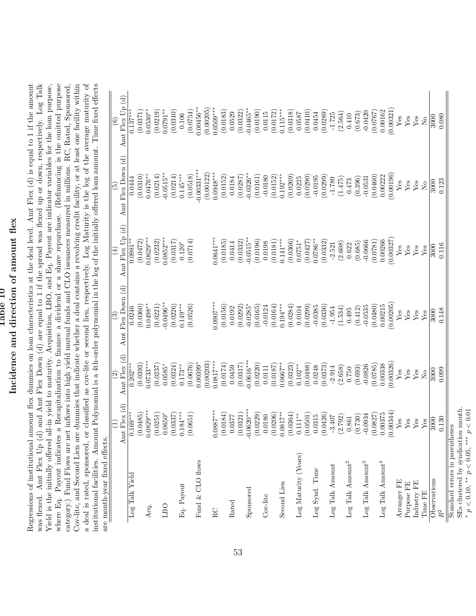# Rable 10<br>Incidence and direction of amount flex Incidence and direction of amount flex

Regressions of institutional amount flex dummies on loan characteristics at the deal level. Amt Flex  $(d)$  is equal to 1 if the amount was flexed. Amt Flex Up (d) and Amt Flex Down (d) are equal to 1 if the spread was flexed up or down, respectively. Log Talk Yield is the initially offered all-in yield to maturity. Acquisition, LBO, and Eq. Payout are indicator variables for the loan purpose, where Eq. Payout indicates a Recapitalization to finance a dividend or a share repurchase. (Refinancing is the omitted purpose category.) Fund Flows are net inflows into high yield mutual funds and CLO issuances measured in millions. RC, Rated, Sponsored, Cov-lite, and Second Lien are dummies that indicate whether a deal contains a revolving credit facility, or at least one facility within a deal is rated, sponsored, or classified as cov-lite or second lien, respectively. Log Maturity is the log of the average maturity of a deal is rated, sponsored, or classified as cov-lite or second lien, respectively. Log Maturity is the log of the average maturity of institutional facilities. Amount Polynomial is a 4th-order polynomial in the log of the initially offered loan amount. Time fixed effects Regressions of institutional amount flex dummies on loan characteristics at the deal level. Amt Flex (d) is equal to 1 if the amount was flexed. Amt Flex Up (d) and Amt Flex Down (d) are equal to 1 if the spread was flexed up or down, respectively. Log Talk Yield is the initially offered all-in yield to maturity. Acquisition, LBO, and Eq. Payout are indicator variables for the loan purpose, where Eq. Payout indicates a Recapitalization to finance a dividend or a share repurchase. (Refinancing is the omitted purpose category.) Fund Flows are net inflows into high yield mutual funds and CLO issuances measured in millions. RC, Rated, Sponsored, Cov-lite, and Second Lien are dummies that indicate whether a deal contains a revolving credit facility, or at least one facility within institutional facilities. Amount Polynomial is a 4th-order polynomial in the log of the initially offered loan amount. Time fixed effects  $\overline{\mathbf{u}}$ are month-year fixed effects. are month-vear fixed effects

| me unonn-year nyen eneces                                             |              |                               |                        |                      |                        |                      |
|-----------------------------------------------------------------------|--------------|-------------------------------|------------------------|----------------------|------------------------|----------------------|
|                                                                       | Amt Flex (d) | Amt Flex (d)<br>$\widehat{S}$ | Amt Flex Down (d)      | Amt Flex Up (d)<br>Ā | Amt Flex Down (d)<br>ق | Amt Flex Up (d)<br>ම |
| Log Talk Yield                                                        | $0.169***$   | $0.202***$                    | 0.0246                 | $0.0981**$           | 0.0444                 | $0.137***$           |
|                                                                       | (0.0485)     | (0.0393)                      | (0.0360)               | (0.0472)             | (0.0310)               | (0.0371)             |
| Acq.                                                                  | $0.0829***$  | $0.0733***$                   | $0.0498***$            | $0.0629***$          | $0.0476**$             | $0.0530**$           |
|                                                                       | (0.0251)     | (0.0237)                      | (0.0221)               | (0.0232)             | (0.0214)               | (0.0219)             |
| LBO                                                                   | $0.0650*$    | $0.0585*$                     | $-0.0496***$           | $0.0852***$          | $-0.0515**$            | $0.0791**$           |
|                                                                       | (0.0337)     | (0.0324)                      | (0.0226)               | (0.0317)             | (0.0214)               | (0.0310)             |
| Eq. Payout                                                            | $0.184***$   | $0.173**$                     | $0.149***$             | $0.120*$             | $0.145***$             | 0.106                |
|                                                                       | (0.0651)     | (0.0676)                      | (0.0526)               | (0.0714)             | (0.0518)               | (0.0754)             |
| Fund & CLO flows                                                      |              | $0.00399*$                    |                        |                      | $-0.00331***$          | $0.00456***$         |
|                                                                       |              | (0.00203)                     |                        |                      | (0.00122)              | (0.00205)            |
| $_{\rm RC}$                                                           | $0.0887***$  | $0.0817***$                   | $0.0907***$            | $0.0641***$          | $0.0948***$            | $0.0509***$          |
|                                                                       | (0.0184)     | (0.0174)                      | (0.0156)               | (0.0185)             | (0.0152)               | (0.0183)             |
| Rated                                                                 | 0.0377       | 0.0459                        | 0.0192                 | 0.0414               | 0.0184                 | 0.0529               |
|                                                                       | (0.0321)     | (0.0317)                      | (0.0292)               | (0.0332)             | (0.0287)               | (0.0322)             |
| Sponsored                                                             | $0.0620***$  | $-0.0616***$                  | $-0.0285$ <sup>*</sup> | $-0.0515**$          | $-0.0326**$            | $-0.0465***$         |
|                                                                       | (0.0229)     | (0.0220)                      | (0.0165)               | (0.0196)             | (0.0161)               | (0.0190)             |
| $Cov$ -lite                                                           | 0.0180       | 0.0111                        | $-0.0124$              | 0.0198               | $-0.0180$              | 0.0115               |
|                                                                       | (0.0206)     | (0.0187)                      | (0.0164)               | (0.0181)             | (0.0152)               | (0.0172)             |
| Second Lien                                                           | $0.0817***$  | $0.0667**$                    | $0.194***$             | $0.141***$           | $0.192***$             | $0.115***$           |
|                                                                       | (0.0364)     | (0.0323)                      | (0.0284)               | (0.0366)             | (0.0269)               | (0.0318)             |
| Log Maturity (Years)                                                  | $0.111***$   | $0.102**$                     | 0.0104                 | $0.0751*$            | 0.0225                 | 0.0587               |
|                                                                       | (0.0501)     | (0.0488)                      | (0.0299)               | (0.0427)             | (0.0290)               | (0.0410)             |
| Log Synd. Time                                                        | 0.0315       | 0.0248                        | $-0.0385$              | $0.0786**$           | $-0.0195$              | 0.0454               |
|                                                                       | (0.0426)     | (0.0373)                      | (0.0336)               | (0.0332)             | (0.0299)               | (0.0289)             |
| $\mbox{Log}$ Talk Amount                                              | $-3.407$     | $-2.914$                      | $-1.954$               | $-2.521$             | $-1.789$               | $-1.725$             |
|                                                                       | (2.792)      | (2.658)                       | (1.534)                | (2.608)              | (1.475)                | (2.564)              |
| $\operatorname{Log}$ Talk Amount $^2$                                 | 0.861        | 0.750                         | 0.495                  | 0.622                | 0.473                  | 0.410                |
|                                                                       | (0.730)      | (0.693)                       | (0.412)                | (0.685)              | (0.396)                | (0.673)              |
| $\mbox{Log}$ Talk Amount<br>$^3$                                      | $-0.0934$    | $-0.0826$                     | $-0.0535$              | $-0.0666$            | $-0.0531$              | $-0.0420$            |
|                                                                       | (0.0827)     | (0.0785)                      | (0.0480)               | (0.0781)             | (0.0460)               | 7920.0               |
| $\mbox{Log}$ Talk Amount<br>4                                         | 0.00375      | 0.00338                       | 0.00215                | 0.00266              | 0.00222                | 0.00162              |
|                                                                       | (0.00344)    | (0.00326)                     | 0.00205                | 0.00327              | (0.00196)              | (0.00321)            |
| Arranger FE                                                           | $Y$ es       | Yes                           | $Y$ es                 | ${\rm Yes}$          | $Y$ es                 | Yes                  |
| Purpose FE                                                            | Yes          | ${\rm Yes}$                   | Yes                    | $Y$ es               | Yes                    | Yes                  |
| Industry FE                                                           | Yes          | ${\rm Yes}$                   | $Y$ es                 | Yes                  | $Y$ es                 | Yes                  |
| Time FE                                                               | $Y$ es       | $_{\rm No}$                   | $Y$ es                 | Yes                  | $\overline{R}$         | $\overline{R}$       |
| Observations                                                          | 3000         | 3000                          | 3000                   | 3000                 | 3000                   | 3000                 |
| $\ensuremath{R^2}$                                                    | 0.130        | 0.099                         | 0.148                  | 0.116                | 0.123                  | 0.080                |
| SEs clustered by syndication month.<br>Standard errors in parentheses |              |                               |                        |                      |                        |                      |
|                                                                       |              |                               |                        |                      |                        |                      |

SEs clustered by syndication month. \*  $p < 0.10$ , \*\*  $p < 0.05$ , \*\*\*  $p < 0.01$ \*  $p < 0.10$ , \*\*  $p < 0.05$ , \*\*\*  $p < 0.01$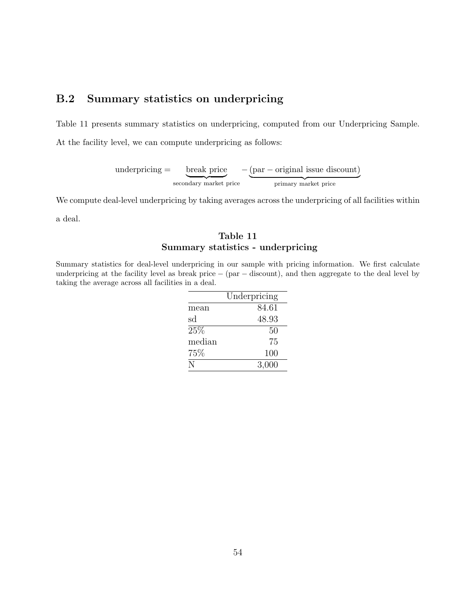### B.2 Summary statistics on underpricing

Table 11 presents summary statistics on underpricing, computed from our Underpricing Sample.

At the facility level, we can compute underpricing as follows:

underpricing = break price secondary market price − (par − original issue discount) primary market price

We compute deal-level underpricing by taking averages across the underpricing of all facilities within

a deal.

### Table 11 Summary statistics - underpricing

Summary statistics for deal-level underpricing in our sample with pricing information. We first calculate underpricing at the facility level as break price − (par − discount), and then aggregate to the deal level by taking the average across all facilities in a deal.

|        | Underpricing |
|--------|--------------|
| mean   | 84.61        |
| sd     | 48.93        |
| 25%    | 50           |
| median | 75           |
| 75\%   | 100          |
| N      | 3,000        |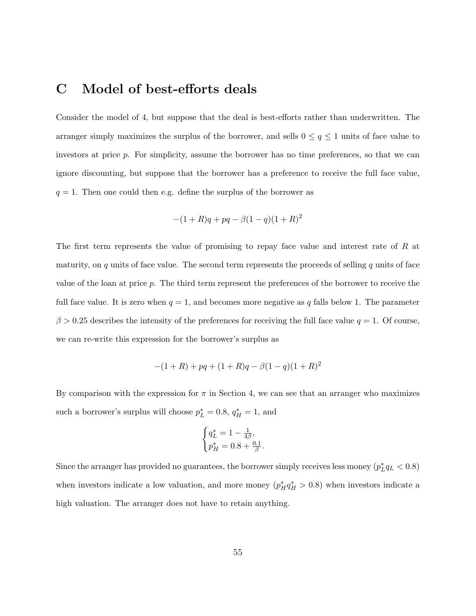# C Model of best-efforts deals

Consider the model of 4, but suppose that the deal is best-efforts rather than underwritten. The arranger simply maximizes the surplus of the borrower, and sells  $0 \le q \le 1$  units of face value to investors at price p. For simplicity, assume the borrower has no time preferences, so that we can ignore discounting, but suppose that the borrower has a preference to receive the full face value,  $q = 1$ . Then one could then e.g. define the surplus of the borrower as

$$
-(1+R)q + pq - \beta(1-q)(1+R)^2
$$

The first term represents the value of promising to repay face value and interest rate of R at maturity, on  $q$  units of face value. The second term represents the proceeds of selling  $q$  units of face value of the loan at price p. The third term represent the preferences of the borrower to receive the full face value. It is zero when  $q = 1$ , and becomes more negative as q falls below 1. The parameter  $\beta > 0.25$  describes the intensity of the preferences for receiving the full face value  $q = 1$ . Of course, we can re-write this expression for the borrower's surplus as

$$
-(1+R) + pq + (1+R)q - \beta(1-q)(1+R)^2
$$

By comparison with the expression for  $\pi$  in Section 4, we can see that an arranger who maximizes such a borrower's surplus will choose  $p_L^* = 0.8$ ,  $q_H^* = 1$ , and

$$
\begin{cases} q_L^* = 1 - \frac{1}{4\beta}, \\ p_H^* = 0.8 + \frac{0.1}{\beta}. \end{cases}
$$

Since the arranger has provided no guarantees, the borrower simply receives less money  $(p_L^*q_L < 0.8)$ when investors indicate a low valuation, and more money  $(p_H^* q_H^* > 0.8)$  when investors indicate a high valuation. The arranger does not have to retain anything.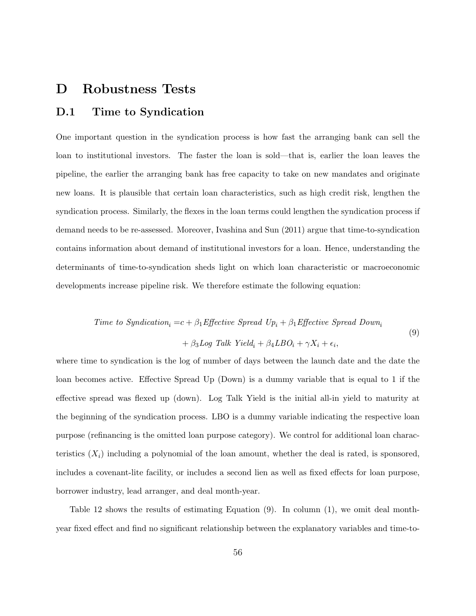## D Robustness Tests

### D.1 Time to Syndication

One important question in the syndication process is how fast the arranging bank can sell the loan to institutional investors. The faster the loan is sold—that is, earlier the loan leaves the pipeline, the earlier the arranging bank has free capacity to take on new mandates and originate new loans. It is plausible that certain loan characteristics, such as high credit risk, lengthen the syndication process. Similarly, the flexes in the loan terms could lengthen the syndication process if demand needs to be re-assessed. Moreover, Ivashina and Sun (2011) argue that time-to-syndication contains information about demand of institutional investors for a loan. Hence, understanding the determinants of time-to-syndication sheds light on which loan characteristic or macroeconomic developments increase pipeline risk. We therefore estimate the following equation:

Time to Syndication<sub>i</sub> = 
$$
c + \beta_1
$$
 Effective Spread  $Up_i + \beta_1$  Effective Spread Down<sub>i</sub>  
+  $\beta_3$ Log Talk Yield<sub>i</sub> +  $\beta_4$ LBO<sub>i</sub> +  $\gamma X_i + \epsilon_i$ , (9)

where time to syndication is the log of number of days between the launch date and the date the loan becomes active. Effective Spread Up (Down) is a dummy variable that is equal to 1 if the effective spread was flexed up (down). Log Talk Yield is the initial all-in yield to maturity at the beginning of the syndication process. LBO is a dummy variable indicating the respective loan purpose (refinancing is the omitted loan purpose category). We control for additional loan characteristics  $(X_i)$  including a polynomial of the loan amount, whether the deal is rated, is sponsored, includes a covenant-lite facility, or includes a second lien as well as fixed effects for loan purpose, borrower industry, lead arranger, and deal month-year.

Table 12 shows the results of estimating Equation (9). In column (1), we omit deal monthyear fixed effect and find no significant relationship between the explanatory variables and time-to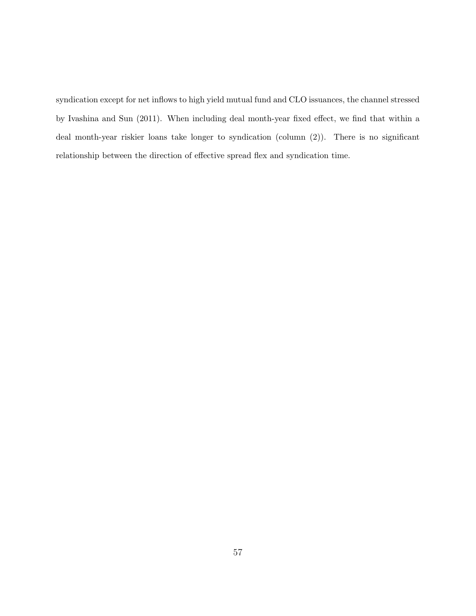syndication except for net inflows to high yield mutual fund and CLO issuances, the channel stressed by Ivashina and Sun (2011). When including deal month-year fixed effect, we find that within a deal month-year riskier loans take longer to syndication (column (2)). There is no significant relationship between the direction of effective spread flex and syndication time.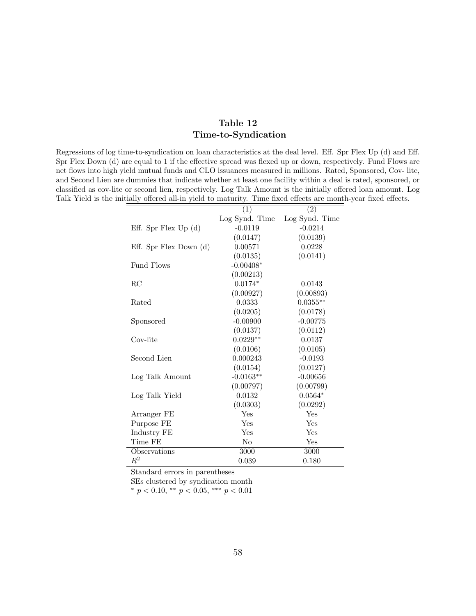### Table 12 Time-to-Syndication

Regressions of log time-to-syndication on loan characteristics at the deal level. Eff. Spr Flex Up (d) and Eff. Spr Flex Down (d) are equal to 1 if the effective spread was flexed up or down, respectively. Fund Flows are net flows into high yield mutual funds and CLO issuances measured in millions. Rated, Sponsored, Cov- lite, and Second Lien are dummies that indicate whether at least one facility within a deal is rated, sponsored, or classified as cov-lite or second lien, respectively. Log Talk Amount is the initially offered loan amount. Log Talk Yield is the initially offered all-in yield to maturity. Time fixed effects are month-year fixed effects.

|                          | (1)            | (2)            |
|--------------------------|----------------|----------------|
|                          | Log Synd. Time | Log Synd. Time |
| Eff. Spr Flex $Up(d)$    | $-0.0119$      | $-0.0214$      |
|                          | (0.0147)       | (0.0139)       |
| Eff. Spr Flex Down $(d)$ | 0.00571        | 0.0228         |
|                          | (0.0135)       | (0.0141)       |
| <b>Fund Flows</b>        | $-0.00408*$    |                |
|                          | (0.00213)      |                |
| RC                       | $0.0174*$      | 0.0143         |
|                          | (0.00927)      | (0.00893)      |
| Rated                    | 0.0333         | $0.0355***$    |
|                          | (0.0205)       | (0.0178)       |
| Sponsored                | $-0.00900$     | $-0.00775$     |
|                          | (0.0137)       | (0.0112)       |
| Cov-lite                 | $0.0229**$     | 0.0137         |
|                          | (0.0106)       | (0.0105)       |
| Second Lien              | 0.000243       | $-0.0193$      |
|                          | (0.0154)       | (0.0127)       |
| Log Talk Amount          | $-0.0163**$    | $-0.00656$     |
|                          | (0.00797)      | (0.00799)      |
| Log Talk Yield           | 0.0132         | $0.0564*$      |
|                          | (0.0303)       | (0.0292)       |
| Arranger FE              | Yes            | Yes            |
| Purpose FE               | Yes            | Yes            |
| Industry FE              | Yes            | Yes            |
| Time FE                  | N <sub>o</sub> | Yes            |
| Observations             | 3000           | 3000           |
| $\mathbb{R}^2$           | 0.039          | 0.180          |

Standard errors in parentheses

SEs clustered by syndication month

 $*$  p < 0.10,  $*$  p < 0.05,  $**$  p < 0.01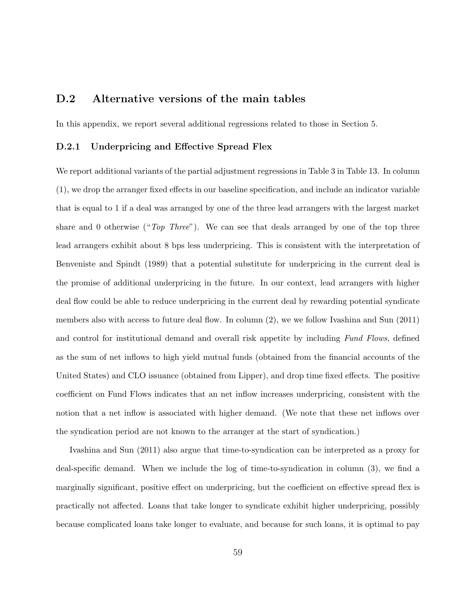### D.2 Alternative versions of the main tables

In this appendix, we report several additional regressions related to those in Section 5.

### D.2.1 Underpricing and Effective Spread Flex

We report additional variants of the partial adjustment regressions in Table 3 in Table 13. In column (1), we drop the arranger fixed effects in our baseline specification, and include an indicator variable that is equal to 1 if a deal was arranged by one of the three lead arrangers with the largest market share and 0 otherwise (" $Top$  Three"). We can see that deals arranged by one of the top three lead arrangers exhibit about 8 bps less underpricing. This is consistent with the interpretation of Benveniste and Spindt (1989) that a potential substitute for underpricing in the current deal is the promise of additional underpricing in the future. In our context, lead arrangers with higher deal flow could be able to reduce underpricing in the current deal by rewarding potential syndicate members also with access to future deal flow. In column (2), we we follow Ivashina and Sun (2011) and control for institutional demand and overall risk appetite by including Fund Flows, defined as the sum of net inflows to high yield mutual funds (obtained from the financial accounts of the United States) and CLO issuance (obtained from Lipper), and drop time fixed effects. The positive coefficient on Fund Flows indicates that an net inflow increases underpricing, consistent with the notion that a net inflow is associated with higher demand. (We note that these net inflows over the syndication period are not known to the arranger at the start of syndication.)

Ivashina and Sun (2011) also argue that time-to-syndication can be interpreted as a proxy for deal-specific demand. When we include the log of time-to-syndication in column (3), we find a marginally significant, positive effect on underpricing, but the coefficient on effective spread flex is practically not affected. Loans that take longer to syndicate exhibit higher underpricing, possibly because complicated loans take longer to evaluate, and because for such loans, it is optimal to pay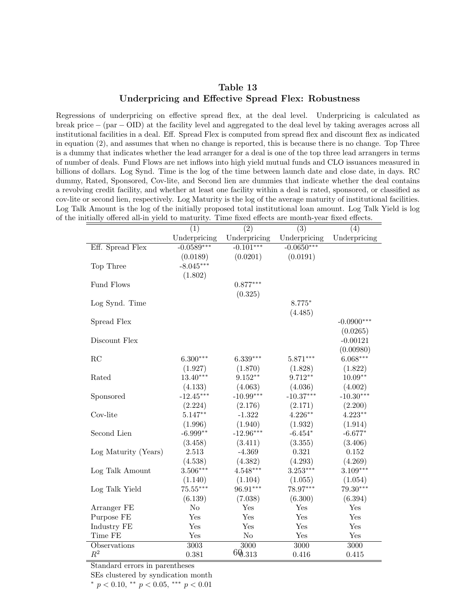### Table 13 Underpricing and Effective Spread Flex: Robustness

Regressions of underpricing on effective spread flex, at the deal level. Underpricing is calculated as break price − (par − OID) at the facility level and aggregated to the deal level by taking averages across all institutional facilities in a deal. Eff. Spread Flex is computed from spread flex and discount flex as indicated in equation (2), and assumes that when no change is reported, this is because there is no change. Top Three is a dummy that indicates whether the lead arranger for a deal is one of the top three lead arrangers in terms of number of deals. Fund Flows are net inflows into high yield mutual funds and CLO issuances measured in billions of dollars. Log Synd. Time is the log of the time between launch date and close date, in days. RC dummy, Rated, Sponsored, Cov-lite, and Second lien are dummies that indicate whether the deal contains a revolving credit facility, and whether at least one facility within a deal is rated, sponsored, or classified as cov-lite or second lien, respectively. Log Maturity is the log of the average maturity of institutional facilities. Log Talk Amount is the log of the initially proposed total institutional loan amount. Log Talk Yield is log of the initially offered all-in yield to maturity. Time fixed effects are month-year fixed effects.

| nially offered all-the yield to maturity. Thile haed effects are month-year fixed effects. |                  |                  |                  |              |
|--------------------------------------------------------------------------------------------|------------------|------------------|------------------|--------------|
|                                                                                            | $\overline{(1)}$ | $\overline{(2)}$ | $\overline{(3)}$ | (4)          |
|                                                                                            | Underpricing     | Underpricing     | Underpricing     | Underpricing |
| Eff. Spread Flex                                                                           | $-0.0589***$     | $-0.101***$      | $-0.0650***$     |              |
|                                                                                            | (0.0189)         | (0.0201)         | (0.0191)         |              |
| Top Three                                                                                  | $-8.045***$      |                  |                  |              |
|                                                                                            | (1.802)          |                  |                  |              |
| Fund Flows                                                                                 |                  | $0.877***$       |                  |              |
|                                                                                            |                  | (0.325)          |                  |              |
| Log Synd. Time                                                                             |                  |                  | $8.775*$         |              |
|                                                                                            |                  |                  | (4.485)          |              |
| Spread Flex                                                                                |                  |                  |                  | $-0.0900***$ |
|                                                                                            |                  |                  |                  | (0.0265)     |
| Discount Flex                                                                              |                  |                  |                  | $-0.00121$   |
|                                                                                            |                  |                  |                  | (0.00980)    |
| RC                                                                                         | $6.300***$       | $6.339***$       | $5.871***$       | $6.068***$   |
|                                                                                            | (1.927)          | (1.870)          | (1.828)          | (1.822)      |
| Rated                                                                                      | $13.40***$       | $9.152**$        | $9.712**$        | $10.09**$    |
|                                                                                            | (4.133)          | (4.063)          | (4.036)          | (4.002)      |
| Sponsored                                                                                  | $-12.45***$      | $-10.99***$      | $-10.37***$      | $-10.30***$  |
|                                                                                            | (2.224)          | (2.176)          | (2.171)          | (2.200)      |
| Cov-lite                                                                                   | $5.147**$        | $-1.322$         | $4.226**$        | $4.223**$    |
|                                                                                            | (1.996)          | (1.940)          | (1.932)          | (1.914)      |
| Second Lien                                                                                | $-6.999**$       | $-12.96***$      | $-6.454*$        | $-6.677*$    |
|                                                                                            | (3.458)          | (3.411)          | (3.355)          | (3.406)      |
| Log Maturity (Years)                                                                       | 2.513            | $-4.369$         | 0.321            | 0.152        |
|                                                                                            | (4.538)          | (4.382)          | (4.293)          | (4.269)      |
| Log Talk Amount                                                                            | $3.506***$       | $4.548***$       | $3.253***$       | $3.109***$   |
|                                                                                            | (1.140)          | (1.104)          | (1.055)          | (1.054)      |
| Log Talk Yield                                                                             | $75.55***$       | 96.91***         | 78.97***         | 79.30***     |
|                                                                                            | (6.139)          | (7.038)          | (6.300)          | (6.394)      |
| Arranger FE                                                                                | N <sub>o</sub>   | Yes              | Yes              | Yes          |
| Purpose FE                                                                                 | Yes              | Yes              | Yes              | Yes          |
| Industry FE                                                                                | Yes              | Yes              | Yes              | Yes          |
| Time FE                                                                                    | Yes              | N <sub>o</sub>   | Yes              | Yes          |
| Observations                                                                               | 3003             | 3000             | 3000             | 3000         |
| $\mathbb{R}^2$                                                                             | 0.381            | 60.313           | 0.416            | 0.415        |

Standard errors in parentheses

SEs clustered by syndication month

\*  $p < 0.10$ , \*\*  $p < 0.05$ , \*\*\*  $p < 0.01$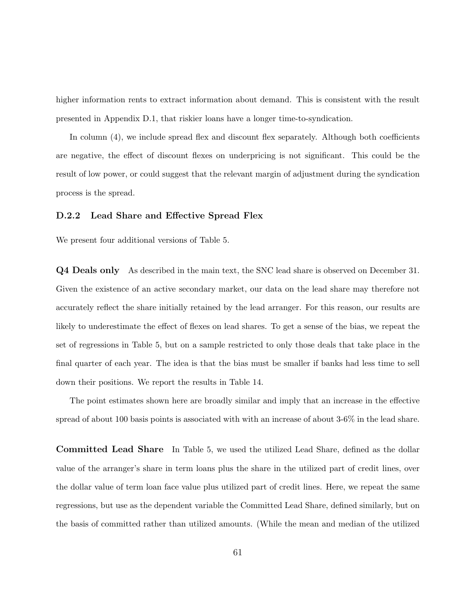higher information rents to extract information about demand. This is consistent with the result presented in Appendix D.1, that riskier loans have a longer time-to-syndication.

In column (4), we include spread flex and discount flex separately. Although both coefficients are negative, the effect of discount flexes on underpricing is not significant. This could be the result of low power, or could suggest that the relevant margin of adjustment during the syndication process is the spread.

### D.2.2 Lead Share and Effective Spread Flex

We present four additional versions of Table 5.

Q4 Deals only As described in the main text, the SNC lead share is observed on December 31. Given the existence of an active secondary market, our data on the lead share may therefore not accurately reflect the share initially retained by the lead arranger. For this reason, our results are likely to underestimate the effect of flexes on lead shares. To get a sense of the bias, we repeat the set of regressions in Table 5, but on a sample restricted to only those deals that take place in the final quarter of each year. The idea is that the bias must be smaller if banks had less time to sell down their positions. We report the results in Table 14.

The point estimates shown here are broadly similar and imply that an increase in the effective spread of about 100 basis points is associated with with an increase of about 3-6% in the lead share.

Committed Lead Share In Table 5, we used the utilized Lead Share, defined as the dollar value of the arranger's share in term loans plus the share in the utilized part of credit lines, over the dollar value of term loan face value plus utilized part of credit lines. Here, we repeat the same regressions, but use as the dependent variable the Committed Lead Share, defined similarly, but on the basis of committed rather than utilized amounts. (While the mean and median of the utilized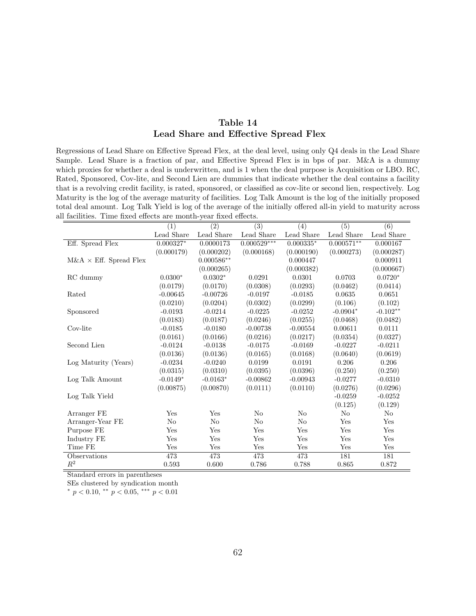### Table 14 Lead Share and Effective Spread Flex

Regressions of Lead Share on Effective Spread Flex, at the deal level, using only Q4 deals in the Lead Share Sample. Lead Share is a fraction of par, and Effective Spread Flex is in bps of par. M&A is a dummy which proxies for whether a deal is underwritten, and is 1 when the deal purpose is Acquisition or LBO. RC, Rated, Sponsored, Cov-lite, and Second Lien are dummies that indicate whether the deal contains a facility that is a revolving credit facility, is rated, sponsored, or classified as cov-lite or second lien, respectively. Log Maturity is the log of the average maturity of facilities. Log Talk Amount is the log of the initially proposed total deal amount. Log Talk Yield is log of the average of the initially offered all-in yield to maturity across all facilities. Time fixed effects are month-year fixed effects.

|                                | $\overline{(1)}$ | $\overline{(2)}$ | $\overline{(3)}$ | $\overline{(4)}$ | $\overline{(5)}$           | $\overline{(6)}$ |
|--------------------------------|------------------|------------------|------------------|------------------|----------------------------|------------------|
|                                | Lead Share       | Lead Share       | Lead Share       | Lead Share       | Lead Share                 | Lead Share       |
| Eff. Spread Flex               | $0.000327*$      | 0.0000173        | $0.000529***$    | $0.000335*$      | $0.\overline{000571^{**}}$ | 0.000167         |
|                                | (0.000179)       | (0.000202)       | (0.000168)       | (0.000190)       | (0.000273)                 | (0.000287)       |
| $M\&A \times$ Eff. Spread Flex |                  | $0.000586**$     |                  | 0.000447         |                            | 0.000911         |
|                                |                  | (0.000265)       |                  | (0.000382)       |                            | (0.000667)       |
| RC dummy                       | $0.0300*$        | $0.0302*$        | 0.0291           | 0.0301           | 0.0703                     | $0.0720*$        |
|                                | (0.0179)         | (0.0170)         | (0.0308)         | (0.0293)         | (0.0462)                   | (0.0414)         |
| Rated                          | $-0.00645$       | $-0.00726$       | $-0.0197$        | $-0.0185$        | 0.0635                     | 0.0651           |
|                                | (0.0210)         | (0.0204)         | (0.0302)         | (0.0299)         | (0.106)                    | (0.102)          |
| Sponsored                      | $-0.0193$        | $-0.0214$        | $-0.0225$        | $-0.0252$        | $-0.0904*$                 | $-0.102**$       |
|                                | (0.0183)         | (0.0187)         | (0.0246)         | (0.0255)         | (0.0468)                   | (0.0482)         |
| Cov-lite                       | $-0.0185$        | $-0.0180$        | $-0.00738$       | $-0.00554$       | 0.00611                    | 0.0111           |
|                                | (0.0161)         | (0.0166)         | (0.0216)         | (0.0217)         | (0.0354)                   | (0.0327)         |
| Second Lien                    | $-0.0124$        | $-0.0138$        | $-0.0175$        | $-0.0169$        | $-0.0227$                  | $-0.0211$        |
|                                | (0.0136)         | (0.0136)         | (0.0165)         | (0.0168)         | (0.0640)                   | (0.0619)         |
| Log Maturity (Years)           | $-0.0234$        | $-0.0240$        | 0.0199           | 0.0191           | 0.206                      | 0.206            |
|                                | (0.0315)         | (0.0310)         | (0.0395)         | (0.0396)         | (0.250)                    | (0.250)          |
| Log Talk Amount                | $-0.0149*$       | $-0.0163*$       | $-0.00862$       | $-0.00943$       | $-0.0277$                  | $-0.0310$        |
|                                | (0.00875)        | (0.00870)        | (0.0111)         | (0.0110)         | (0.0276)                   | (0.0296)         |
| Log Talk Yield                 |                  |                  |                  |                  | $-0.0259$                  | $-0.0252$        |
|                                |                  |                  |                  |                  | (0.125)                    | (0.129)          |
| Arranger FE                    | Yes              | Yes              | $\rm No$         | $\rm No$         | N <sub>o</sub>             | $\rm No$         |
| Arranger-Year FE               | No               | $\rm No$         | No               | No               | Yes                        | Yes              |
| Purpose FE                     | Yes              | Yes              | Yes              | Yes              | Yes                        | Yes              |
| Industry FE                    | Yes              | Yes              | Yes              | Yes              | Yes                        | Yes              |
| Time FE                        | Yes              | Yes              | Yes              | Yes              | Yes                        | Yes              |
| Observations                   | 473              | 473              | 473              | 473              | 181                        | 181              |
| $\mathbb{R}^2$                 | 0.593            | 0.600            | 0.786            | 0.788            | 0.865                      | 0.872            |

Standard errors in parentheses

SEs clustered by syndication month

 $*$  p < 0.10,  $*$  p < 0.05,  $**$  p < 0.01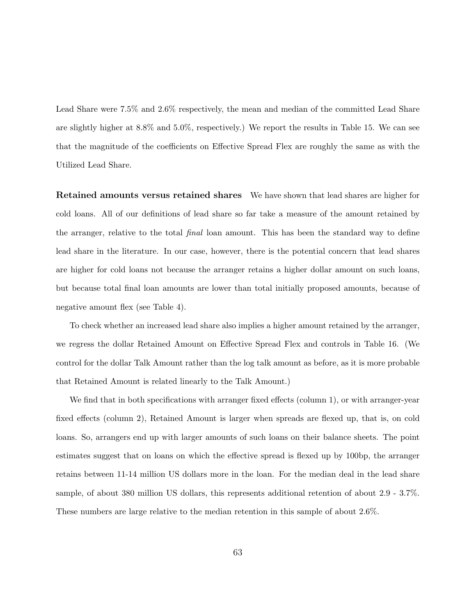Lead Share were 7.5% and 2.6% respectively, the mean and median of the committed Lead Share are slightly higher at 8.8% and 5.0%, respectively.) We report the results in Table 15. We can see that the magnitude of the coefficients on Effective Spread Flex are roughly the same as with the Utilized Lead Share.

Retained amounts versus retained shares We have shown that lead shares are higher for cold loans. All of our definitions of lead share so far take a measure of the amount retained by the arranger, relative to the total final loan amount. This has been the standard way to define lead share in the literature. In our case, however, there is the potential concern that lead shares are higher for cold loans not because the arranger retains a higher dollar amount on such loans, but because total final loan amounts are lower than total initially proposed amounts, because of negative amount flex (see Table 4).

To check whether an increased lead share also implies a higher amount retained by the arranger, we regress the dollar Retained Amount on Effective Spread Flex and controls in Table 16. (We control for the dollar Talk Amount rather than the log talk amount as before, as it is more probable that Retained Amount is related linearly to the Talk Amount.)

We find that in both specifications with arranger fixed effects (column 1), or with arranger-year fixed effects (column 2), Retained Amount is larger when spreads are flexed up, that is, on cold loans. So, arrangers end up with larger amounts of such loans on their balance sheets. The point estimates suggest that on loans on which the effective spread is flexed up by 100bp, the arranger retains between 11-14 million US dollars more in the loan. For the median deal in the lead share sample, of about 380 million US dollars, this represents additional retention of about 2.9 - 3.7%. These numbers are large relative to the median retention in this sample of about 2.6%.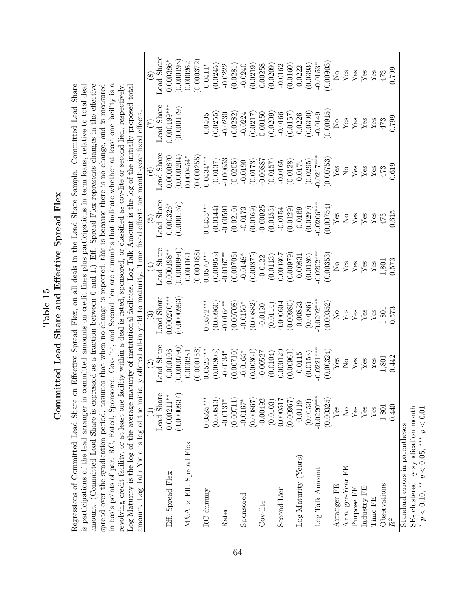Table 15<br>Committed Lead Share and Effective Spread Flex Committed Lead Share and Effective Spread Flex

is participations of the lead arranger in committed amounts on credit lines plus participations in term loans, relative to total deal amount. (Committed Lead Share is expressed as a fraction between 0 and 1.) Eff. Spread Flex represents changes in the effective in basis points of par. RC, Rated, Sponsored, Cov-lite, and Second lien are dummies that indicate whether at least one facility is a in basis points of par. RC, Rated, Sponsored, Cov-lite, and Second lien are dummies that indicate whether at least one facility is a Regressions of Committed Lead Share on Effective Spread Flex, on all deals in the Lead Share Sample. Committed Lead Share spread over the syndication period, assumes that when no change is reported, this is because there is no change, and is measured revolving credit facility, or at least one facility within a deal is rated, sponsored, or classified as cov-lite or second lien, respectively. Regressions of Committed Lead Share on Effective Spread Flex, on all deals in the Lead Share Sample. Committed Lead Share is participations of the lead arranger in committed amounts on credit lines plus participations in term loans, relative to total deal amount. (Committed Lead Share is expressed as a fraction between 0 and 1.) Eff. Spread Flex represents changes in the effective spread over the syndication period, assumes that when no change is reported, this is because there is no change, and is measured Log Maturity is the log of the average maturity of institutional facilities. Log Talk Amount is the log of the initially proposed total revolving credit facility, or at least one facility within a deal is rated, sponsored, or classified as cov-lite or second lien, respectively. amount. Log Talk Yield is log of the initially offered all-in yield to maturity. Time fixed effects are month-year fixed effects. ュ ਙ∥

| $\text{Log Maturity}$ is the $\log$ of the average maturity of institutional facilities. Log Talk Amount is the log of the initially proposed tota<br>amount. Log Talk Yield is log of the initially offered all-in yield to maturity. Time fixed effects are month-year fixed effects. |                                    |                               |                          |                       |                                                                        |                                |                                                                                     |                                                               |
|-----------------------------------------------------------------------------------------------------------------------------------------------------------------------------------------------------------------------------------------------------------------------------------------|------------------------------------|-------------------------------|--------------------------|-----------------------|------------------------------------------------------------------------|--------------------------------|-------------------------------------------------------------------------------------|---------------------------------------------------------------|
|                                                                                                                                                                                                                                                                                         |                                    | $\widehat{\mathfrak{O}}$      | $\widehat{\mathfrak{G}}$ | $(\pm)$               | $\widetilde{E}$                                                        | $\widehat{\mathbf{e}}$         | $\widetilde{\Xi}$                                                                   | $\circled{s}$                                                 |
|                                                                                                                                                                                                                                                                                         | Lead Share                         | <b>Lead Share</b>             | Lead Share               | Lead Share            | Lead Share                                                             | Lead Share                     | Lead Share                                                                          | ead Share                                                     |
| Eff. Spread Flex                                                                                                                                                                                                                                                                        | $0.000211**$                       | 0.000106                      | $0.000270***$            | $0.000198*$           | 0.000326                                                               | 0.0000870                      | $0.000499**$                                                                        | 0.000386                                                      |
|                                                                                                                                                                                                                                                                                         | $\widetilde{\Sigma}$<br>(0.000083) | 0.0000790                     | (0.000093)               | (0.000091             | [0.000167]                                                             | 0.000204                       | (0.000179)                                                                          | (0.000198)                                                    |
| $M\&A$ $\times$ Eff. Spread Flex                                                                                                                                                                                                                                                        |                                    | 0.00023                       |                          | 0.000161              |                                                                        | $0.000454*$                    |                                                                                     | 0.000262                                                      |
|                                                                                                                                                                                                                                                                                         |                                    | (0.000158)                    |                          | 0.000188              |                                                                        | 0.000255                       |                                                                                     | 0.000372                                                      |
| RC dunnny                                                                                                                                                                                                                                                                               | $0.0525***$                        | $0.0523***$                   | $0.0572***$              | $0.0570***$           | $0.0433***$                                                            | $0.0434***$                    | 0.0405                                                                              | $0.0411*$                                                     |
|                                                                                                                                                                                                                                                                                         | (0.00813)                          | (0.00803)                     | (0.00960)                | (0.00953)             | (0.0144)                                                               | (0.0137)                       | (0.0255)                                                                            | (0.0245)                                                      |
| Rated                                                                                                                                                                                                                                                                                   | $-0.0131$ <sup>*</sup>             | $-0.0134*$                    | $0.0164**$               | $-0.0167**$           | $-0.0059$                                                              | $-0.00653$                     | $-0.0230$                                                                           | $-0.0222$                                                     |
|                                                                                                                                                                                                                                                                                         | (0.00711                           | (0.00710)                     | 0.00708                  | (0.00705)             | (0.0210)                                                               | (0.0205)                       | (0.0282)                                                                            | (0.0281)                                                      |
| Sponsored                                                                                                                                                                                                                                                                               | $-0.0167$ <sup>*</sup>             | $-0.0165*$                    | $-0.0150*$               | $-0.0148*$            | $-0.0173$                                                              | $-0.0190$                      | $-0.0224$                                                                           | $-0.0240$                                                     |
|                                                                                                                                                                                                                                                                                         | (0.0867                            | (0.00864                      | 0.00882                  | 0.00875               | (0.0169)                                                               | (0.0173)                       | (0.0217)                                                                            | (0.0219)                                                      |
| Cov-lite                                                                                                                                                                                                                                                                                | $-0.00492$                         | $-0.00527$                    | $-0.0120$                | $-0.0122$             | $-0.00925$                                                             | $-0.00887$                     | 0.00150                                                                             | 0.00258                                                       |
|                                                                                                                                                                                                                                                                                         | (0.0103)                           | (0.0104)                      | (0.0114)                 | (0.0113)              | (0.0153)                                                               | (0.0157)                       | (0.0209)                                                                            | (0.0209)                                                      |
| Second Lien                                                                                                                                                                                                                                                                             | 0.00051'                           | 0.000129                      | 0.000604                 | 0.000367              | $-0.0154$                                                              | $-0.0165$                      | $-0.0166$                                                                           | $-0.0162$                                                     |
|                                                                                                                                                                                                                                                                                         | (0.00967                           | 0.00961                       | (0.00980)                | 0.00979               | (0.0129)                                                               | (0.0128)                       | (0.0157)                                                                            | (0.0160)                                                      |
| Log Maturity (Years)                                                                                                                                                                                                                                                                    | $-0.0119$                          | $-0.0115$                     | $-0.00823$               | $-0.00831$            | $-0.0169$                                                              | $-0.0174$                      | 0.0226                                                                              | 0.0222                                                        |
|                                                                                                                                                                                                                                                                                         | (0.0153)                           | (0.0153)                      | (0.0186)                 | (0.0186)              | (0.0299)                                                               | (0.0295)                       | (0.0390)                                                                            | (0.0393)                                                      |
| $\mbox{Log}$ Talk Amount                                                                                                                                                                                                                                                                | $-0.0220**$                        | $0.0221***$                   | $0.0202***$              | $0.0202***$           | $0.0206***$                                                            | $0.0217***$                    | $-0.0149$                                                                           | $-0.0153*$                                                    |
|                                                                                                                                                                                                                                                                                         | (0.00325)                          | (0.00324)                     | (0.00352)                | (0.00353)             | (0.00754)                                                              | 0.00753                        | (0.00915)                                                                           | 0.00903                                                       |
| Arranger FE                                                                                                                                                                                                                                                                             | $Y$ es                             | $Y_{\rm \small \textsf{ess}}$ |                          | $\mathcal{S}^{\circ}$ | ${\rm Yes}$                                                            | ${\rm Yes}$                    | $\mathcal{S}_{\mathbf{N}}$                                                          | $\rm _{NO}$                                                   |
| Arranger-Year FE                                                                                                                                                                                                                                                                        | $\tilde{\mathsf{X}}^{\mathsf{o}}$  | $\rm \stackrel{\circ}{X}$     | $^{10}_{\text{Ne}}$      | ${\rm Yes}$           | $\rm \stackrel{\circ}{\rm \stackrel{\circ}{\rm \scriptscriptstyle M}}$ | $\mathop{\mathsf{S}}\nolimits$ | $\begin{tabular}{l} \hline \text{Yes} \\ \text{Yes} \\ \text{Yes} \\ \end{tabular}$ | $\mathop{\mathrm{Yes}}\limits_{\mathop{\mathrm{Yes}}\limits}$ |
| Purpose FE                                                                                                                                                                                                                                                                              | ${\rm Yes}$                        | $_{\rm Yes}^{\rm Yes}$        |                          | $Y$ es                | $Y_{CS}$                                                               | $_{\rm Yes}^{\rm Yes}$         |                                                                                     |                                                               |
| Industry FE                                                                                                                                                                                                                                                                             | ${\rm Yes}$                        |                               | <b>Yes</b><br>Yes        | Yes                   |                                                                        |                                |                                                                                     |                                                               |
| Time FE                                                                                                                                                                                                                                                                                 | Yes                                | Yes                           | Yes                      | Yes                   | $Y$ es                                                                 | Yes                            |                                                                                     | Yes                                                           |
| Observations                                                                                                                                                                                                                                                                            | 1,801                              | 1,801                         | 1,801                    | 1,80                  | 473                                                                    | 473                            | 473                                                                                 | 473                                                           |
| $R^2$                                                                                                                                                                                                                                                                                   | 0.440                              | 0.442                         | 0.573                    | 0.573                 | 0.615                                                                  | 0.619                          | 0.799                                                                               | 0.799                                                         |
| Standard errors in parentheses                                                                                                                                                                                                                                                          |                                    |                               |                          |                       |                                                                        |                                |                                                                                     |                                                               |

SEs clustered by syndication month \*  $p < 0.10$ , \*\*  $p < 0.05$ , \*\*\*  $p < 0.01$ \*  $p < 0.10$ , \*\*  $p < 0.05$ , \*\*\*  $p < 0.01$ 

SEs clustered by syndication month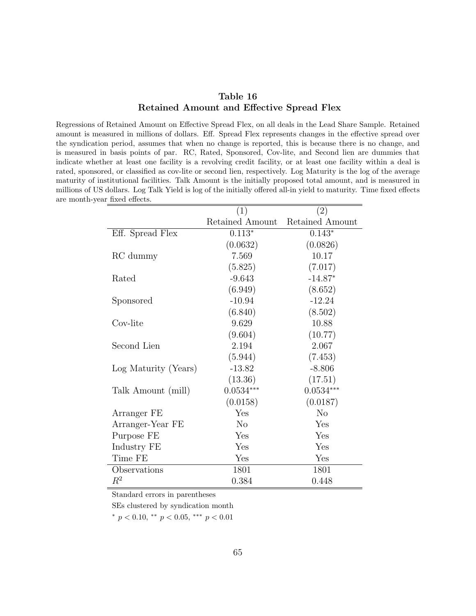### Table 16 Retained Amount and Effective Spread Flex

Regressions of Retained Amount on Effective Spread Flex, on all deals in the Lead Share Sample. Retained amount is measured in millions of dollars. Eff. Spread Flex represents changes in the effective spread over the syndication period, assumes that when no change is reported, this is because there is no change, and is measured in basis points of par. RC, Rated, Sponsored, Cov-lite, and Second lien are dummies that indicate whether at least one facility is a revolving credit facility, or at least one facility within a deal is rated, sponsored, or classified as cov-lite or second lien, respectively. Log Maturity is the log of the average maturity of institutional facilities. Talk Amount is the initially proposed total amount, and is measured in millions of US dollars. Log Talk Yield is log of the initially offered all-in yield to maturity. Time fixed effects are month-year fixed effects.

|                      | (1)             | (2)             |
|----------------------|-----------------|-----------------|
|                      | Retained Amount | Retained Amount |
| Eff. Spread Flex     | $0.113*$        | $0.143*$        |
|                      | (0.0632)        | (0.0826)        |
| RC dummy             | 7.569           | 10.17           |
|                      | (5.825)         | (7.017)         |
| Rated                | $-9.643$        | $-14.87*$       |
|                      | (6.949)         | (8.652)         |
| Sponsored            | $-10.94$        | $-12.24$        |
|                      | (6.840)         | (8.502)         |
| Cov-lite             | 9.629           | 10.88           |
|                      | (9.604)         | (10.77)         |
| Second Lien          | 2.194           | 2.067           |
|                      | (5.944)         | (7.453)         |
| Log Maturity (Years) | $-13.82$        | $-8.806$        |
|                      | (13.36)         | (17.51)         |
| Talk Amount (mill)   | $0.0534***$     | $0.0534***$     |
|                      | (0.0158)        | (0.0187)        |
| Arranger FE          | Yes             | $\rm No$        |
| Arranger-Year FE     | $\rm No$        | Yes             |
| Purpose FE           | Yes             | Yes             |
| Industry FE          | Yes             | Yes             |
| Time FE              | Yes             | Yes             |
| Observations         | 1801            | 1801            |
| $\mathbb{R}^2$       | 0.384           | 0.448           |

Standard errors in parentheses

SEs clustered by syndication month

 $*$  p < 0.10,  $*$  p < 0.05,  $*$   $*$  p < 0.01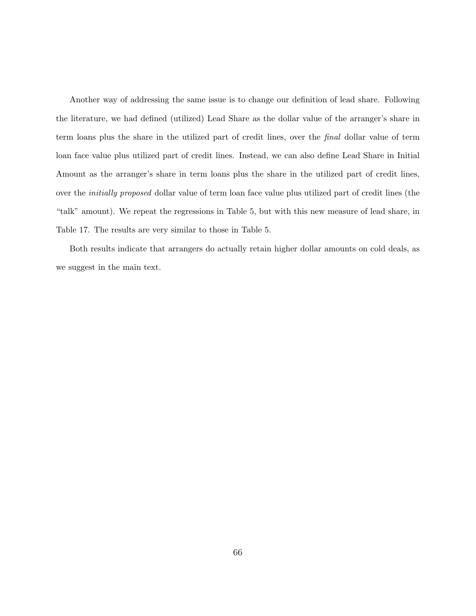Another way of addressing the same issue is to change our definition of lead share. Following the literature, we had defined (utilized) Lead Share as the dollar value of the arranger's share in term loans plus the share in the utilized part of credit lines, over the final dollar value of term loan face value plus utilized part of credit lines. Instead, we can also define Lead Share in Initial Amount as the arranger's share in term loans plus the share in the utilized part of credit lines, over the initially proposed dollar value of term loan face value plus utilized part of credit lines (the "talk" amount). We repeat the regressions in Table 5, but with this new measure of lead share, in Table 17. The results are very similar to those in Table 5.

Both results indicate that arrangers do actually retain higher dollar amounts on cold deals, as we suggest in the main text.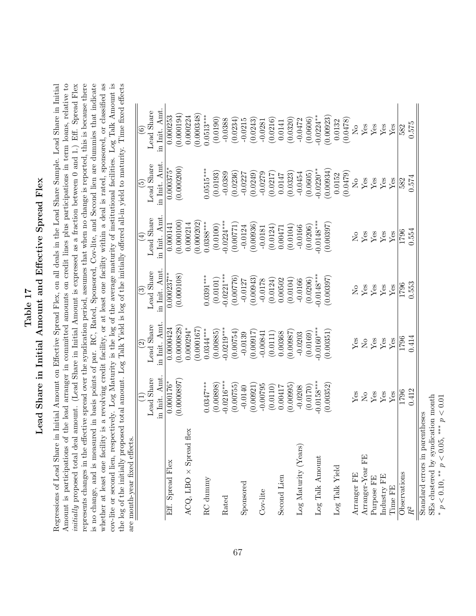# Table 17<br>Lead Share in Initial Amount and Effective Spread Flex Lead Share in Initial Amount and Effective Spread Flex

Amount is participations of the lead arranger in committed amounts on credit lines plus participations in term loans, relative to initially proposed total deal amount. (Lead Share in Initial Amount is expressed as a fraction between 0 and 1.) Eff. Spread Flex represents changes in the effective spread over the syndication period, assumes that when no change is reported, this is because there is no change, and is measured in basis points of par. RC, Rated, Sponsored, Cov-lite, and Second lien are dummies that indicate whether at least one facility is a revolving credit facility, or at least one facility within a deal is rated, sponsored, or classified as cov-lite or second lien, respectively. Log Maturity is the log of the average maturity of institutional facilities. Log Talk Amount is the log of the initially proposed total amount. Log Talk Yield is log of the initially offered all-in yield to maturity. Time fixed effects Regressions of Lead Share in Initial Amount on Effective Spread Flex, on all deals in the Lead Share Sample. Lead Share in Initial cov-lite or second lien, respectively. Log Maturity is the log of the average maturity of institutional facilities. Log Talk Amount is Regressions of Lead Share in Initial Amount on Effective Spread Flex, on all deals in the Lead Share Sample. Lead Share in Initial Amount is participations of the lead arranger in committed amounts on credit lines plus participations in term loans, relative to initially proposed total deal amount. (Lead Share in Initial Amount is expressed as a fraction between 0 and 1.) Eff. Spread Flex represents changes in the effective spread over the syndication period, assumes that when no change is reported, this is because there is no change, and is measured in basis points of par. RC, Rated, Sponsored, Cov-lite, and Second lien are dummies that indicate whether at least one facility is a revolving credit facility, or at least one facility within a deal is rated, sponsored, or classified as the log of the initially proposed total amount. Log Talk Yield is log of the initially offered all-in yield to maturity. Time fixed effects  $ar \in$ 

|                                          |                    | $\widehat{\mathfrak{O}}$ | ි                      | $\widehat{A}$              | $\widetilde{E}$            | $\widehat{\mathfrak{s}}$ |
|------------------------------------------|--------------------|--------------------------|------------------------|----------------------------|----------------------------|--------------------------|
|                                          | Lead Share         | Lead Share               | Lead Share             | Lead Share                 | Lead Share                 | Lead Share               |
|                                          | in Init. Amt       | in Init. Amt             | in Init. Amt           | in Init. Amt               | in Init. Amt               | in Init. Amt.            |
| Eff. Spread Flex                         | $0.000176*$        | 0.0000424                | $\overline{0.000237}$  | 0.000141                   | $\frac{0.000375^*}{2}$     | 0.000253                 |
|                                          | (0.0000897)        | (0.0000828)              | (0.000108)             | (0.000100)                 | (0.000200)                 | (0.000194)               |
| flex<br>$ACQ$ , LBO $\times$ Spread      |                    | $0.000294*$              |                        | 0.000214                   |                            | 0.000224                 |
|                                          |                    | (0.000167                |                        | 0.000202                   |                            | 0.000348                 |
| RC dummy                                 | $0.0347***$        | $0.0344***$              | $0.0391***$            | $0.0388***$                | $0.0515***$                | $0.0513***$              |
|                                          | (0.00898)          | (0.00885)                | (0.0101)               | (0.0100)                   | (0.0193)                   | (0.0190)                 |
| Rated                                    | $0.0216***$        | $-0.0219***$             | $0.0221***$            | $-0.0224***$               | $-0.0389$                  | $-0.0388$                |
|                                          | (0.00755)          | (0.00754)                | (0.00776)              | (0.00771)                  | (0.0236)                   | (0.0234)                 |
| Sponsored                                | $-0.0140$          | $-0.0139$                | $-0.0127$              | $-0.0124$                  | $-0.0227$                  | $-0.0215$                |
|                                          | (0.00921)          | (0.00017)                | (0.00943)              | (0.00936)                  | (0.0249)                   | (0.0243)                 |
| Cov-lite                                 | $-0.00795$         | $-0.00841$               | $-0.0178$              | $-0.0181$                  | $-0.0279$                  | $-0.0281$                |
|                                          | (0.0110)           | (0.0111)                 | (0.0124)               | (0.0124)                   | (0.0217)                   | (0.0216)                 |
| Second Lien                              | 0.00417            | 0.00368                  | 0.00502                | 0.00471                    | 0.0147                     | 0.0141                   |
|                                          | (0.00995)          | 18600:0                  | (0.0104)               | (0.0104)                   | (0.0323)                   | (0.0320)                 |
| Log Maturity (Years)                     | $-0.0208$          | $-0.0203$                | $-0.0166$              | $-0.0166$                  | $-0.0454$                  | $-0.0472$                |
|                                          | (0.0170)           | (0.0169)                 | (0.0206)               | (0.0206)                   | (0.0605)                   | (0.0606)                 |
| $\mbox{Log } \mbox{Talk } \mbox{Amount}$ | $0.0158***$        | $-0.0160***$             | $0.0148***$            | $0.0148***$                | $0.0220**$                 | $0.0224**$               |
|                                          | (0.00352)          | 0.00351                  | 0.00397                | 0.00397                    | 0.00934                    | (0.00923)                |
| $\operatorname{Log}$ Talk Yield          |                    |                          |                        |                            | 0.0152                     | 0.0132                   |
|                                          |                    |                          |                        |                            | (0.0479)                   | (0.0478)                 |
| Arranger FE                              | Yes                | $Y_{\rm 6S}$             | $\mathcal{S}^{\circ}$  | $\mathcal{S}_{\mathsf{N}}$ | $\stackrel{\circ}{\simeq}$ | $\overline{\mathsf{S}}$  |
| Arranger-Year FE                         | $\rm _{N}^{\circ}$ | $\rm _{N}^{\circ}$       | ${\rm Yes}$            | $\mathbf{Yes}$             | ${\rm Yes}$                | ${\rm Yes}$              |
| Purpose FE                               | ${\rm Yes}$        | <b>Yes</b><br>Yes        | $_{\rm Yes}^{\rm Yes}$ | $_{\rm Yes}^{\rm Yes}$     | $_{\rm Yes}^{\rm Yes}$     | $\frac{Y}{Y}$ es         |
| Industry FE                              | ${\rm Yes}$        |                          |                        |                            |                            |                          |
| Time FE                                  | ${\rm Yes}$        | Yes                      | ${\rm Yes}$            | ${\rm Yes}$                | ${\rm Yes}$                | Yes                      |
| Observations                             | 1796               | 1796                     | 1796                   | 1796                       | 582                        | 582                      |
| $R^2$                                    | 0.412              | 0.414                    | 0.553                  | 0.554                      | 0.574                      | 0.575                    |

\*  $p < 0.10$ , \*\*  $p < 0.05$ , \*\*\*  $p < 0.01$ \*  $p < 0.10$ , \*\*  $p < 0.05$ , \*\*\*  $p < 0.01$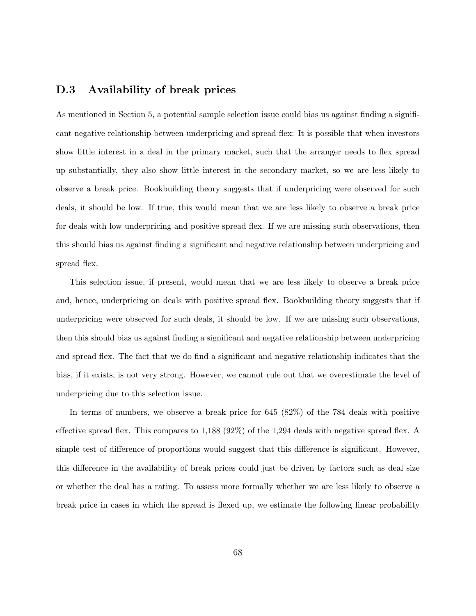### D.3 Availability of break prices

As mentioned in Section 5, a potential sample selection issue could bias us against finding a significant negative relationship between underpricing and spread flex: It is possible that when investors show little interest in a deal in the primary market, such that the arranger needs to flex spread up substantially, they also show little interest in the secondary market, so we are less likely to observe a break price. Bookbuilding theory suggests that if underpricing were observed for such deals, it should be low. If true, this would mean that we are less likely to observe a break price for deals with low underpricing and positive spread flex. If we are missing such observations, then this should bias us against finding a significant and negative relationship between underpricing and spread flex.

This selection issue, if present, would mean that we are less likely to observe a break price and, hence, underpricing on deals with positive spread flex. Bookbuilding theory suggests that if underpricing were observed for such deals, it should be low. If we are missing such observations, then this should bias us against finding a significant and negative relationship between underpricing and spread flex. The fact that we do find a significant and negative relationship indicates that the bias, if it exists, is not very strong. However, we cannot rule out that we overestimate the level of underpricing due to this selection issue.

In terms of numbers, we observe a break price for 645 (82%) of the 784 deals with positive effective spread flex. This compares to 1,188 (92%) of the 1,294 deals with negative spread flex. A simple test of difference of proportions would suggest that this difference is significant. However, this difference in the availability of break prices could just be driven by factors such as deal size or whether the deal has a rating. To assess more formally whether we are less likely to observe a break price in cases in which the spread is flexed up, we estimate the following linear probability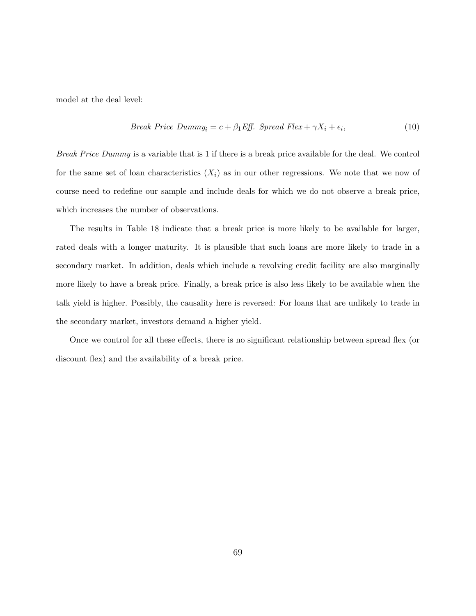model at the deal level:

*Break Price Dummy<sub>i</sub>* = 
$$
c + \beta_1 Eff
$$
. *Spread Flex* +  $\gamma X_i + \epsilon_i$ , (10)

Break Price Dummy is a variable that is 1 if there is a break price available for the deal. We control for the same set of loan characteristics  $(X_i)$  as in our other regressions. We note that we now of course need to redefine our sample and include deals for which we do not observe a break price, which increases the number of observations.

The results in Table 18 indicate that a break price is more likely to be available for larger, rated deals with a longer maturity. It is plausible that such loans are more likely to trade in a secondary market. In addition, deals which include a revolving credit facility are also marginally more likely to have a break price. Finally, a break price is also less likely to be available when the talk yield is higher. Possibly, the causality here is reversed: For loans that are unlikely to trade in the secondary market, investors demand a higher yield.

Once we control for all these effects, there is no significant relationship between spread flex (or discount flex) and the availability of a break price.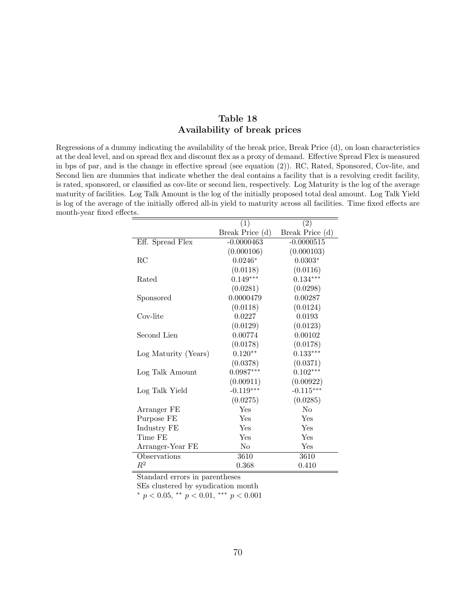### Table 18 Availability of break prices

Regressions of a dummy indicating the availability of the break price, Break Price (d), on loan characteristics at the deal level, and on spread flex and discount flex as a proxy of demand. Effective Spread Flex is measured in bps of par, and is the change in effective spread (see equation (2)). RC, Rated, Sponsored, Cov-lite, and Second lien are dummies that indicate whether the deal contains a facility that is a revolving credit facility, is rated, sponsored, or classified as cov-lite or second lien, respectively. Log Maturity is the log of the average maturity of facilities. Log Talk Amount is the log of the initially proposed total deal amount. Log Talk Yield is log of the average of the initially offered all-in yield to maturity across all facilities. Time fixed effects are month-year fixed effects.

|                      | (1)             | (2)             |
|----------------------|-----------------|-----------------|
|                      | Break Price (d) | Break Price (d) |
| Eff. Spread Flex     | $-0.0000463$    | $-0.0000515$    |
|                      | (0.000106)      | (0.000103)      |
| RC                   | $0.0246*$       | $0.0303*$       |
|                      | (0.0118)        | (0.0116)        |
| Rated                | $0.149***$      | $0.134***$      |
|                      | (0.0281)        | (0.0298)        |
| Sponsored            | 0.0000479       | 0.00287         |
|                      | (0.0118)        | (0.0124)        |
| Cov-lite             | 0.0227          | 0.0193          |
|                      | (0.0129)        | (0.0123)        |
| Second Lien          | 0.00774         | 0.00102         |
|                      | (0.0178)        | (0.0178)        |
| Log Maturity (Years) | $0.120**$       | $0.133***$      |
|                      | (0.0378)        | (0.0371)        |
| Log Talk Amount      | $0.0987***$     | $0.102***$      |
|                      | (0.00911)       | (0.00922)       |
| Log Talk Yield       | $-0.119***$     | $-0.115***$     |
|                      | (0.0275)        | (0.0285)        |
| Arranger FE          | Yes             | N <sub>0</sub>  |
| Purpose FE           | Yes             | Yes             |
| Industry FE          | Yes             | Yes             |
| Time FE              | Yes             | Yes             |
| Arranger-Year FE     | No              | Yes             |
| Observations         | 3610            | 3610            |
| $\,R^2$              | 0.368           | 0.410           |

Standard errors in parentheses

SEs clustered by syndication month

\*  $p < 0.05$ , \*\*  $p < 0.01$ , \*\*\*  $p < 0.001$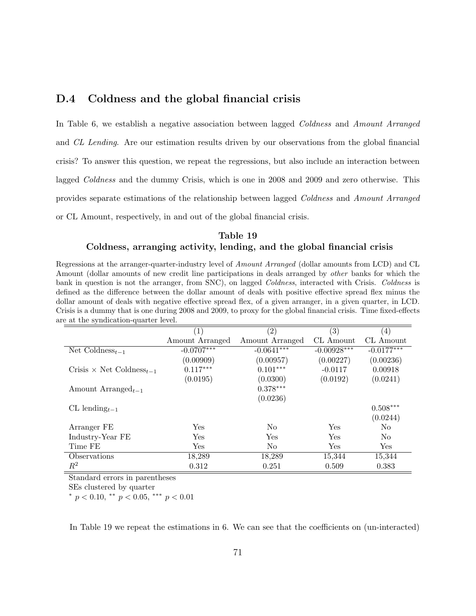### D.4 Coldness and the global financial crisis

In Table 6, we establish a negative association between lagged Coldness and Amount Arranged and CL Lending. Are our estimation results driven by our observations from the global financial crisis? To answer this question, we repeat the regressions, but also include an interaction between lagged Coldness and the dummy Crisis, which is one in 2008 and 2009 and zero otherwise. This provides separate estimations of the relationship between lagged Coldness and Amount Arranged or CL Amount, respectively, in and out of the global financial crisis.

### Table 19 Coldness, arranging activity, lending, and the global financial crisis

Regressions at the arranger-quarter-industry level of Amount Arranged (dollar amounts from LCD) and CL Amount (dollar amounts of new credit line participations in deals arranged by other banks for which the bank in question is not the arranger, from SNC), on lagged Coldness, interacted with Crisis. Coldness is defined as the difference between the dollar amount of deals with positive effective spread flex minus the dollar amount of deals with negative effective spread flex, of a given arranger, in a given quarter, in LCD. Crisis is a dummy that is one during 2008 and 2009, to proxy for the global financial crisis. Time fixed-effects are at the syndication-quarter level.

|                                             | $\left( 1\right)$ | $\left( 2\right)$ | (3)           | $\left( 4\right)$ |
|---------------------------------------------|-------------------|-------------------|---------------|-------------------|
|                                             | Amount Arranged   | Amount Arranged   | CL Amount     | CL Amount         |
| Net Coldness <sub>t-1</sub>                 | $-0.0707***$      | $-0.0641***$      | $-0.00928***$ | $-0.0177***$      |
|                                             | (0.00909)         | (0.00957)         | (0.00227)     | (0.00236)         |
| Crisis $\times$ Net Coldness <sub>t-1</sub> | $0.117***$        | $0.101***$        | $-0.0117$     | 0.00918           |
|                                             | (0.0195)          | (0.0300)          | (0.0192)      | (0.0241)          |
| Amount Arranged <sub>t-1</sub>              |                   | $0.378***$        |               |                   |
|                                             |                   | (0.0236)          |               |                   |
| CL lending $t-1$                            |                   |                   |               | $0.508***$        |
|                                             |                   |                   |               | (0.0244)          |
| Arranger FE                                 | Yes               | N <sub>0</sub>    | Yes           | N <sub>0</sub>    |
| Industry-Year FE                            | Yes               | Yes               | Yes           | N <sub>o</sub>    |
| Time FE                                     | Yes               | N <sub>o</sub>    | Yes           | Yes               |
| Observations                                | 18,289            | 18,289            | 15,344        | 15,344            |
| $\,R^2$                                     | 0.312             | 0.251             | 0.509         | 0.383             |

Standard errors in parentheses

SEs clustered by quarter

\*  $p < 0.10$ , \*\*  $p < 0.05$ , \*\*\*  $p < 0.01$ 

In Table 19 we repeat the estimations in 6. We can see that the coefficients on (un-interacted)